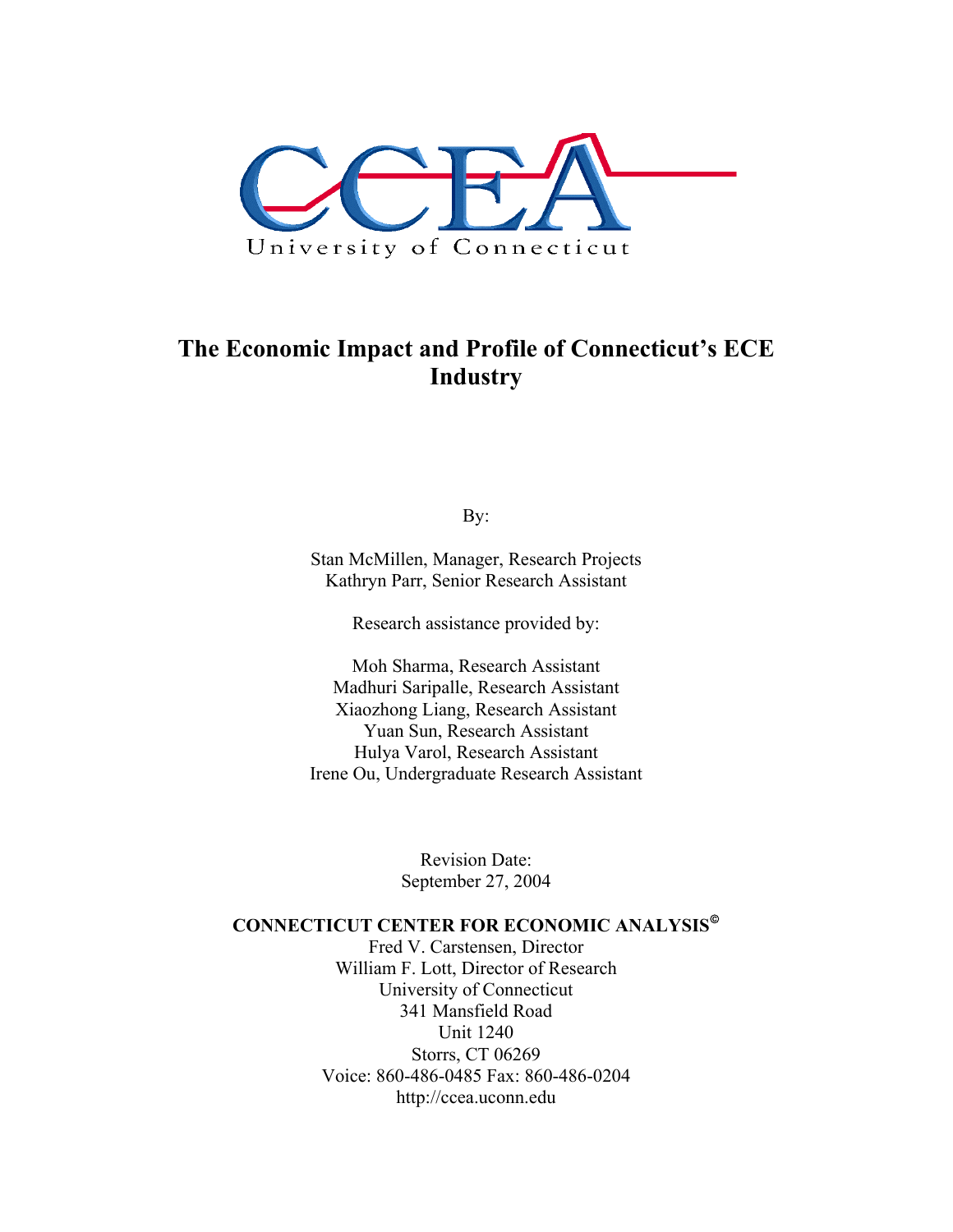

## **The Economic Impact and Profile of Connecticut's ECE Industry**

By:

Stan McMillen, Manager, Research Projects Kathryn Parr, Senior Research Assistant

Research assistance provided by:

Moh Sharma, Research Assistant Madhuri Saripalle, Research Assistant Xiaozhong Liang, Research Assistant Yuan Sun, Research Assistant Hulya Varol, Research Assistant Irene Ou, Undergraduate Research Assistant

> Revision Date: September 27, 2004

#### **CONNECTICUT CENTER FOR ECONOMIC ANALYSIS**

Fred V. Carstensen, Director William F. Lott, Director of Research University of Connecticut 341 Mansfield Road Unit 1240 Storrs, CT 06269 Voice: 860-486-0485 Fax: 860-486-0204 http://ccea.uconn.edu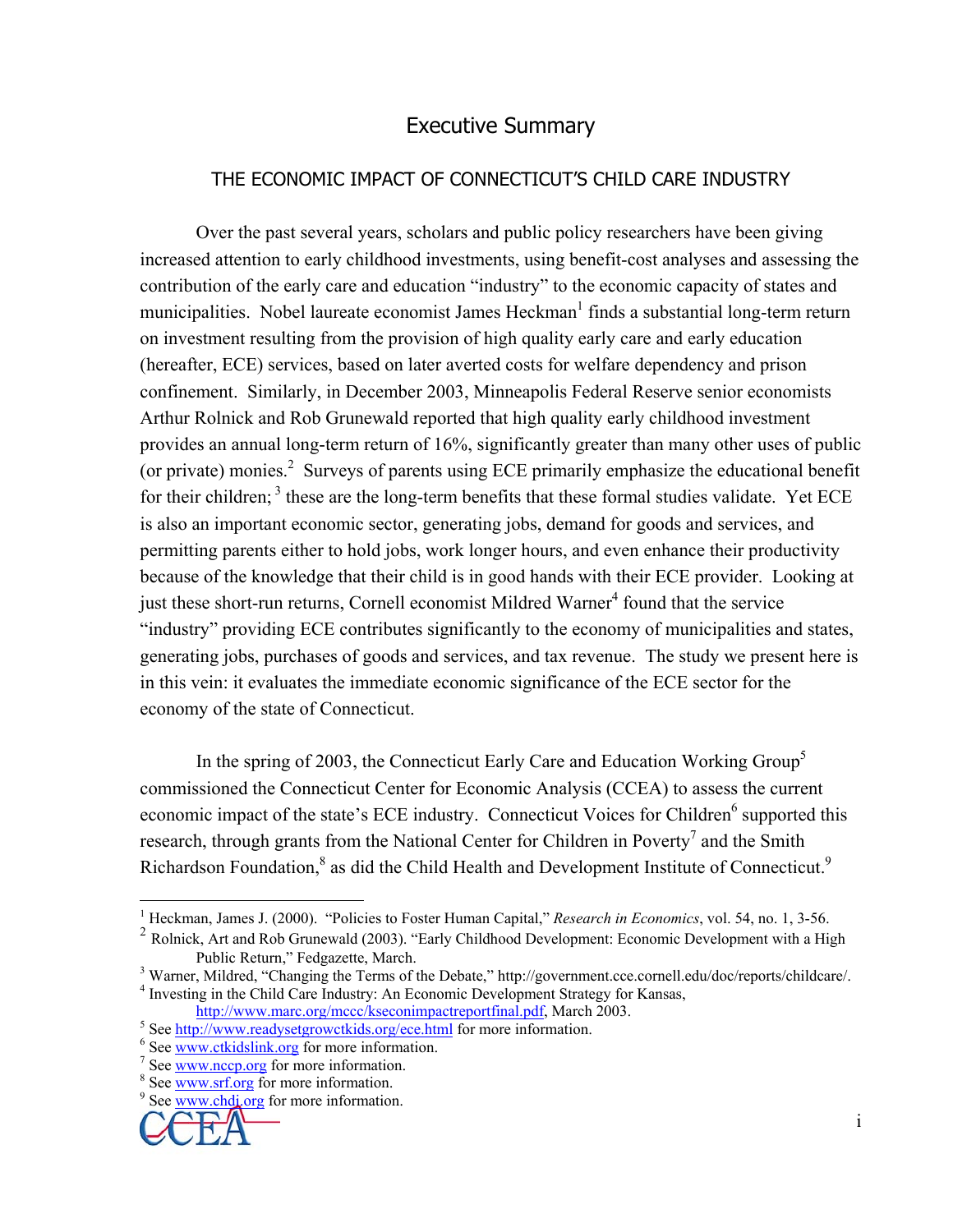## Executive Summary

## THE ECONOMIC IMPACT OF CONNECTICUT'S CHILD CARE INDUSTRY

 Over the past several years, scholars and public policy researchers have been giving increased attention to early childhood investments, using benefit-cost analyses and assessing the contribution of the early care and education "industry" to the economic capacity of states and municipalities. Nobel laureate economist James Heckman<sup>1</sup> finds a substantial long-term return on investment resulting from the provision of high quality early care and early education (hereafter, ECE) services, based on later averted costs for welfare dependency and prison confinement. Similarly, in December 2003, Minneapolis Federal Reserve senior economists Arthur Rolnick and Rob Grunewald reported that high quality early childhood investment provides an annual long-term return of 16%, significantly greater than many other uses of public (or private) monies.<sup>2</sup> Surveys of parents using ECE primarily emphasize the educational benefit for their children;  $3$  these are the long-term benefits that these formal studies validate. Yet ECE is also an important economic sector, generating jobs, demand for goods and services, and permitting parents either to hold jobs, work longer hours, and even enhance their productivity because of the knowledge that their child is in good hands with their ECE provider. Looking at just these short-run returns, Cornell economist Mildred Warner<sup>4</sup> found that the service "industry" providing ECE contributes significantly to the economy of municipalities and states, generating jobs, purchases of goods and services, and tax revenue. The study we present here is in this vein: it evaluates the immediate economic significance of the ECE sector for the economy of the state of Connecticut.

In the spring of 2003, the Connecticut Early Care and Education Working Group<sup>5</sup> commissioned the Connecticut Center for Economic Analysis (CCEA) to assess the current economic impact of the state's ECE industry. Connecticut Voices for Children<sup>6</sup> supported this research, through grants from the National Center for Children in Poverty<sup>7</sup> and the Smith Richardson Foundation,<sup>8</sup> as did the Child Health and Development Institute of Connecticut.<sup>9</sup>

<sup>&</sup>lt;sup>9</sup> See www.chdi.org for more information.



1

<sup>&</sup>lt;sup>1</sup> Heckman, James J. (2000). "Policies to Foster Human Capital," *Research in Economics*, vol. 54, no. 1, 3-56. <sup>2</sup> Rolnick, Art and Rob Grunewald (2003). "Early Childhood Development: Economic Development with a High Public Return," Fedgazette, March. 3

<sup>&</sup>lt;sup>3</sup> Warner, Mildred, "Changing the Terms of the Debate," http://government.cce.cornell.edu/doc/reports/childcare/. <sup>4</sup> Investing in the Child Care Industry: An Economic Development Strategy for Kansas,

http://www.marc.org/mccc/kseconimpactreportfinal.pdf, March 2003.

 $5$  See http://www.readysetgrowctkids.org/ece.html for more information.

 $\frac{6}{5}$  See www.ctkidslink.org for more information.

 $\frac{7}{1}$  See www.nccp.org for more information.

 $8$  See www.srf.org for more information.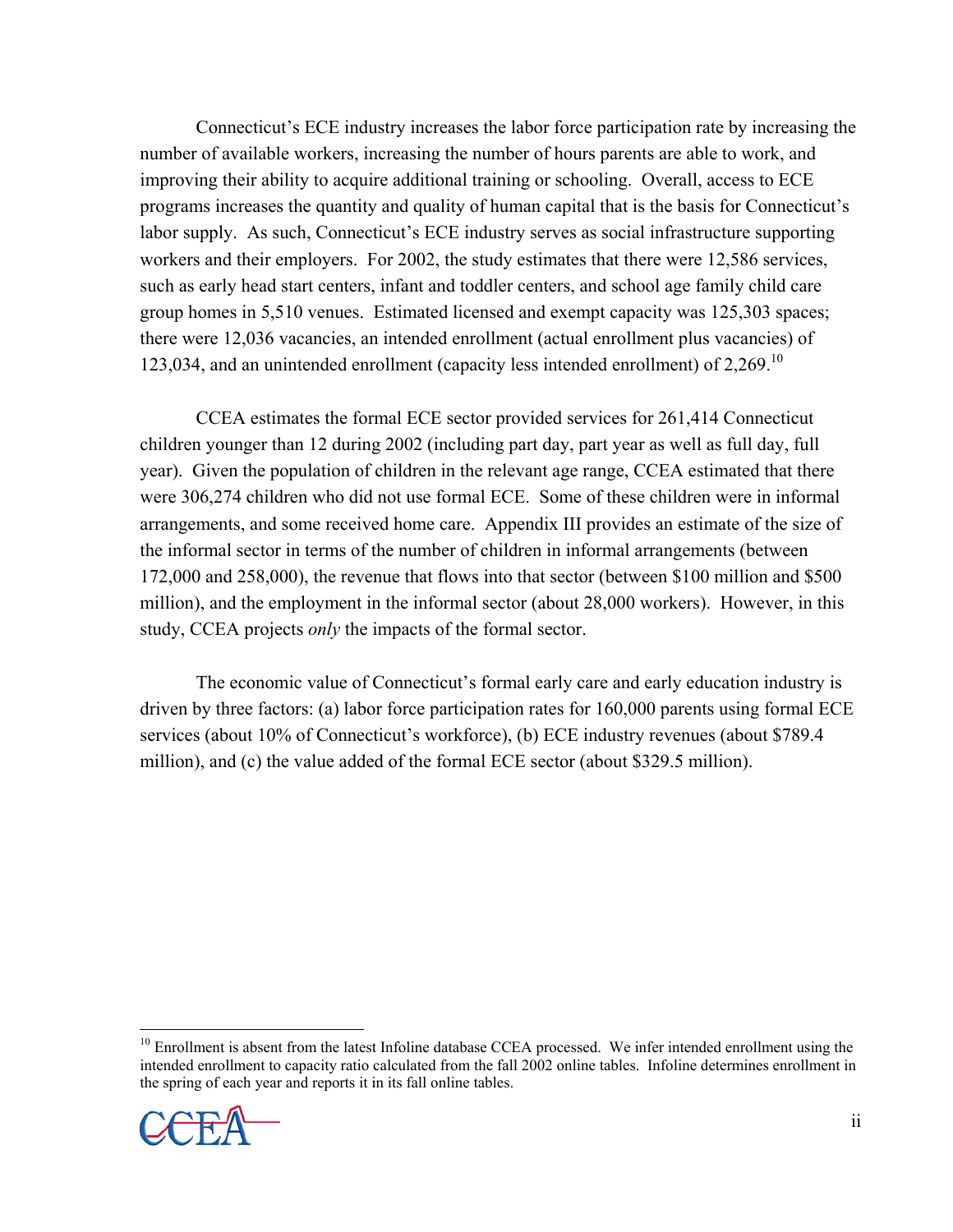Connecticut's ECE industry increases the labor force participation rate by increasing the number of available workers, increasing the number of hours parents are able to work, and improving their ability to acquire additional training or schooling. Overall, access to ECE programs increases the quantity and quality of human capital that is the basis for Connecticut's labor supply. As such, Connecticut's ECE industry serves as social infrastructure supporting workers and their employers. For 2002, the study estimates that there were 12,586 services, such as early head start centers, infant and toddler centers, and school age family child care group homes in 5,510 venues. Estimated licensed and exempt capacity was 125,303 spaces; there were 12,036 vacancies, an intended enrollment (actual enrollment plus vacancies) of 123,034, and an unintended enrollment (capacity less intended enrollment) of 2,269.10

 CCEA estimates the formal ECE sector provided services for 261,414 Connecticut children younger than 12 during 2002 (including part day, part year as well as full day, full year). Given the population of children in the relevant age range, CCEA estimated that there were 306,274 children who did not use formal ECE. Some of these children were in informal arrangements, and some received home care. Appendix III provides an estimate of the size of the informal sector in terms of the number of children in informal arrangements (between 172,000 and 258,000), the revenue that flows into that sector (between \$100 million and \$500 million), and the employment in the informal sector (about 28,000 workers). However, in this study, CCEA projects *only* the impacts of the formal sector.

 The economic value of Connecticut's formal early care and early education industry is driven by three factors: (a) labor force participation rates for 160,000 parents using formal ECE services (about 10% of Connecticut's workforce), (b) ECE industry revenues (about \$789.4 million), and (c) the value added of the formal ECE sector (about \$329.5 million).

<sup>1</sup> <sup>10</sup> Enrollment is absent from the latest Infoline database CCEA processed. We infer intended enrollment using the intended enrollment to capacity ratio calculated from the fall 2002 online tables. Infoline determines enrollment in the spring of each year and reports it in its fall online tables.

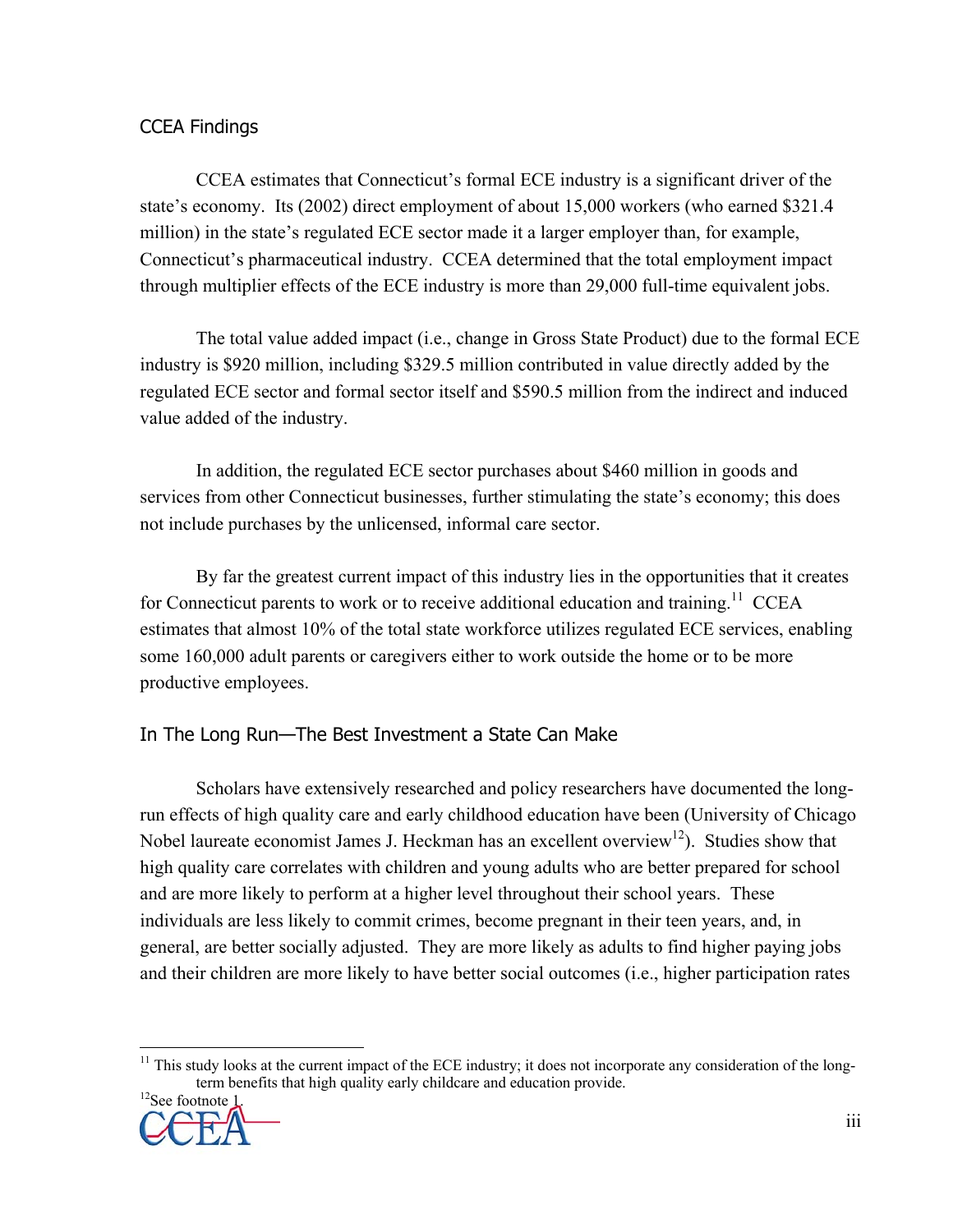## CCEA Findings

 CCEA estimates that Connecticut's formal ECE industry is a significant driver of the state's economy. Its (2002) direct employment of about 15,000 workers (who earned \$321.4 million) in the state's regulated ECE sector made it a larger employer than, for example, Connecticut's pharmaceutical industry. CCEA determined that the total employment impact through multiplier effects of the ECE industry is more than 29,000 full-time equivalent jobs.

 The total value added impact (i.e., change in Gross State Product) due to the formal ECE industry is \$920 million, including \$329.5 million contributed in value directly added by the regulated ECE sector and formal sector itself and \$590.5 million from the indirect and induced value added of the industry.

 In addition, the regulated ECE sector purchases about \$460 million in goods and services from other Connecticut businesses, further stimulating the state's economy; this does not include purchases by the unlicensed, informal care sector.

 By far the greatest current impact of this industry lies in the opportunities that it creates for Connecticut parents to work or to receive additional education and training.<sup>11</sup> CCEA estimates that almost 10% of the total state workforce utilizes regulated ECE services, enabling some 160,000 adult parents or caregivers either to work outside the home or to be more productive employees.

## In The Long Run—The Best Investment a State Can Make

 Scholars have extensively researched and policy researchers have documented the longrun effects of high quality care and early childhood education have been (University of Chicago Nobel laureate economist James J. Heckman has an excellent overview<sup>12</sup>). Studies show that high quality care correlates with children and young adults who are better prepared for school and are more likely to perform at a higher level throughout their school years. These individuals are less likely to commit crimes, become pregnant in their teen years, and, in general, are better socially adjusted. They are more likely as adults to find higher paying jobs and their children are more likely to have better social outcomes (i.e., higher participation rates

<sup>1</sup>  $11$  This study looks at the current impact of the ECE industry; it does not incorporate any consideration of the longterm benefits that high quality early childcare and education provide.<sup>12</sup>See footnote 1.

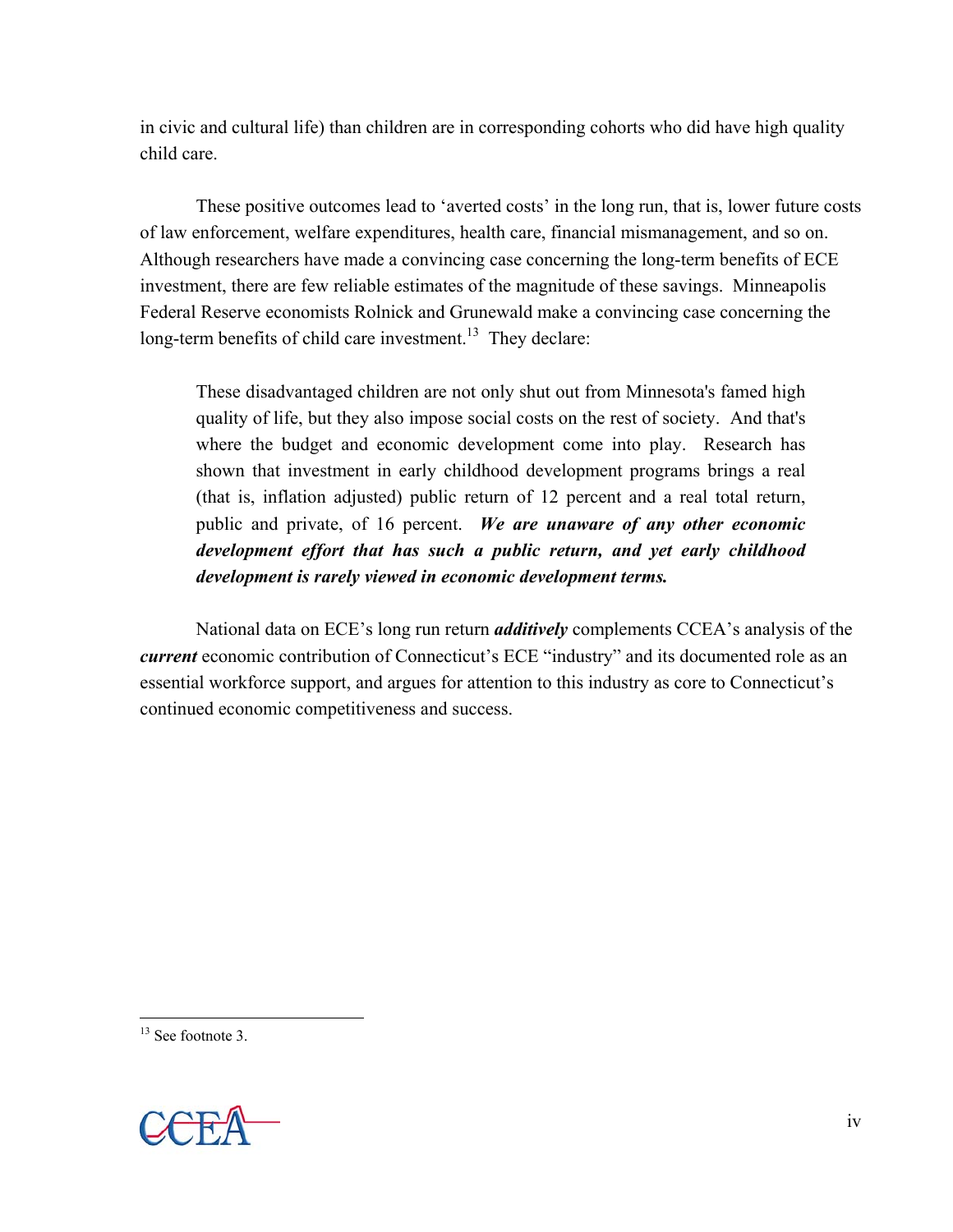in civic and cultural life) than children are in corresponding cohorts who did have high quality child care.

 These positive outcomes lead to 'averted costs' in the long run, that is, lower future costs of law enforcement, welfare expenditures, health care, financial mismanagement, and so on. Although researchers have made a convincing case concerning the long-term benefits of ECE investment, there are few reliable estimates of the magnitude of these savings. Minneapolis Federal Reserve economists Rolnick and Grunewald make a convincing case concerning the long-term benefits of child care investment.<sup>13</sup> They declare:

These disadvantaged children are not only shut out from Minnesota's famed high quality of life, but they also impose social costs on the rest of society. And that's where the budget and economic development come into play. Research has shown that investment in early childhood development programs brings a real (that is, inflation adjusted) public return of 12 percent and a real total return, public and private, of 16 percent. *We are unaware of any other economic development effort that has such a public return, and yet early childhood development is rarely viewed in economic development terms.*

 National data on ECE's long run return *additively* complements CCEA's analysis of the *current* economic contribution of Connecticut's ECE "industry" and its documented role as an essential workforce support, and argues for attention to this industry as core to Connecticut's continued economic competitiveness and success.

1



<sup>&</sup>lt;sup>13</sup> See footnote 3.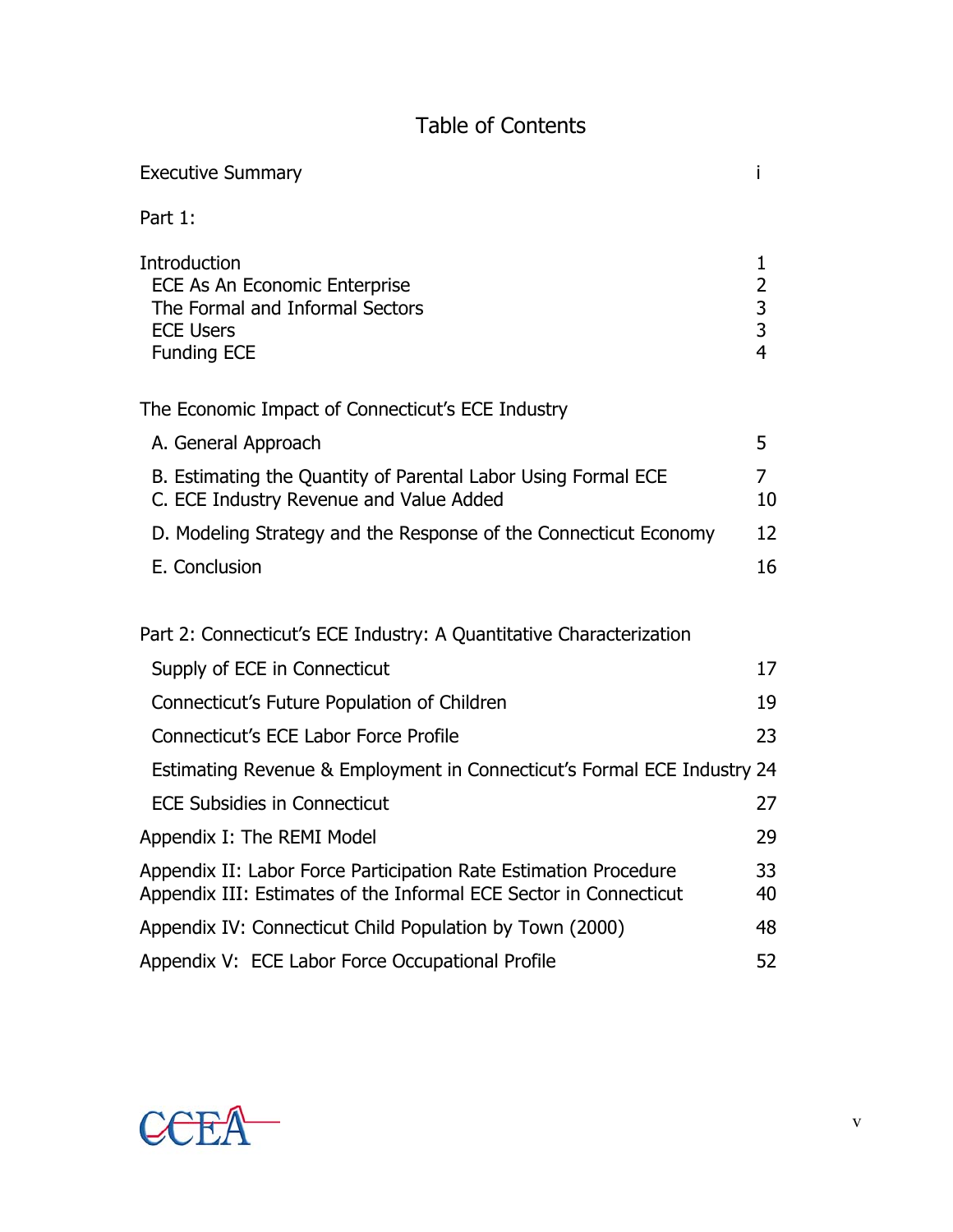## Table of Contents

| <b>Executive Summary</b>                                                                                                              |                                                        |
|---------------------------------------------------------------------------------------------------------------------------------------|--------------------------------------------------------|
| Part 1:                                                                                                                               |                                                        |
| Introduction<br>ECE As An Economic Enterprise<br>The Formal and Informal Sectors<br><b>ECE Users</b><br><b>Funding ECE</b>            | 1<br>$\overline{2}$<br>$\frac{3}{3}$<br>$\overline{4}$ |
| The Economic Impact of Connecticut's ECE Industry                                                                                     |                                                        |
| A. General Approach                                                                                                                   | 5                                                      |
| B. Estimating the Quantity of Parental Labor Using Formal ECE<br>C. ECE Industry Revenue and Value Added                              | 7<br>10                                                |
| D. Modeling Strategy and the Response of the Connecticut Economy                                                                      | 12                                                     |
| E. Conclusion                                                                                                                         | 16                                                     |
| Part 2: Connecticut's ECE Industry: A Quantitative Characterization                                                                   |                                                        |
| Supply of ECE in Connecticut                                                                                                          | 17                                                     |
| Connecticut's Future Population of Children                                                                                           | 19                                                     |
| Connecticut's ECE Labor Force Profile                                                                                                 | 23                                                     |
| Estimating Revenue & Employment in Connecticut's Formal ECE Industry 24                                                               |                                                        |
| <b>ECE Subsidies in Connecticut</b>                                                                                                   | 27                                                     |
| Appendix I: The REMI Model                                                                                                            | 29                                                     |
| Appendix II: Labor Force Participation Rate Estimation Procedure<br>Appendix III: Estimates of the Informal ECE Sector in Connecticut | 33<br>40                                               |
| Appendix IV: Connecticut Child Population by Town (2000)                                                                              | 48                                                     |
| Appendix V: ECE Labor Force Occupational Profile                                                                                      | 52                                                     |

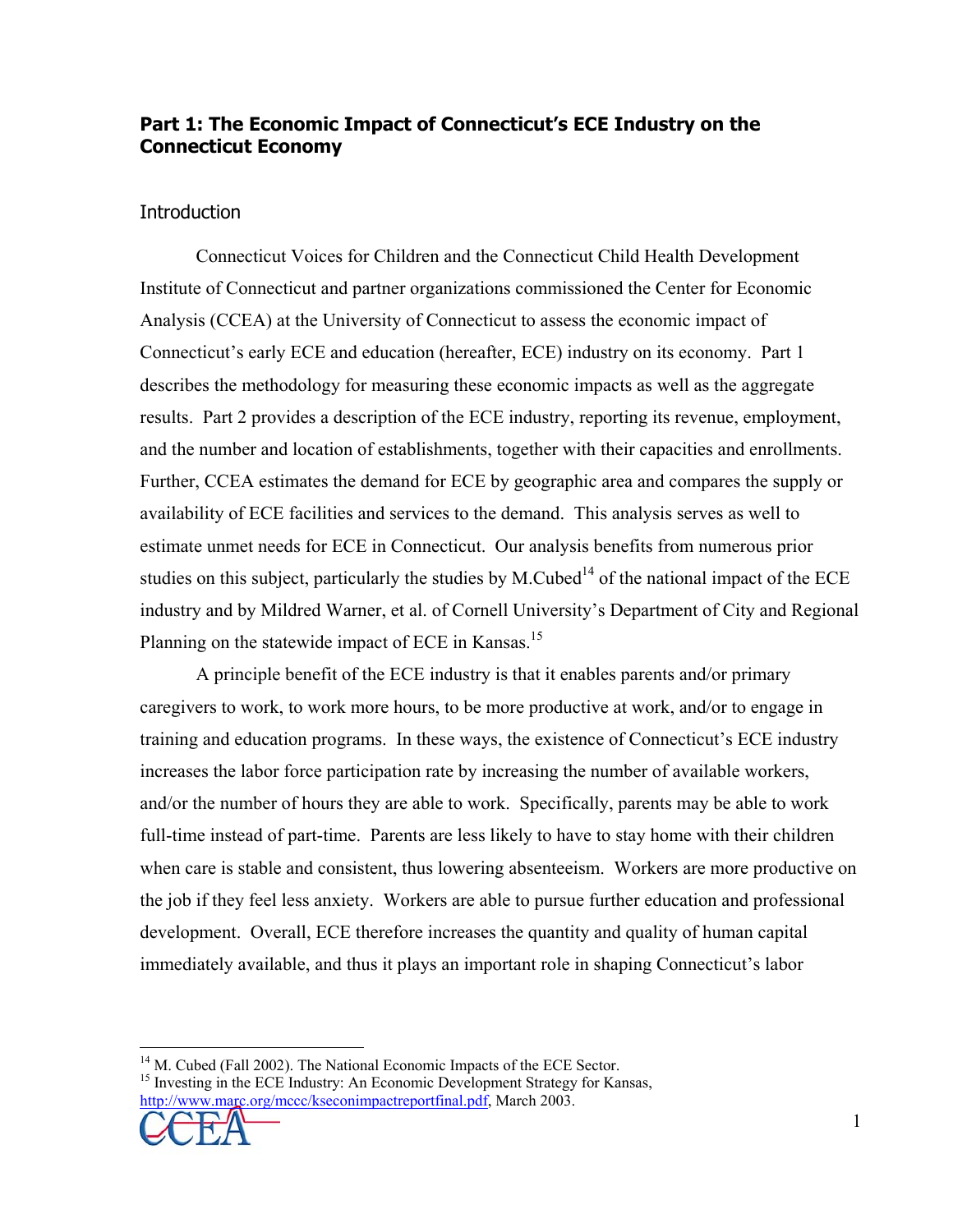## **Part 1: The Economic Impact of Connecticut's ECE Industry on the Connecticut Economy**

## **Introduction**

 Connecticut Voices for Children and the Connecticut Child Health Development Institute of Connecticut and partner organizations commissioned the Center for Economic Analysis (CCEA) at the University of Connecticut to assess the economic impact of Connecticut's early ECE and education (hereafter, ECE) industry on its economy. Part 1 describes the methodology for measuring these economic impacts as well as the aggregate results. Part 2 provides a description of the ECE industry, reporting its revenue, employment, and the number and location of establishments, together with their capacities and enrollments. Further, CCEA estimates the demand for ECE by geographic area and compares the supply or availability of ECE facilities and services to the demand. This analysis serves as well to estimate unmet needs for ECE in Connecticut. Our analysis benefits from numerous prior studies on this subject, particularly the studies by M.Cubed<sup>14</sup> of the national impact of the ECE industry and by Mildred Warner, et al. of Cornell University's Department of City and Regional Planning on the statewide impact of ECE in Kansas.<sup>15</sup>

 A principle benefit of the ECE industry is that it enables parents and/or primary caregivers to work, to work more hours, to be more productive at work, and/or to engage in training and education programs. In these ways, the existence of Connecticut's ECE industry increases the labor force participation rate by increasing the number of available workers, and/or the number of hours they are able to work. Specifically, parents may be able to work full-time instead of part-time. Parents are less likely to have to stay home with their children when care is stable and consistent, thus lowering absenteeism. Workers are more productive on the job if they feel less anxiety. Workers are able to pursue further education and professional development. Overall, ECE therefore increases the quantity and quality of human capital immediately available, and thus it plays an important role in shaping Connecticut's labor

<sup>&</sup>lt;sup>15</sup> Investing in the ECE Industry: An Economic Development Strategy for Kansas, http://www.marc.org/mccc/kseconimpactreportfinal.pdf, March 2003.



 $\overline{a}$ <sup>14</sup> M. Cubed (Fall 2002). The National Economic Impacts of the ECE Sector.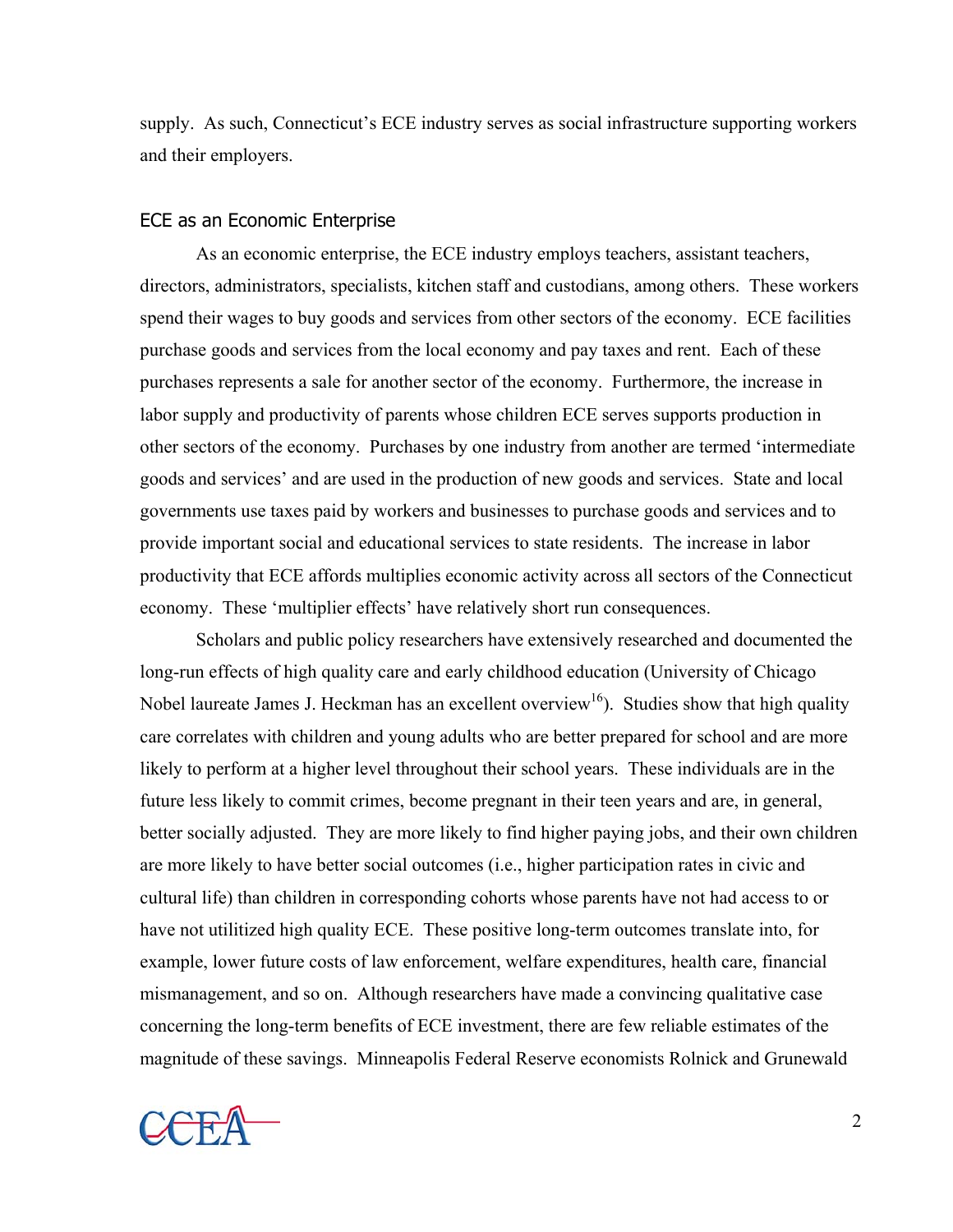supply. As such, Connecticut's ECE industry serves as social infrastructure supporting workers and their employers.

#### ECE as an Economic Enterprise

 As an economic enterprise, the ECE industry employs teachers, assistant teachers, directors, administrators, specialists, kitchen staff and custodians, among others. These workers spend their wages to buy goods and services from other sectors of the economy. ECE facilities purchase goods and services from the local economy and pay taxes and rent. Each of these purchases represents a sale for another sector of the economy. Furthermore, the increase in labor supply and productivity of parents whose children ECE serves supports production in other sectors of the economy. Purchases by one industry from another are termed 'intermediate goods and services' and are used in the production of new goods and services. State and local governments use taxes paid by workers and businesses to purchase goods and services and to provide important social and educational services to state residents. The increase in labor productivity that ECE affords multiplies economic activity across all sectors of the Connecticut economy. These 'multiplier effects' have relatively short run consequences.

Scholars and public policy researchers have extensively researched and documented the long-run effects of high quality care and early childhood education (University of Chicago Nobel laureate James J. Heckman has an excellent overview<sup>16</sup>). Studies show that high quality care correlates with children and young adults who are better prepared for school and are more likely to perform at a higher level throughout their school years. These individuals are in the future less likely to commit crimes, become pregnant in their teen years and are, in general, better socially adjusted. They are more likely to find higher paying jobs, and their own children are more likely to have better social outcomes (i.e., higher participation rates in civic and cultural life) than children in corresponding cohorts whose parents have not had access to or have not utilitized high quality ECE. These positive long-term outcomes translate into, for example, lower future costs of law enforcement, welfare expenditures, health care, financial mismanagement, and so on. Although researchers have made a convincing qualitative case concerning the long-term benefits of ECE investment, there are few reliable estimates of the magnitude of these savings. Minneapolis Federal Reserve economists Rolnick and Grunewald

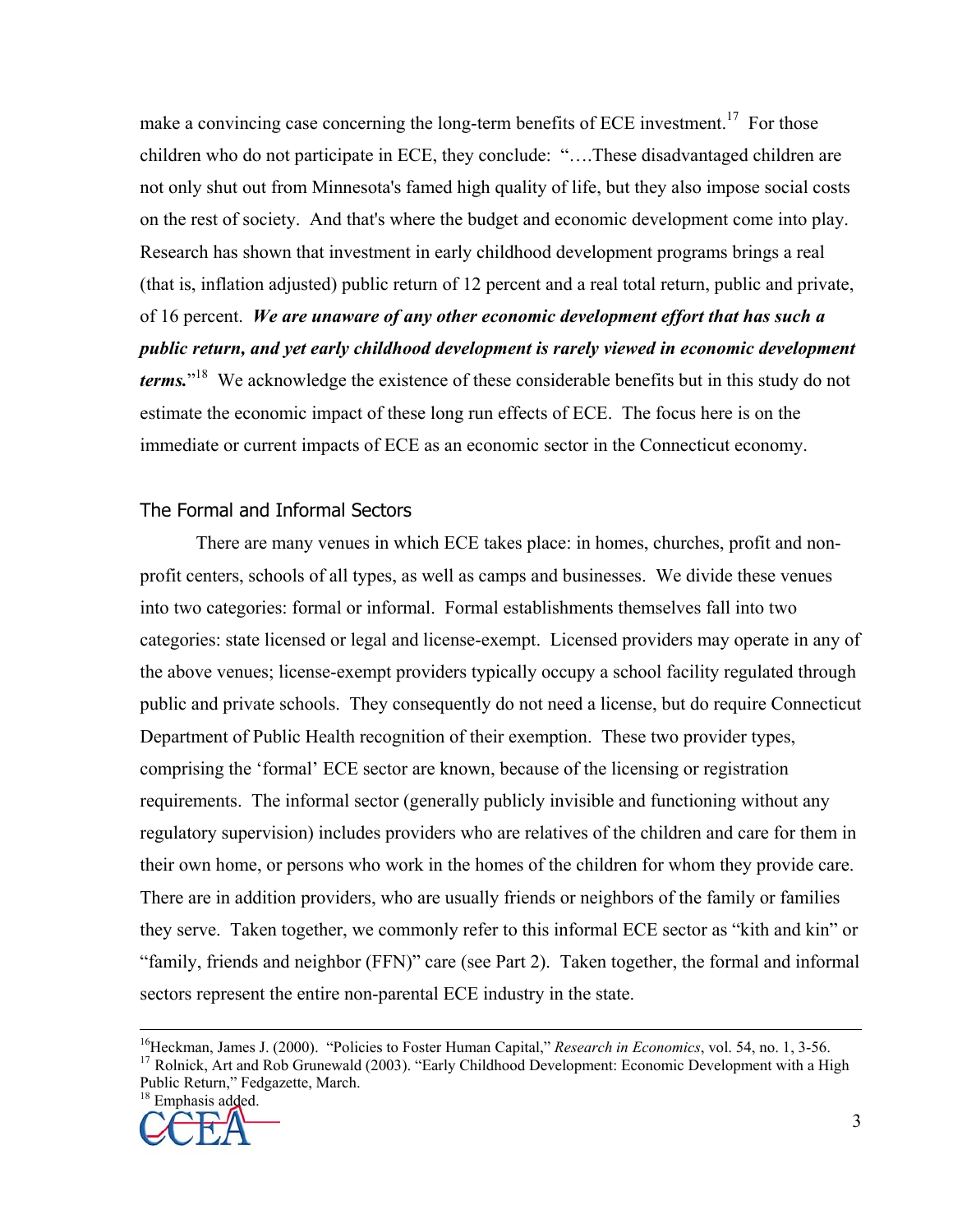make a convincing case concerning the long-term benefits of ECE investment.<sup>17</sup> For those children who do not participate in ECE, they conclude: "….These disadvantaged children are not only shut out from Minnesota's famed high quality of life, but they also impose social costs on the rest of society. And that's where the budget and economic development come into play. Research has shown that investment in early childhood development programs brings a real (that is, inflation adjusted) public return of 12 percent and a real total return, public and private, of 16 percent. *We are unaware of any other economic development effort that has such a public return, and yet early childhood development is rarely viewed in economic development terms.*" 18 We acknowledge the existence of these considerable benefits but in this study do not estimate the economic impact of these long run effects of ECE. The focus here is on the immediate or current impacts of ECE as an economic sector in the Connecticut economy.

## The Formal and Informal Sectors

 There are many venues in which ECE takes place: in homes, churches, profit and nonprofit centers, schools of all types, as well as camps and businesses. We divide these venues into two categories: formal or informal. Formal establishments themselves fall into two categories: state licensed or legal and license-exempt. Licensed providers may operate in any of the above venues; license-exempt providers typically occupy a school facility regulated through public and private schools. They consequently do not need a license, but do require Connecticut Department of Public Health recognition of their exemption. These two provider types, comprising the 'formal' ECE sector are known, because of the licensing or registration requirements. The informal sector (generally publicly invisible and functioning without any regulatory supervision) includes providers who are relatives of the children and care for them in their own home, or persons who work in the homes of the children for whom they provide care. There are in addition providers, who are usually friends or neighbors of the family or families they serve. Taken together, we commonly refer to this informal ECE sector as "kith and kin" or "family, friends and neighbor (FFN)" care (see Part 2). Taken together, the formal and informal sectors represent the entire non-parental ECE industry in the state.

Public Return," Fedgazette, March.



<sup>&</sup>lt;sup>16</sup>Heckman, James J. (2000). "Policies to Foster Human Capital," *Research in Economics*, vol. 54, no. 1, 3-56.<br><sup>17</sup> Rolnick, Art and Rob Grunewald (2003). "Early Childhood Development: Economic Development with a High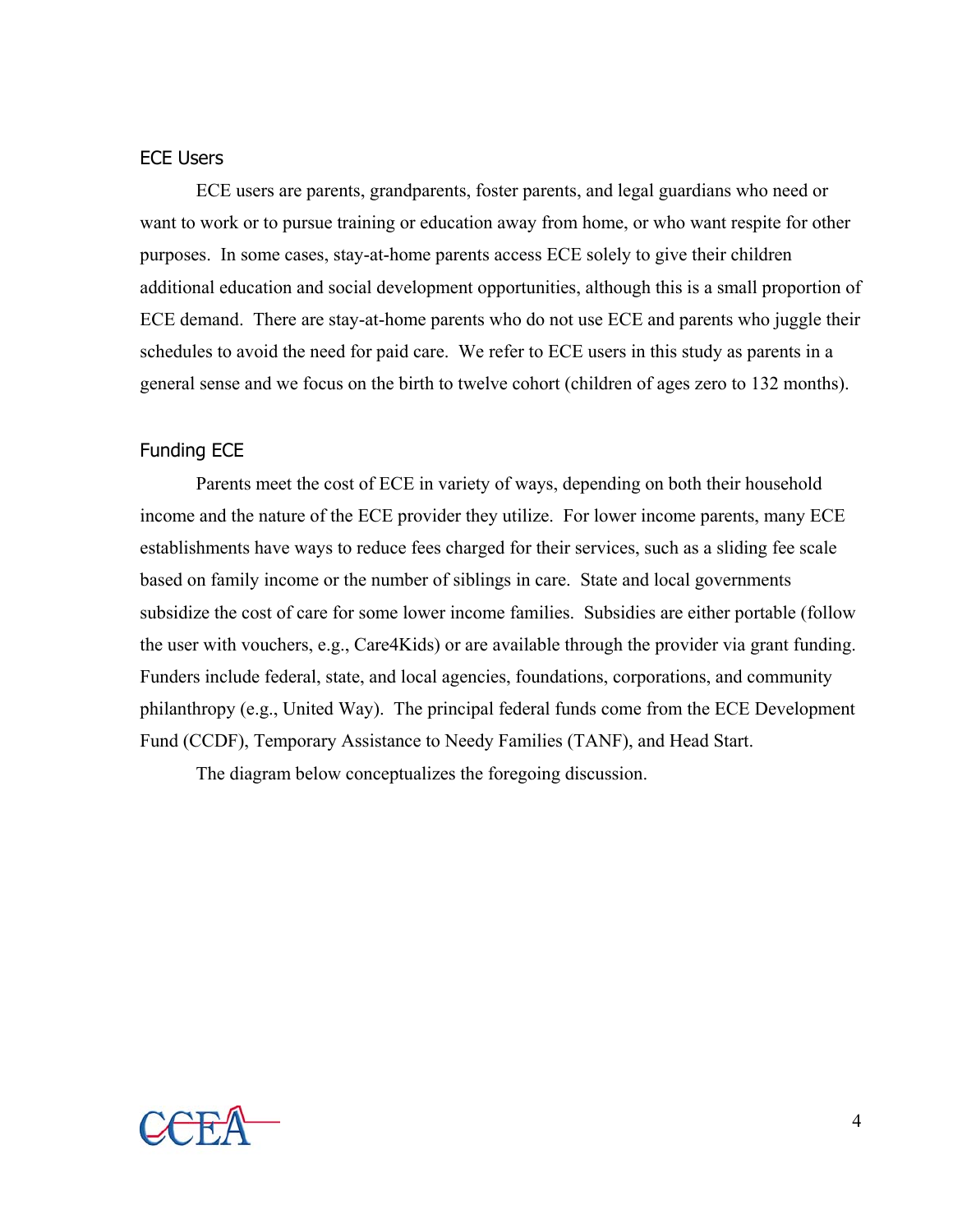#### ECE Users

 ECE users are parents, grandparents, foster parents, and legal guardians who need or want to work or to pursue training or education away from home, or who want respite for other purposes. In some cases, stay-at-home parents access ECE solely to give their children additional education and social development opportunities, although this is a small proportion of ECE demand. There are stay-at-home parents who do not use ECE and parents who juggle their schedules to avoid the need for paid care. We refer to ECE users in this study as parents in a general sense and we focus on the birth to twelve cohort (children of ages zero to 132 months).

#### Funding ECE

 Parents meet the cost of ECE in variety of ways, depending on both their household income and the nature of the ECE provider they utilize. For lower income parents, many ECE establishments have ways to reduce fees charged for their services, such as a sliding fee scale based on family income or the number of siblings in care. State and local governments subsidize the cost of care for some lower income families. Subsidies are either portable (follow the user with vouchers, e.g., Care4Kids) or are available through the provider via grant funding. Funders include federal, state, and local agencies, foundations, corporations, and community philanthropy (e.g., United Way). The principal federal funds come from the ECE Development Fund (CCDF), Temporary Assistance to Needy Families (TANF), and Head Start.

The diagram below conceptualizes the foregoing discussion.

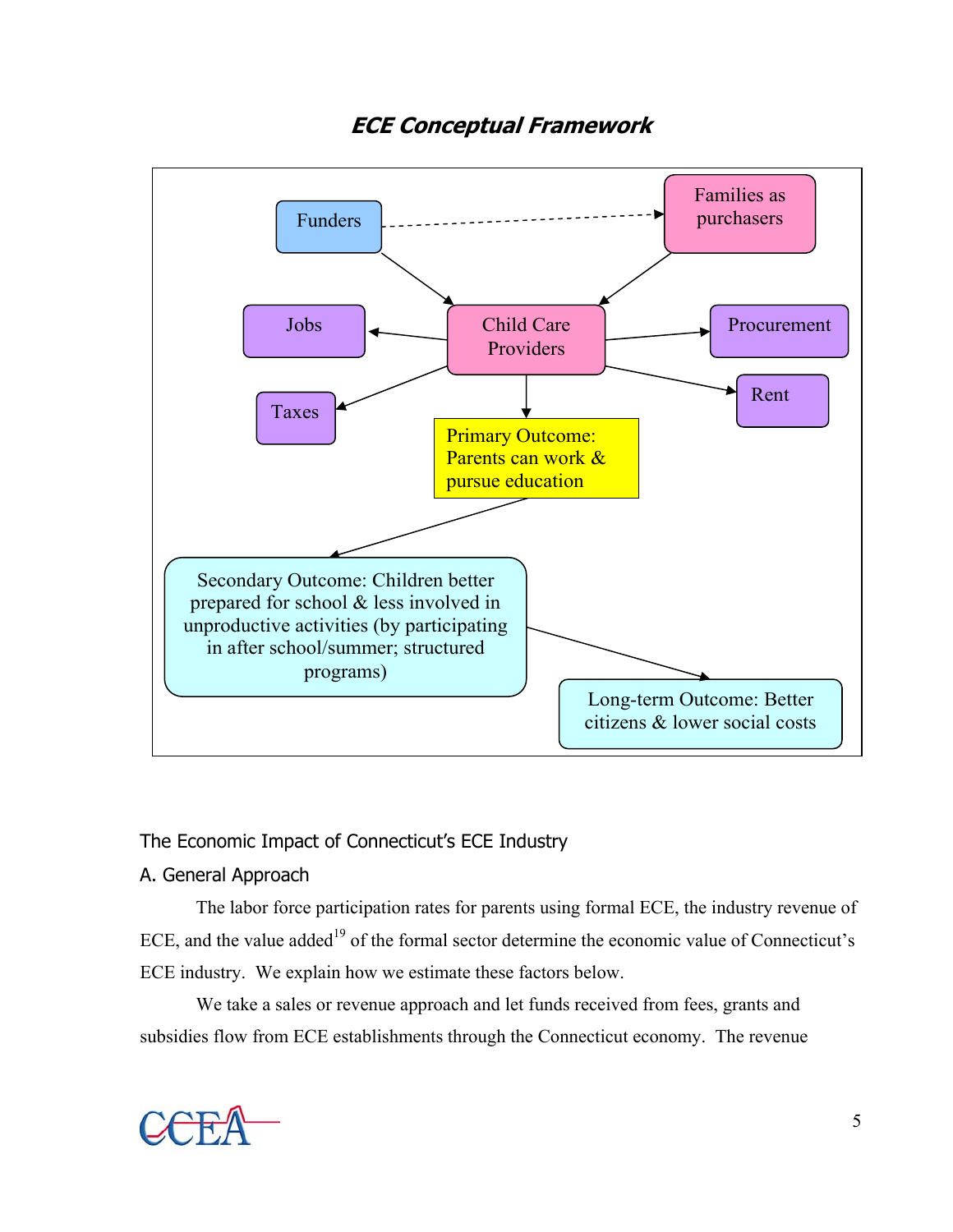

## **ECE Conceptual Framework**

## The Economic Impact of Connecticut's ECE Industry

## A. General Approach

 The labor force participation rates for parents using formal ECE, the industry revenue of ECE, and the value added<sup>19</sup> of the formal sector determine the economic value of Connecticut's ECE industry. We explain how we estimate these factors below.

 We take a sales or revenue approach and let funds received from fees, grants and subsidies flow from ECE establishments through the Connecticut economy. The revenue

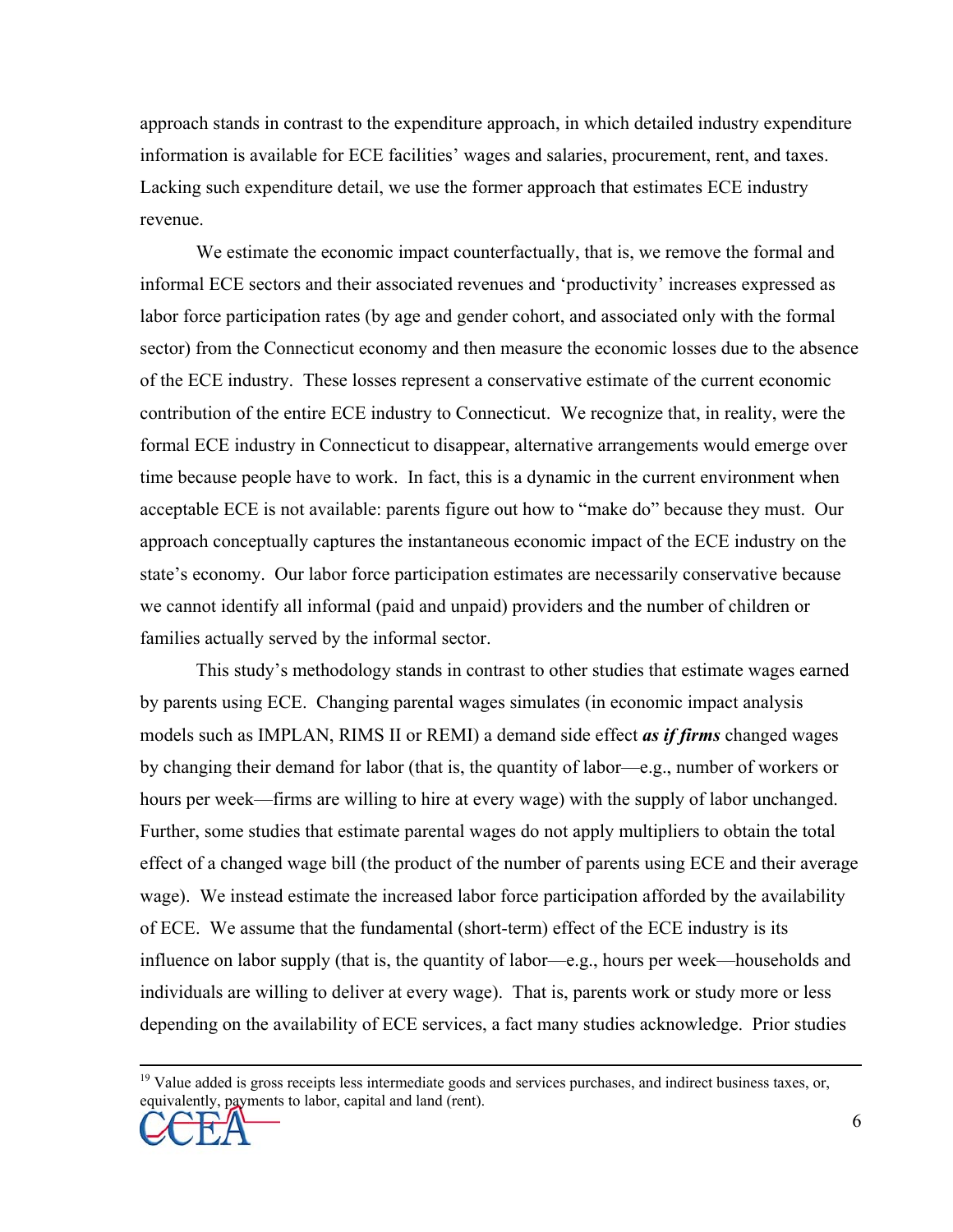approach stands in contrast to the expenditure approach, in which detailed industry expenditure information is available for ECE facilities' wages and salaries, procurement, rent, and taxes. Lacking such expenditure detail, we use the former approach that estimates ECE industry revenue.

 We estimate the economic impact counterfactually, that is, we remove the formal and informal ECE sectors and their associated revenues and 'productivity' increases expressed as labor force participation rates (by age and gender cohort, and associated only with the formal sector) from the Connecticut economy and then measure the economic losses due to the absence of the ECE industry. These losses represent a conservative estimate of the current economic contribution of the entire ECE industry to Connecticut. We recognize that, in reality, were the formal ECE industry in Connecticut to disappear, alternative arrangements would emerge over time because people have to work. In fact, this is a dynamic in the current environment when acceptable ECE is not available: parents figure out how to "make do" because they must. Our approach conceptually captures the instantaneous economic impact of the ECE industry on the state's economy. Our labor force participation estimates are necessarily conservative because we cannot identify all informal (paid and unpaid) providers and the number of children or families actually served by the informal sector.

 This study's methodology stands in contrast to other studies that estimate wages earned by parents using ECE. Changing parental wages simulates (in economic impact analysis models such as IMPLAN, RIMS II or REMI) a demand side effect *as if firms* changed wages by changing their demand for labor (that is, the quantity of labor—e.g., number of workers or hours per week—firms are willing to hire at every wage) with the supply of labor unchanged. Further, some studies that estimate parental wages do not apply multipliers to obtain the total effect of a changed wage bill (the product of the number of parents using ECE and their average wage). We instead estimate the increased labor force participation afforded by the availability of ECE. We assume that the fundamental (short-term) effect of the ECE industry is its influence on labor supply (that is, the quantity of labor—e.g., hours per week—households and individuals are willing to deliver at every wage). That is, parents work or study more or less depending on the availability of ECE services, a fact many studies acknowledge. Prior studies

 $19$  Value added is gross receipts less intermediate goods and services purchases, and indirect business taxes, or, equivalently, payments to labor, capital and land (rent).

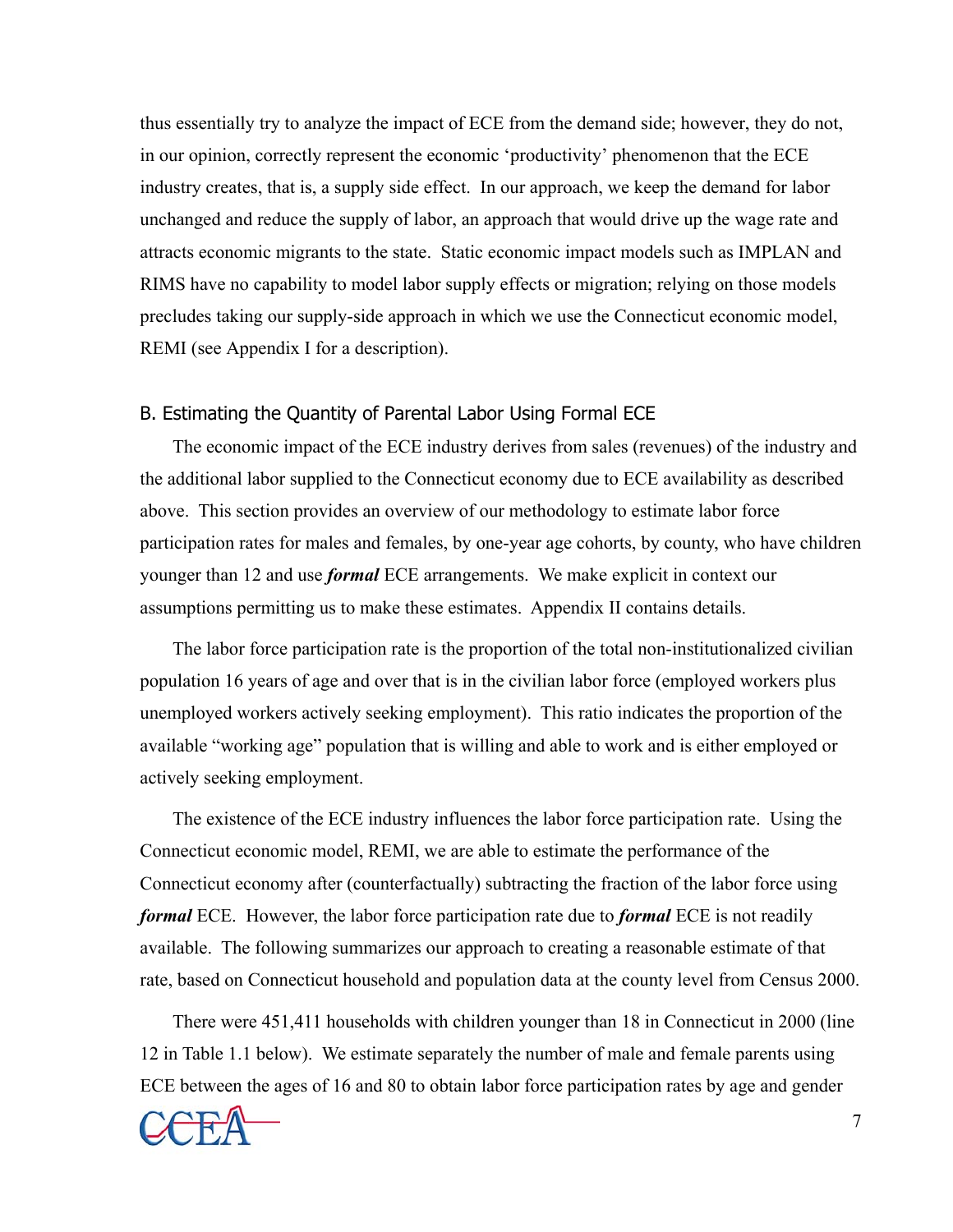thus essentially try to analyze the impact of ECE from the demand side; however, they do not, in our opinion, correctly represent the economic 'productivity' phenomenon that the ECE industry creates, that is, a supply side effect. In our approach, we keep the demand for labor unchanged and reduce the supply of labor, an approach that would drive up the wage rate and attracts economic migrants to the state. Static economic impact models such as IMPLAN and RIMS have no capability to model labor supply effects or migration; relying on those models precludes taking our supply-side approach in which we use the Connecticut economic model, REMI (see Appendix I for a description).

#### B. Estimating the Quantity of Parental Labor Using Formal ECE

The economic impact of the ECE industry derives from sales (revenues) of the industry and the additional labor supplied to the Connecticut economy due to ECE availability as described above. This section provides an overview of our methodology to estimate labor force participation rates for males and females, by one-year age cohorts, by county, who have children younger than 12 and use *formal* ECE arrangements. We make explicit in context our assumptions permitting us to make these estimates. Appendix II contains details.

The labor force participation rate is the proportion of the total non-institutionalized civilian population 16 years of age and over that is in the civilian labor force (employed workers plus unemployed workers actively seeking employment). This ratio indicates the proportion of the available "working age" population that is willing and able to work and is either employed or actively seeking employment.

The existence of the ECE industry influences the labor force participation rate. Using the Connecticut economic model, REMI, we are able to estimate the performance of the Connecticut economy after (counterfactually) subtracting the fraction of the labor force using *formal* ECE. However, the labor force participation rate due to *formal* ECE is not readily available. The following summarizes our approach to creating a reasonable estimate of that rate, based on Connecticut household and population data at the county level from Census 2000.

There were 451,411 households with children younger than 18 in Connecticut in 2000 (line 12 in Table 1.1 below). We estimate separately the number of male and female parents using ECE between the ages of 16 and 80 to obtain labor force participation rates by age and gender

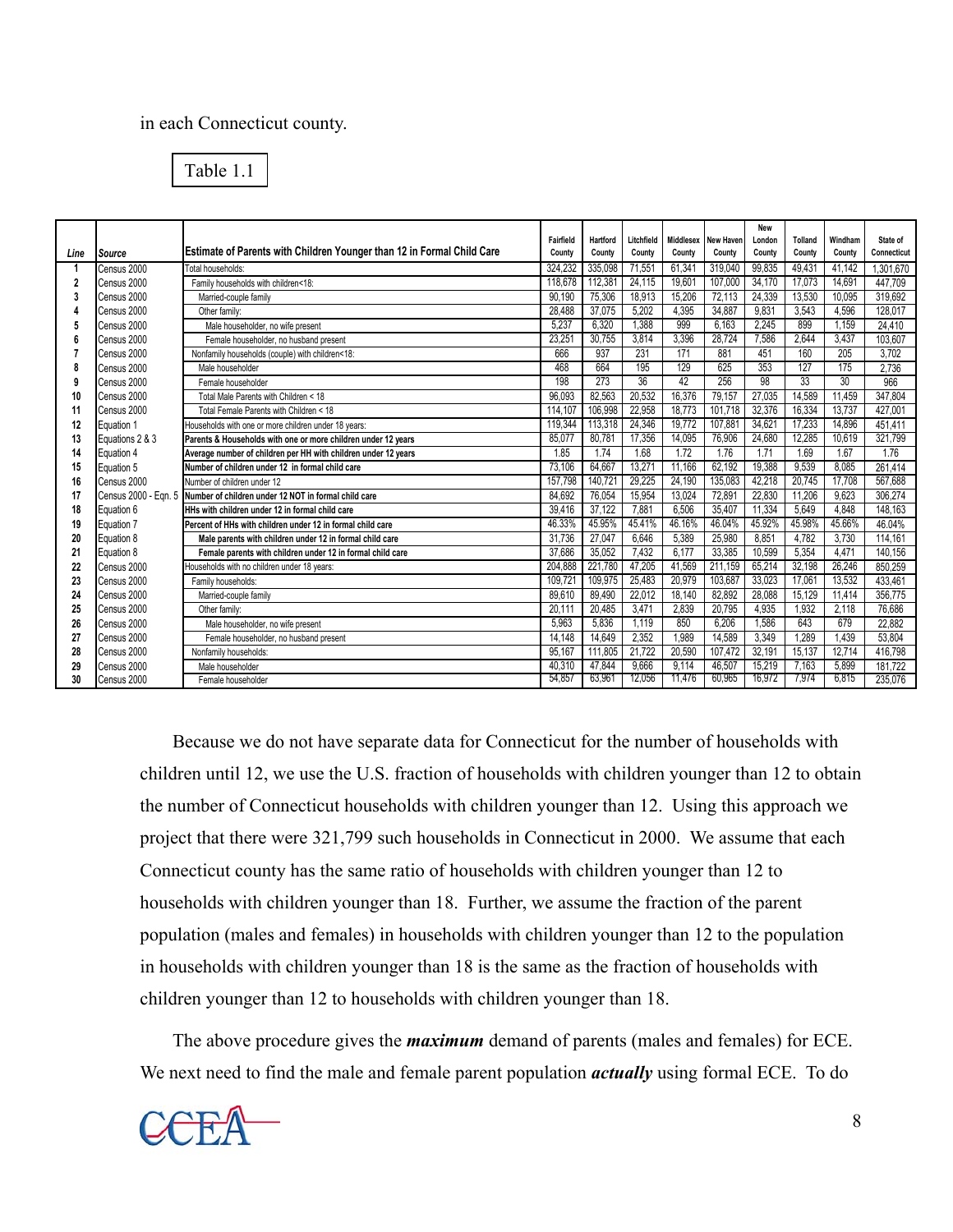#### in each Connecticut county.

| Table 1.1 |  |
|-----------|--|
|-----------|--|

|                         |                 |                                                                           |           |          |            |        |                     | <b>New</b> |                |         |             |
|-------------------------|-----------------|---------------------------------------------------------------------------|-----------|----------|------------|--------|---------------------|------------|----------------|---------|-------------|
|                         |                 |                                                                           | Fairfield | Hartford | Litchfield |        | Middlesex New Haven | London     | <b>Tolland</b> | Windham | State of    |
| Line                    | Source          | Estimate of Parents with Children Younger than 12 in Formal Child Care    | County    | County   | County     | County | County              | County     | County         | County  | Connecticut |
|                         | Census 2000     | Total households:                                                         | 324.232   | 335,098  | 71,551     | 61,341 | 319,040             | 99,835     | 49.431         | 41.142  | 1.301.670   |
| $\overline{\mathbf{2}}$ | Census 2000     | Family households with children<18:                                       | 118.678   | 112,381  | 24.115     | 19.601 | 107.000             | 34,170     | 17.073         | 14.691  | 447,709     |
|                         | Census 2000     | Married-couple family                                                     | 90.190    | 75,306   | 18,913     | 15,206 | 72,113              | 24,339     | 13,530         | 10.095  | 319,692     |
|                         | Census 2000     | Other family:                                                             | 28.488    | 37.075   | 5.202      | 4.395  | 34,887              | 9.831      | 3.543          | 4.596   | 128.017     |
|                         | Census 2000     | Male householder, no wife present                                         | 5.237     | 6.320    | 1.388      | 999    | 6.163               | 2.245      | 899            | 1.159   | 24,410      |
|                         | Census 2000     | Female householder, no husband present                                    | 23.251    | 30.755   | 3.814      | 3.396  | 28.724              | 7.586      | 2.644          | 3.437   | 103.607     |
|                         | Census 2000     | Nonfamily households (couple) with children<18:                           | 666       | 937      | 231        | 171    | 881                 | 451        | 160            | 205     | 3,702       |
|                         | Census 2000     | Male householder                                                          | 468       | 664      | 195        | 129    | 625                 | 353        | 127            | 175     | 2.736       |
|                         | Census 2000     | Female householder                                                        | 198       | 273      | 36         | 42     | 256                 | 98         | 33             | 30      | 966         |
| 10                      | Census 2000     | Total Male Parents with Children < 18                                     | 96.093    | 82.563   | 20.532     | 16.376 | 79,157              | 27.035     | 14,589         | 11.459  | 347.804     |
| 11                      | Census 2000     | Total Female Parents with Children < 18                                   | 114,107   | 106,998  | 22,958     | 18,773 | 101,718             | 32,376     | 16,334         | 13,737  | 427.001     |
| 12                      | Equation 1      | Households with one or more children under 18 years:                      | 119.344   | 113.318  | 24.346     | 19.772 | 107.881             | 34.621     | 17.233         | 14.896  | 451.411     |
| 13                      | Equations 2 & 3 | Parents & Households with one or more children under 12 years             | 85,077    | 80,781   | 17,356     | 14,095 | 76,906              | 24,680     | 12,285         | 10,619  | 321,799     |
| 14                      | Equation 4      | Average number of children per HH with children under 12 years            | 1.85      | 1.74     | 1.68       | 1.72   | 1.76                | 1.71       | 1.69           | 1.67    | 1.76        |
| 15                      | Equation 5      | Number of children under 12 in formal child care                          | 73.106    | 64,667   | 13.271     | 11.166 | 62,192              | 19.388     | 9.539          | 8.085   | 261.414     |
| 16                      | Census 2000     | Number of children under 12                                               | 157.798   | 140.721  | 29.225     | 24.190 | 135.083             | 42,218     | 20,745         | 17,708  | 567.688     |
| 17                      |                 | Census 2000 - Eqn. 5 Number of children under 12 NOT in formal child care | 84.692    | 76.054   | 15.954     | 13.024 | 72.891              | 22,830     | 11.206         | 9.623   | 306.274     |
| 18                      | Equation 6      | HHs with children under 12 in formal child care                           | 39,416    | 37,122   | 7,881      | 6.506  | 35,407              | 11,334     | 5,649          | 4.848   | 148,163     |
| 19                      | Equation 7      | Percent of HHs with children under 12 in formal child care                | 46.33%    | 45.95%   | 45.41%     | 46.16% | 46.04%              | 45.92%     | 45.98%         | 45.66%  | 46.04%      |
| 20                      | Equation 8      | Male parents with children under 12 in formal child care                  | 31.736    | 27.047   | 6.646      | 5.389  | 25,980              | 8.851      | 4.782          | 3,730   | 114,161     |
| 21                      | Equation 8      | Female parents with children under 12 in formal child care                | 37.686    | 35,052   | 7,432      | 6.177  | 33,385              | 10,599     | 5,354          | 4,471   | 140.156     |
| 22                      | Census 2000     | Households with no children under 18 years:                               | 204,888   | 221,780  | 47,205     | 41,569 | 211,159             | 65,214     | 32,198         | 26.246  | 850.259     |
| 23                      | Census 2000     | Family households:                                                        | 109.721   | 109,975  | 25.483     | 20.979 | 103,687             | 33.023     | 17.06          | 13.532  | 433.461     |
| 24                      | Census 2000     | Married-couple family                                                     | 89.610    | 89.490   | 22,012     | 18.140 | 82.892              | 28,088     | 15.129         | 11,414  | 356.775     |
| 25                      | Census 2000     | Other family:                                                             | 20.111    | 20.485   | 3.471      | 2.839  | 20.795              | 4,935      | 1.932          | 2.118   | 76,686      |
| 26                      | Census 2000     | Male householder, no wife present                                         | 5.963     | 5.836    | 1.119      | 850    | 6.206               | 1.586      | 643            | 679     | 22.882      |
| 27                      | Census 2000     | Female householder, no husband present                                    | 14.148    | 14.649   | 2.352      | 1.989  | 14.589              | 3.349      | 1.289          | 1.439   | 53.804      |
| 28                      | Census 2000     | Nonfamily households:                                                     | 95.167    | 111.805  | 21.722     | 20.590 | 107.472             | 32.191     | 15.137         | 12.714  | 416.798     |
| 29                      | Census 2000     | Male householder                                                          | 40.310    | 47,844   | 9.666      | 9.114  | 46,507              | 15,219     | 7.163          | 5.899   | 181.722     |
| 30                      | Census 2000     | Female householder                                                        | 54.857    | 63,961   | 12.056     | 11.476 | 60.965              | 16.972     | 7.974          | 6.815   | 235.076     |

Because we do not have separate data for Connecticut for the number of households with children until 12, we use the U.S. fraction of households with children younger than 12 to obtain the number of Connecticut households with children younger than 12. Using this approach we project that there were 321,799 such households in Connecticut in 2000. We assume that each Connecticut county has the same ratio of households with children younger than 12 to households with children younger than 18. Further, we assume the fraction of the parent population (males and females) in households with children younger than 12 to the population in households with children younger than 18 is the same as the fraction of households with children younger than 12 to households with children younger than 18.

The above procedure gives the *maximum* demand of parents (males and females) for ECE. We next need to find the male and female parent population *actually* using formal ECE. To do

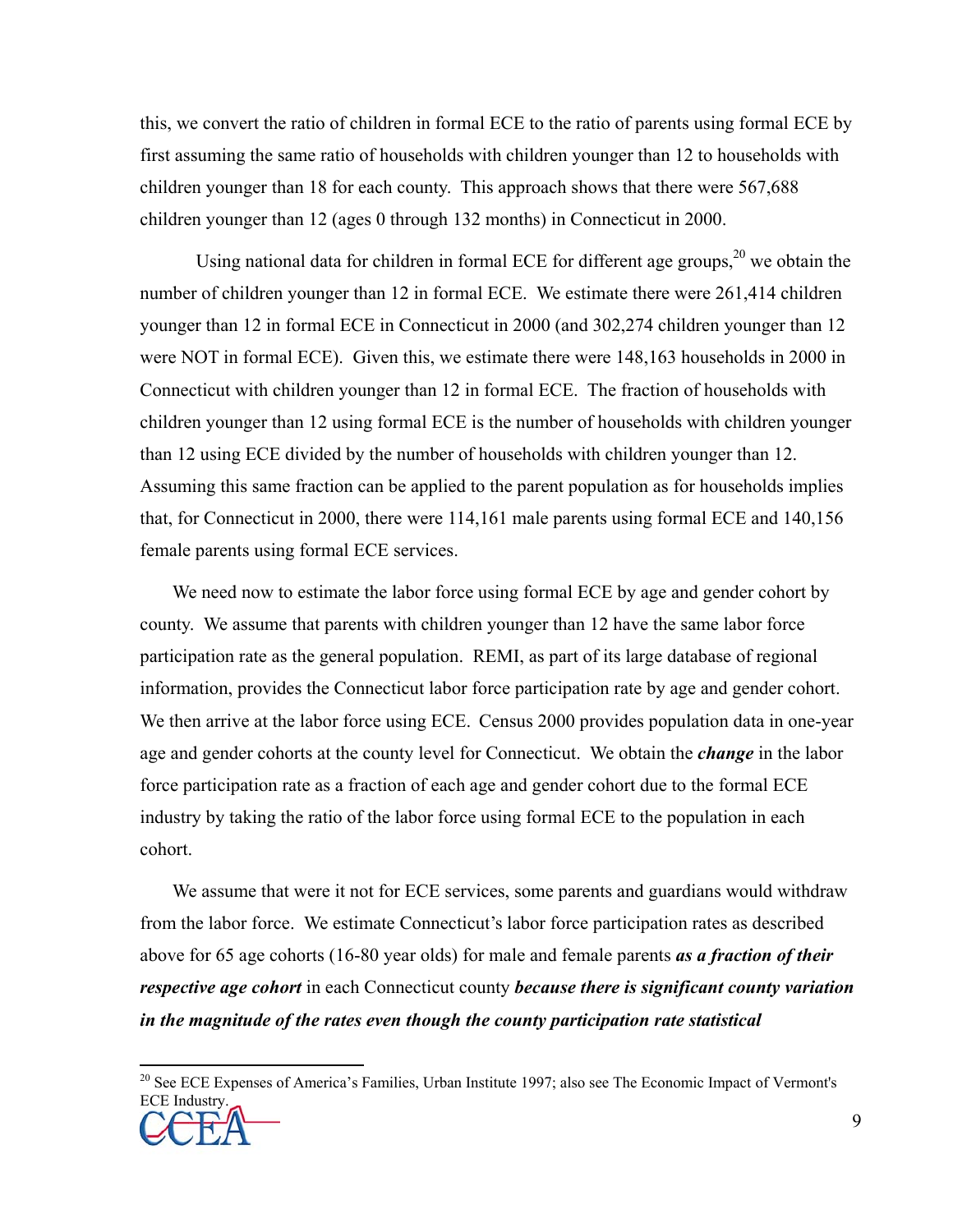this, we convert the ratio of children in formal ECE to the ratio of parents using formal ECE by first assuming the same ratio of households with children younger than 12 to households with children younger than 18 for each county. This approach shows that there were 567,688 children younger than 12 (ages 0 through 132 months) in Connecticut in 2000.

Using national data for children in formal ECE for different age groups, $20$  we obtain the number of children younger than 12 in formal ECE. We estimate there were 261,414 children younger than 12 in formal ECE in Connecticut in 2000 (and 302,274 children younger than 12 were NOT in formal ECE). Given this, we estimate there were 148,163 households in 2000 in Connecticut with children younger than 12 in formal ECE. The fraction of households with children younger than 12 using formal ECE is the number of households with children younger than 12 using ECE divided by the number of households with children younger than 12. Assuming this same fraction can be applied to the parent population as for households implies that, for Connecticut in 2000, there were 114,161 male parents using formal ECE and 140,156 female parents using formal ECE services.

We need now to estimate the labor force using formal ECE by age and gender cohort by county. We assume that parents with children younger than 12 have the same labor force participation rate as the general population. REMI, as part of its large database of regional information, provides the Connecticut labor force participation rate by age and gender cohort. We then arrive at the labor force using ECE. Census 2000 provides population data in one-year age and gender cohorts at the county level for Connecticut. We obtain the *change* in the labor force participation rate as a fraction of each age and gender cohort due to the formal ECE industry by taking the ratio of the labor force using formal ECE to the population in each cohort.

We assume that were it not for ECE services, some parents and guardians would withdraw from the labor force. We estimate Connecticut's labor force participation rates as described above for 65 age cohorts (16-80 year olds) for male and female parents *as a fraction of their respective age cohort* in each Connecticut county *because there is significant county variation in the magnitude of the rates even though the county participation rate statistical* 

<u>.</u>

<sup>&</sup>lt;sup>20</sup> See ECE Expenses of America's Families, Urban Institute 1997; also see The Economic Impact of Vermont's ECE Industry.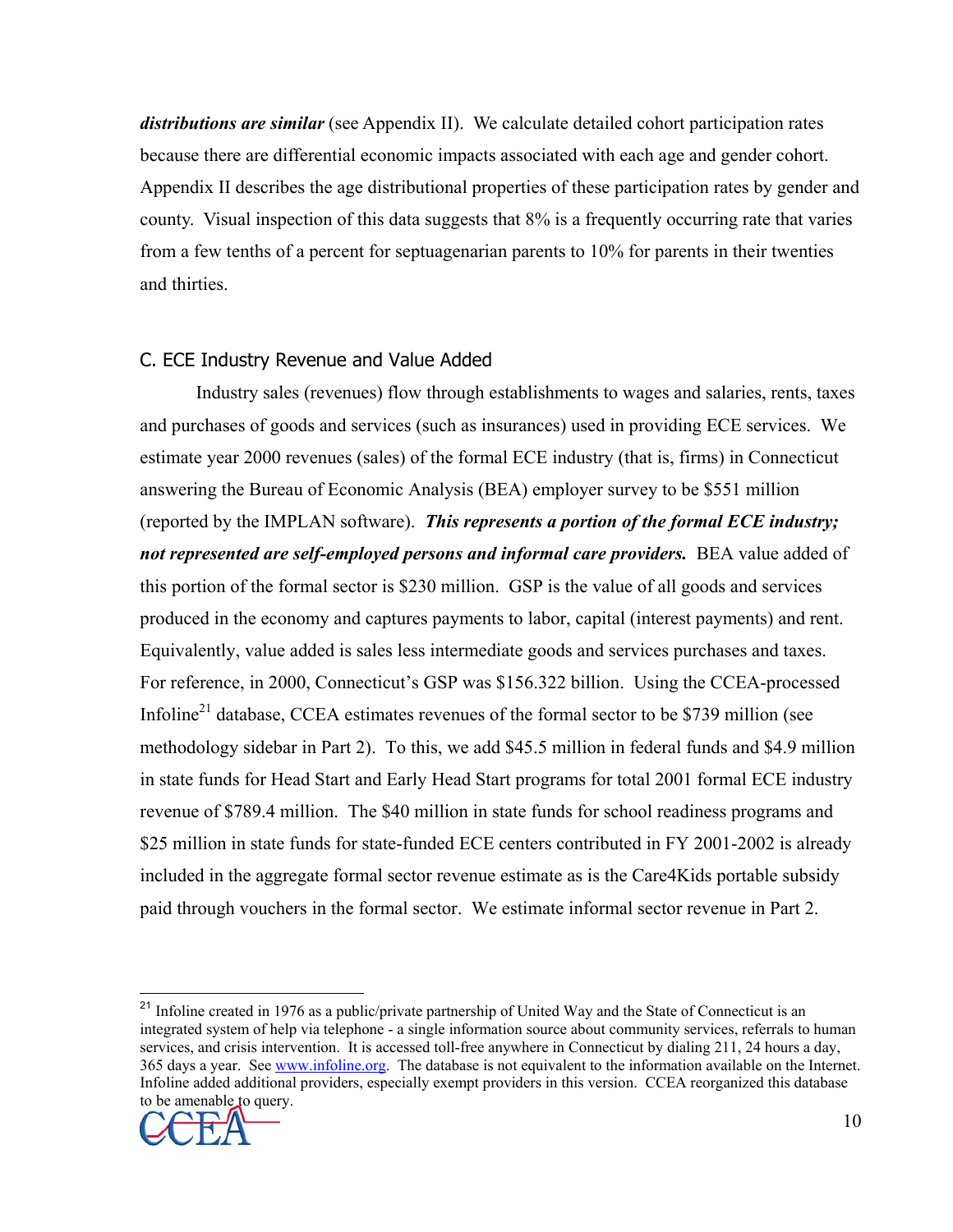*distributions are similar* (see Appendix II). We calculate detailed cohort participation rates because there are differential economic impacts associated with each age and gender cohort. Appendix II describes the age distributional properties of these participation rates by gender and county. Visual inspection of this data suggests that 8% is a frequently occurring rate that varies from a few tenths of a percent for septuagenarian parents to 10% for parents in their twenties and thirties.

#### C. ECE Industry Revenue and Value Added

 Industry sales (revenues) flow through establishments to wages and salaries, rents, taxes and purchases of goods and services (such as insurances) used in providing ECE services. We estimate year 2000 revenues (sales) of the formal ECE industry (that is, firms) in Connecticut answering the Bureau of Economic Analysis (BEA) employer survey to be \$551 million (reported by the IMPLAN software). *This represents a portion of the formal ECE industry; not represented are self-employed persons and informal care providers.* BEA value added of this portion of the formal sector is \$230 million. GSP is the value of all goods and services produced in the economy and captures payments to labor, capital (interest payments) and rent. Equivalently, value added is sales less intermediate goods and services purchases and taxes. For reference, in 2000, Connecticut's GSP was \$156.322 billion. Using the CCEA-processed Infoline<sup>21</sup> database, CCEA estimates revenues of the formal sector to be \$739 million (see methodology sidebar in Part 2). To this, we add \$45.5 million in federal funds and \$4.9 million in state funds for Head Start and Early Head Start programs for total 2001 formal ECE industry revenue of \$789.4 million. The \$40 million in state funds for school readiness programs and \$25 million in state funds for state-funded ECE centers contributed in FY 2001-2002 is already included in the aggregate formal sector revenue estimate as is the Care4Kids portable subsidy paid through vouchers in the formal sector. We estimate informal sector revenue in Part 2.

 $\overline{a}$ <sup>21</sup> Infoline created in 1976 as a public/private partnership of United Way and the State of Connecticut is an integrated system of help via telephone - a single information source about community services, referrals to human services, and crisis intervention. It is accessed toll-free anywhere in Connecticut by dialing 211, 24 hours a day, 365 days a year. See www.infoline.org. The database is not equivalent to the information available on the Internet. Infoline added additional providers, especially exempt providers in this version. CCEA reorganized this database to be amenable to query.

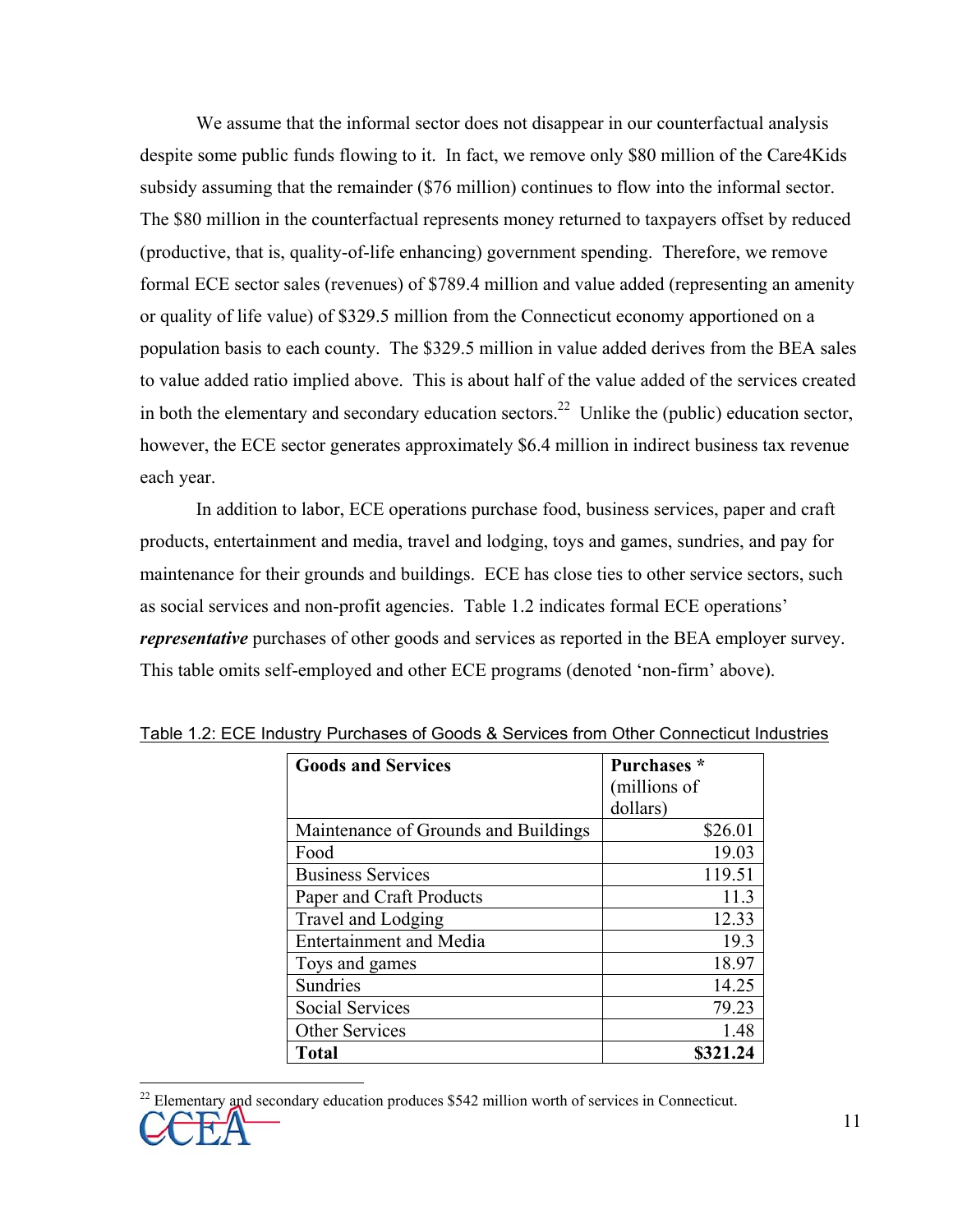We assume that the informal sector does not disappear in our counterfactual analysis despite some public funds flowing to it. In fact, we remove only \$80 million of the Care4Kids subsidy assuming that the remainder (\$76 million) continues to flow into the informal sector. The \$80 million in the counterfactual represents money returned to taxpayers offset by reduced (productive, that is, quality-of-life enhancing) government spending. Therefore, we remove formal ECE sector sales (revenues) of \$789.4 million and value added (representing an amenity or quality of life value) of \$329.5 million from the Connecticut economy apportioned on a population basis to each county. The \$329.5 million in value added derives from the BEA sales to value added ratio implied above. This is about half of the value added of the services created in both the elementary and secondary education sectors.<sup>22</sup> Unlike the (public) education sector, however, the ECE sector generates approximately \$6.4 million in indirect business tax revenue each year.

 In addition to labor, ECE operations purchase food, business services, paper and craft products, entertainment and media, travel and lodging, toys and games, sundries, and pay for maintenance for their grounds and buildings. ECE has close ties to other service sectors, such as social services and non-profit agencies. Table 1.2 indicates formal ECE operations' *representative* purchases of other goods and services as reported in the BEA employer survey. This table omits self-employed and other ECE programs (denoted 'non-firm' above).

| <b>Goods and Services</b>            | Purchases *  |
|--------------------------------------|--------------|
|                                      | (millions of |
|                                      | dollars)     |
| Maintenance of Grounds and Buildings | \$26.01      |
| Food                                 | 19.03        |
| <b>Business Services</b>             | 119.51       |
| Paper and Craft Products             | 11.3         |
| Travel and Lodging                   | 12.33        |
| <b>Entertainment and Media</b>       | 19.3         |
| Toys and games                       | 18.97        |
| <b>Sundries</b>                      | 14.25        |
| Social Services                      | 79.23        |
| <b>Other Services</b>                | 1.48         |
| Total                                | \$321.24     |

Table 1.2: ECE Industry Purchases of Goods & Services from Other Connecticut Industries

 $\overline{a}$ 

<sup>22</sup> Elementary and secondary education produces \$542 million worth of services in Connecticut.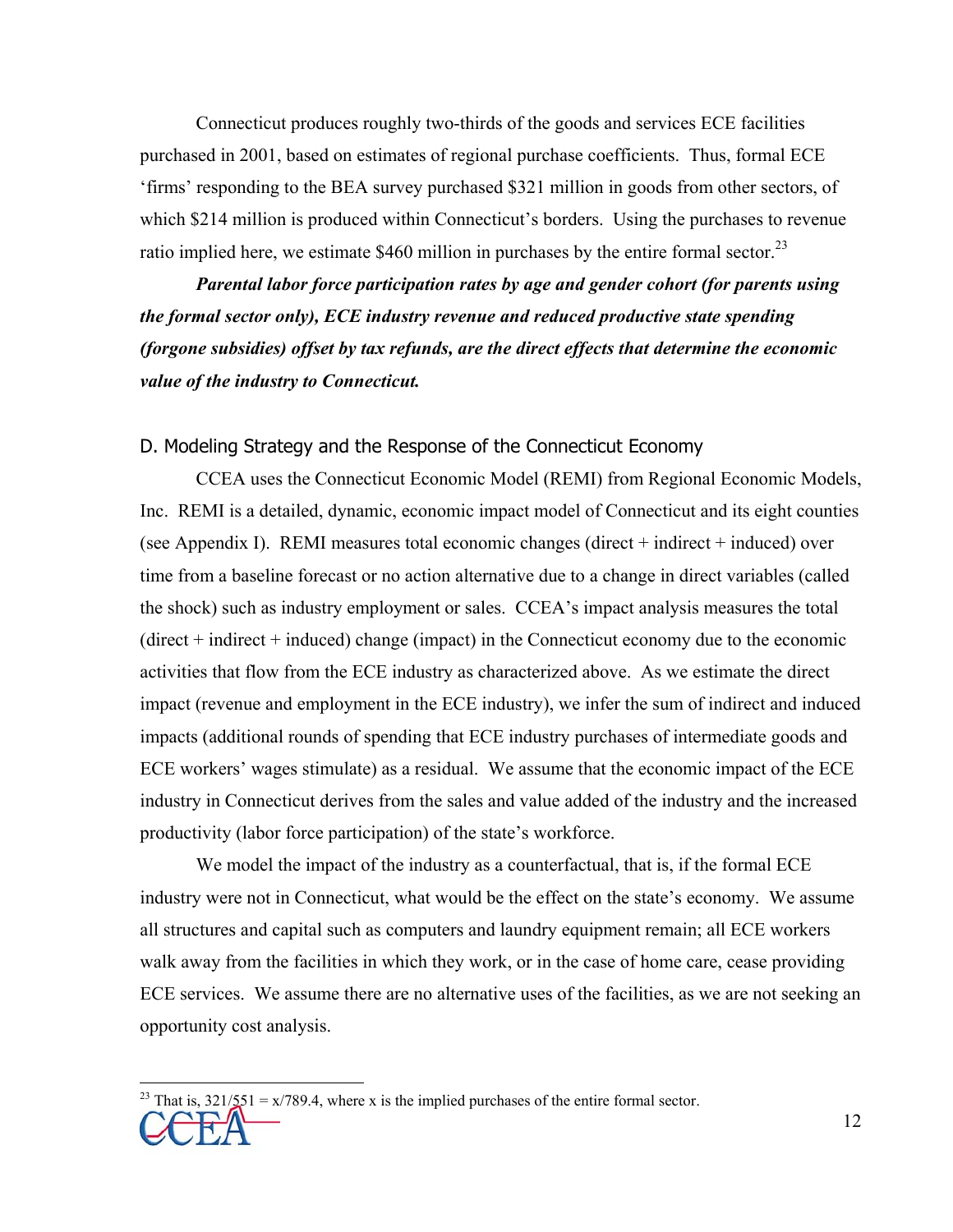Connecticut produces roughly two-thirds of the goods and services ECE facilities purchased in 2001, based on estimates of regional purchase coefficients. Thus, formal ECE 'firms' responding to the BEA survey purchased \$321 million in goods from other sectors, of which \$214 million is produced within Connecticut's borders. Using the purchases to revenue ratio implied here, we estimate  $$460$  million in purchases by the entire formal sector.<sup>23</sup>

*Parental labor force participation rates by age and gender cohort (for parents using the formal sector only), ECE industry revenue and reduced productive state spending (forgone subsidies) offset by tax refunds, are the direct effects that determine the economic value of the industry to Connecticut.* 

#### D. Modeling Strategy and the Response of the Connecticut Economy

 CCEA uses the Connecticut Economic Model (REMI) from Regional Economic Models, Inc. REMI is a detailed, dynamic, economic impact model of Connecticut and its eight counties (see Appendix I). REMI measures total economic changes (direct + indirect + induced) over time from a baseline forecast or no action alternative due to a change in direct variables (called the shock) such as industry employment or sales. CCEA's impact analysis measures the total (direct + indirect + induced) change (impact) in the Connecticut economy due to the economic activities that flow from the ECE industry as characterized above. As we estimate the direct impact (revenue and employment in the ECE industry), we infer the sum of indirect and induced impacts (additional rounds of spending that ECE industry purchases of intermediate goods and ECE workers' wages stimulate) as a residual. We assume that the economic impact of the ECE industry in Connecticut derives from the sales and value added of the industry and the increased productivity (labor force participation) of the state's workforce.

 We model the impact of the industry as a counterfactual, that is, if the formal ECE industry were not in Connecticut, what would be the effect on the state's economy. We assume all structures and capital such as computers and laundry equipment remain; all ECE workers walk away from the facilities in which they work, or in the case of home care, cease providing ECE services. We assume there are no alternative uses of the facilities, as we are not seeking an opportunity cost analysis.

 $\overline{a}$ 

<sup>&</sup>lt;sup>23</sup> That is,  $321/\sqrt{5} = x/789.4$ , where x is the implied purchases of the entire formal sector.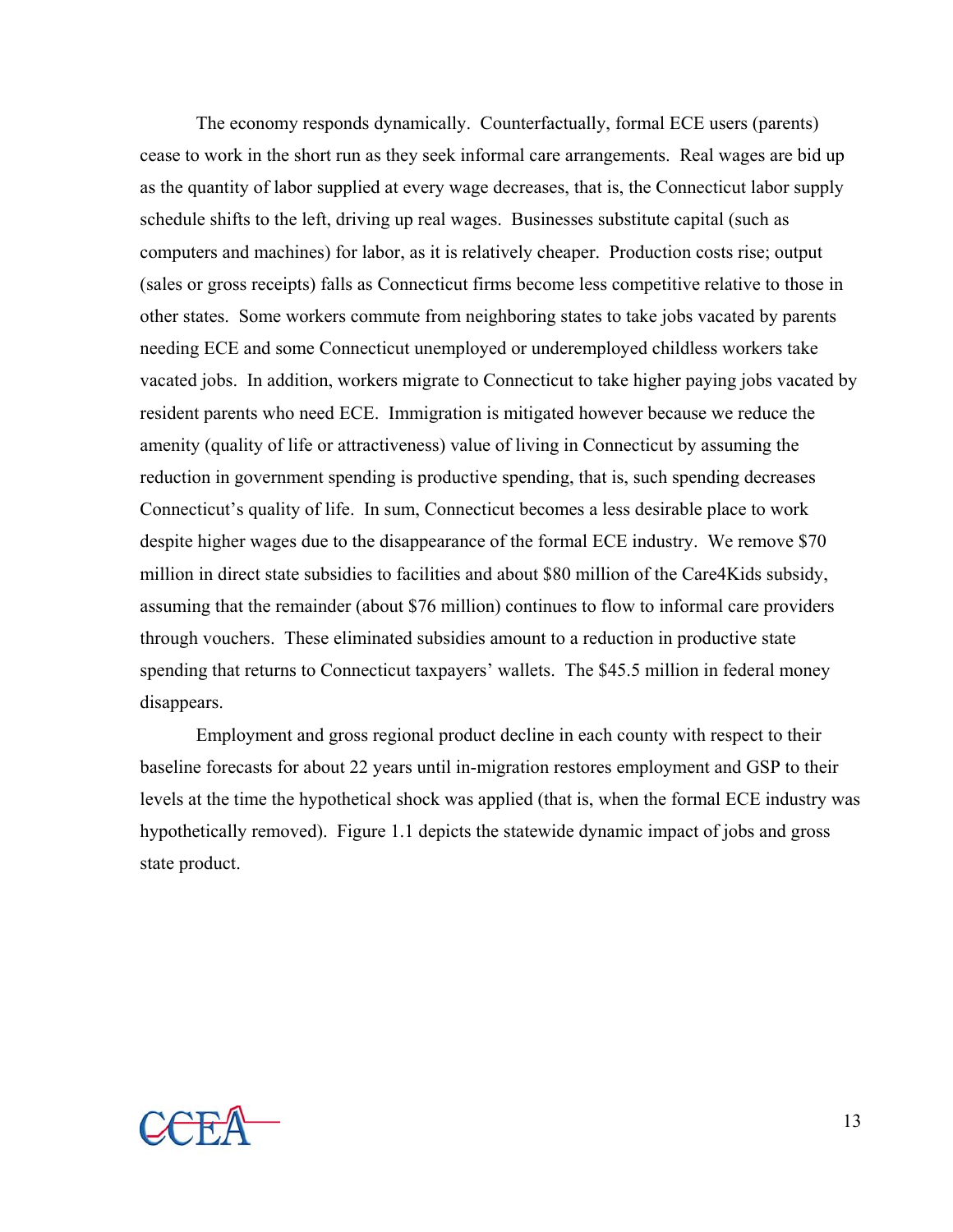The economy responds dynamically. Counterfactually, formal ECE users (parents) cease to work in the short run as they seek informal care arrangements. Real wages are bid up as the quantity of labor supplied at every wage decreases, that is, the Connecticut labor supply schedule shifts to the left, driving up real wages. Businesses substitute capital (such as computers and machines) for labor, as it is relatively cheaper. Production costs rise; output (sales or gross receipts) falls as Connecticut firms become less competitive relative to those in other states. Some workers commute from neighboring states to take jobs vacated by parents needing ECE and some Connecticut unemployed or underemployed childless workers take vacated jobs. In addition, workers migrate to Connecticut to take higher paying jobs vacated by resident parents who need ECE. Immigration is mitigated however because we reduce the amenity (quality of life or attractiveness) value of living in Connecticut by assuming the reduction in government spending is productive spending, that is, such spending decreases Connecticut's quality of life. In sum, Connecticut becomes a less desirable place to work despite higher wages due to the disappearance of the formal ECE industry. We remove \$70 million in direct state subsidies to facilities and about \$80 million of the Care4Kids subsidy, assuming that the remainder (about \$76 million) continues to flow to informal care providers through vouchers. These eliminated subsidies amount to a reduction in productive state spending that returns to Connecticut taxpayers' wallets. The \$45.5 million in federal money disappears.

 Employment and gross regional product decline in each county with respect to their baseline forecasts for about 22 years until in-migration restores employment and GSP to their levels at the time the hypothetical shock was applied (that is, when the formal ECE industry was hypothetically removed). Figure 1.1 depicts the statewide dynamic impact of jobs and gross state product.

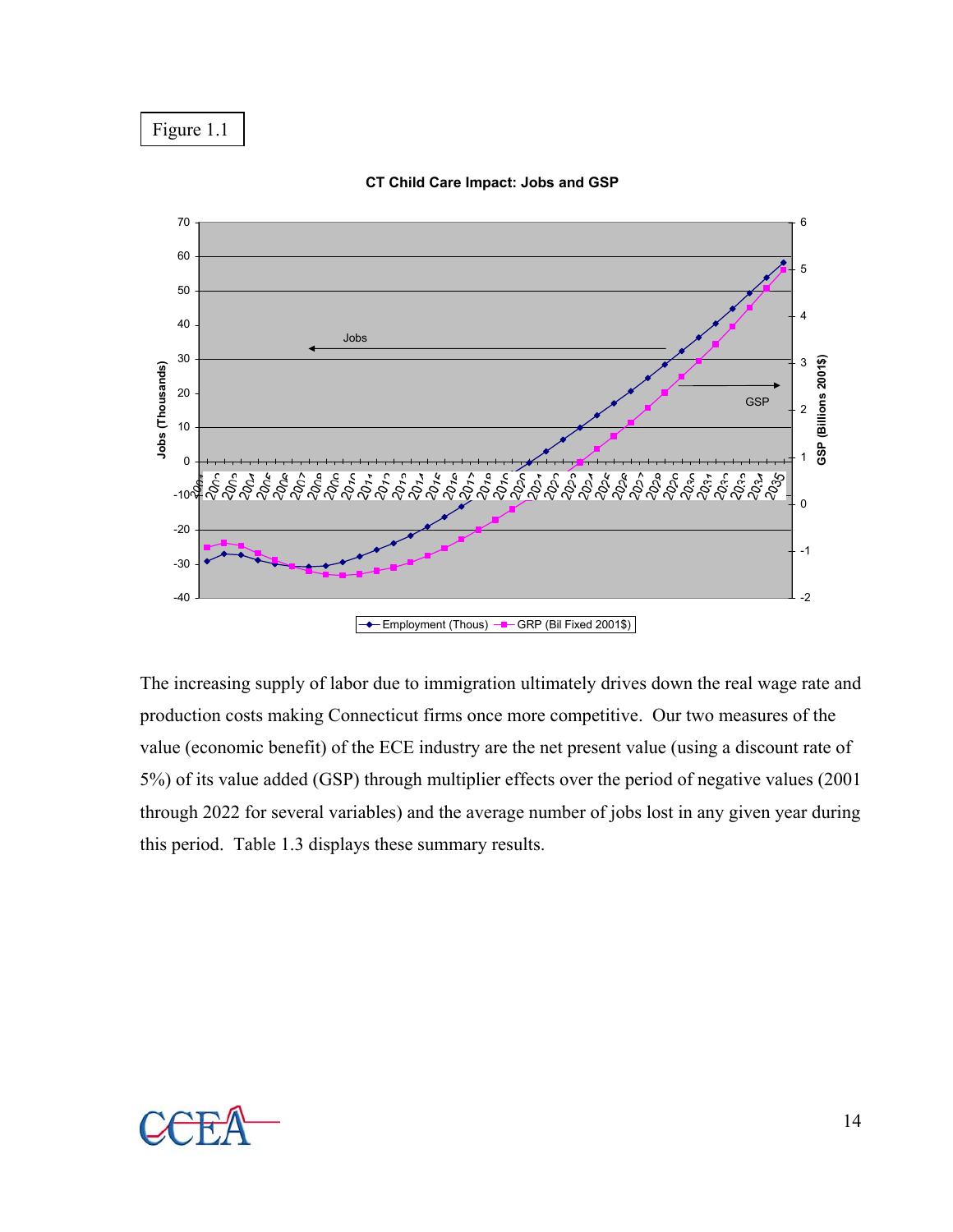Figure 1.1



**CT Child Care Impact: Jobs and GSP**

The increasing supply of labor due to immigration ultimately drives down the real wage rate and production costs making Connecticut firms once more competitive. Our two measures of the value (economic benefit) of the ECE industry are the net present value (using a discount rate of 5%) of its value added (GSP) through multiplier effects over the period of negative values (2001 through 2022 for several variables) and the average number of jobs lost in any given year during this period. Table 1.3 displays these summary results.



14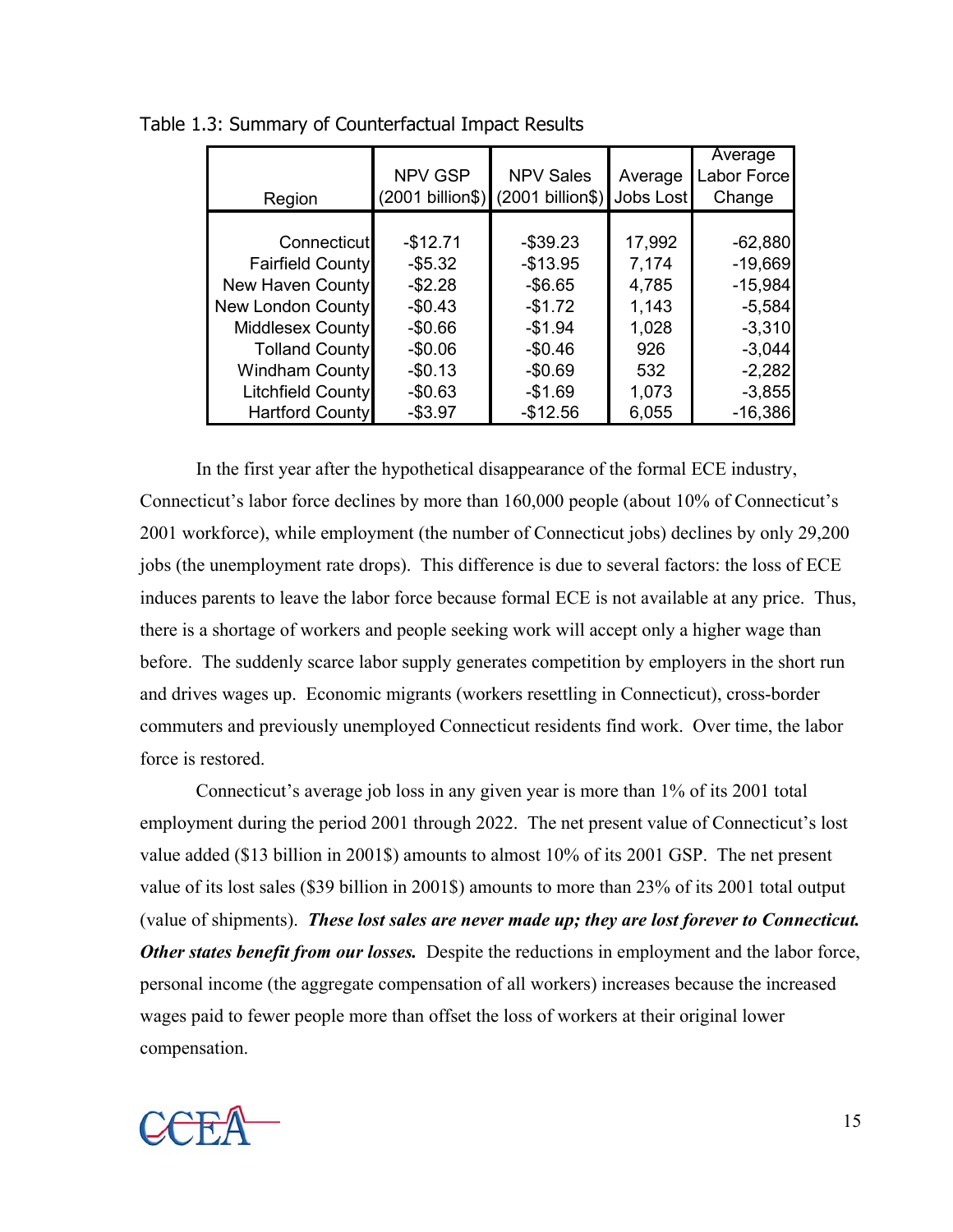|                          |                  |                  |           | Average     |
|--------------------------|------------------|------------------|-----------|-------------|
|                          | NPV GSP          | <b>NPV Sales</b> | Average   | Labor Force |
| Region                   | (2001 billion\$) | (2001 billion\$) | Jobs Lost | Change      |
|                          |                  |                  |           |             |
| Connecticut              | $-$12.71$        | $-$ \$39.23      | 17,992    | $-62,880$   |
| <b>Fairfield County</b>  | $-$5.32$         | $-$13.95$        | 7,174     | $-19,669$   |
| New Haven County         | $-$2.28$         | $-$6.65$         | 4,785     | $-15,984$   |
| New London County        | $-$0.43$         | $-$1.72$         | 1,143     | $-5,584$    |
| Middlesex County         | $-$0.66$         | $-$1.94$         | 1,028     | $-3,310$    |
| <b>Tolland County</b>    | $-$0.06$         | $-$0.46$         | 926       | $-3,044$    |
| <b>Windham County</b>    | $-$0.13$         | $-$0.69$         | 532       | $-2,282$    |
| <b>Litchfield County</b> | $-$0.63$         | $-$1.69$         | 1,073     | $-3,855$    |
| <b>Hartford County</b>   | $-$3.97$         | $-$12.56$        | 6,055     | $-16,386$   |

Table 1.3: Summary of Counterfactual Impact Results

 In the first year after the hypothetical disappearance of the formal ECE industry, Connecticut's labor force declines by more than 160,000 people (about 10% of Connecticut's 2001 workforce), while employment (the number of Connecticut jobs) declines by only 29,200 jobs (the unemployment rate drops). This difference is due to several factors: the loss of ECE induces parents to leave the labor force because formal ECE is not available at any price. Thus, there is a shortage of workers and people seeking work will accept only a higher wage than before. The suddenly scarce labor supply generates competition by employers in the short run and drives wages up. Economic migrants (workers resettling in Connecticut), cross-border commuters and previously unemployed Connecticut residents find work. Over time, the labor force is restored.

 Connecticut's average job loss in any given year is more than 1% of its 2001 total employment during the period 2001 through 2022. The net present value of Connecticut's lost value added (\$13 billion in 2001\$) amounts to almost 10% of its 2001 GSP. The net present value of its lost sales (\$39 billion in 2001\$) amounts to more than 23% of its 2001 total output (value of shipments). *These lost sales are never made up; they are lost forever to Connecticut. Other states benefit from our losses.* Despite the reductions in employment and the labor force, personal income (the aggregate compensation of all workers) increases because the increased wages paid to fewer people more than offset the loss of workers at their original lower compensation.

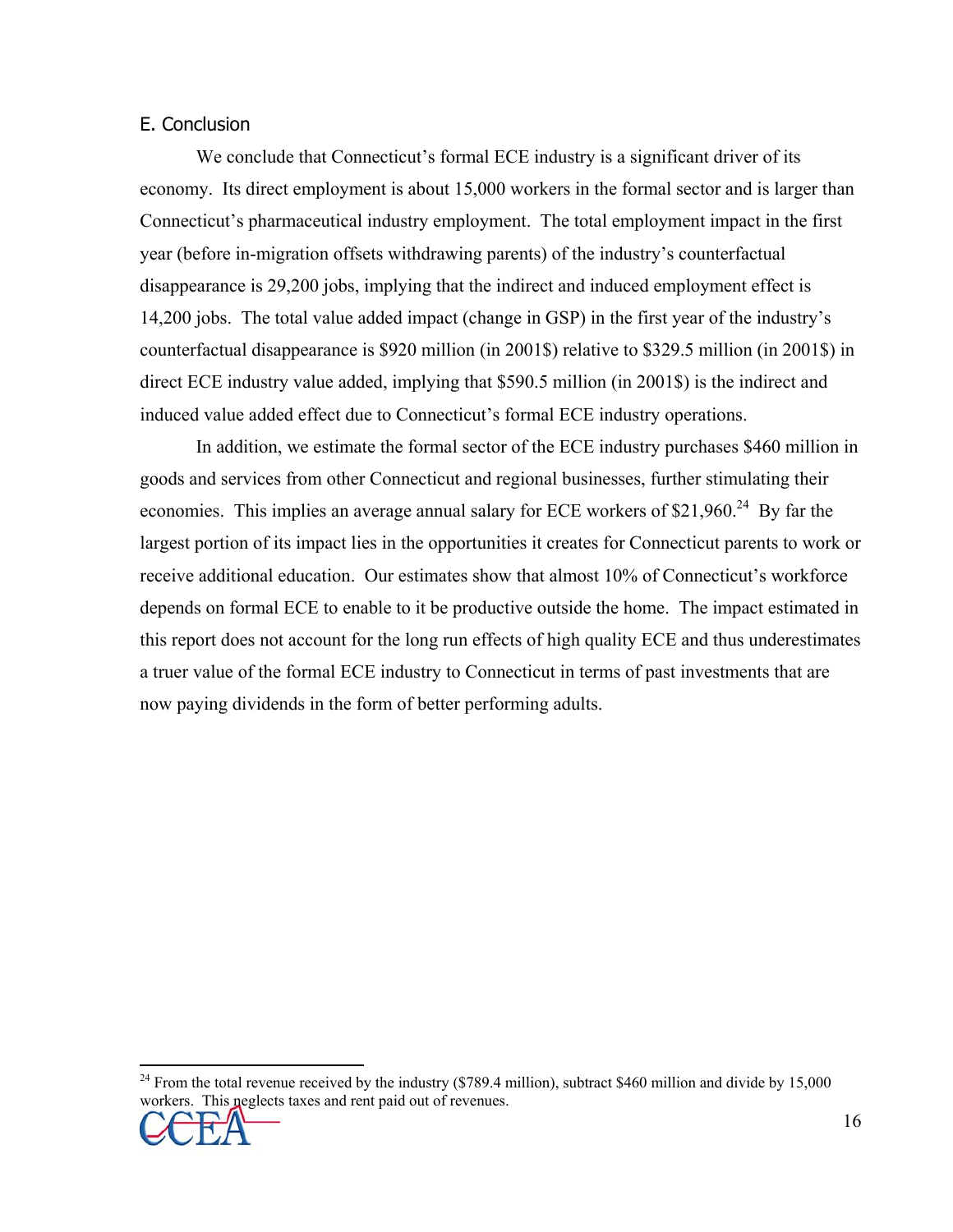## E. Conclusion

 We conclude that Connecticut's formal ECE industry is a significant driver of its economy. Its direct employment is about 15,000 workers in the formal sector and is larger than Connecticut's pharmaceutical industry employment. The total employment impact in the first year (before in-migration offsets withdrawing parents) of the industry's counterfactual disappearance is 29,200 jobs, implying that the indirect and induced employment effect is 14,200 jobs. The total value added impact (change in GSP) in the first year of the industry's counterfactual disappearance is \$920 million (in 2001\$) relative to \$329.5 million (in 2001\$) in direct ECE industry value added, implying that \$590.5 million (in 2001\$) is the indirect and induced value added effect due to Connecticut's formal ECE industry operations.

 In addition, we estimate the formal sector of the ECE industry purchases \$460 million in goods and services from other Connecticut and regional businesses, further stimulating their economies. This implies an average annual salary for ECE workers of  $$21,960.<sup>24</sup>$  By far the largest portion of its impact lies in the opportunities it creates for Connecticut parents to work or receive additional education. Our estimates show that almost 10% of Connecticut's workforce depends on formal ECE to enable to it be productive outside the home. The impact estimated in this report does not account for the long run effects of high quality ECE and thus underestimates a truer value of the formal ECE industry to Connecticut in terms of past investments that are now paying dividends in the form of better performing adults.

<sup>&</sup>lt;sup>24</sup> From the total revenue received by the industry (\$789.4 million), subtract \$460 million and divide by 15,000 workers. This neglects taxes and rent paid out of revenues.



 $\overline{a}$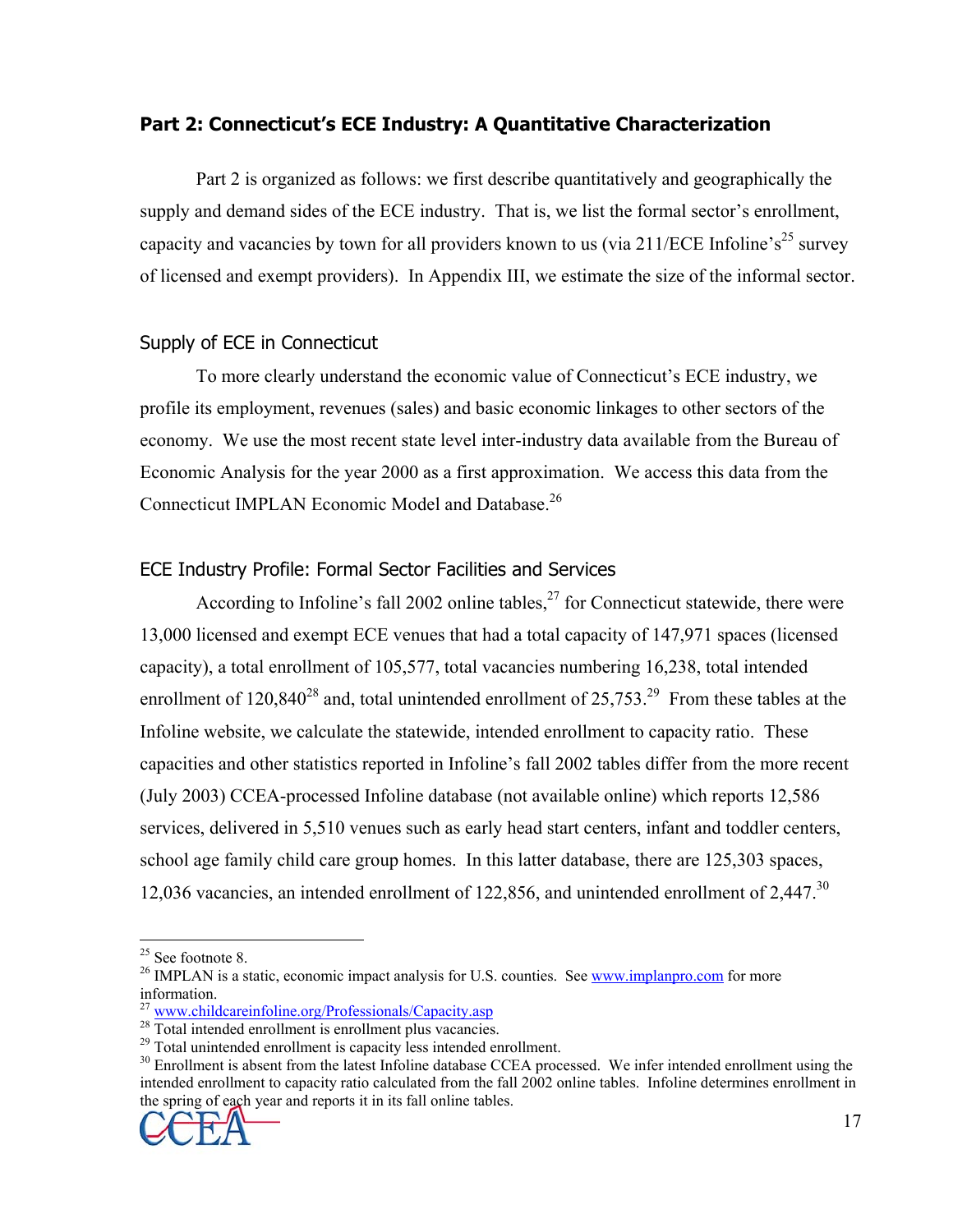## **Part 2: Connecticut's ECE Industry: A Quantitative Characterization**

Part 2 is organized as follows: we first describe quantitatively and geographically the supply and demand sides of the ECE industry. That is, we list the formal sector's enrollment, capacity and vacancies by town for all providers known to us (via  $211/ECE$  Infoline's<sup>25</sup> survey of licensed and exempt providers). In Appendix III, we estimate the size of the informal sector.

## Supply of ECE in Connecticut

 To more clearly understand the economic value of Connecticut's ECE industry, we profile its employment, revenues (sales) and basic economic linkages to other sectors of the economy. We use the most recent state level inter-industry data available from the Bureau of Economic Analysis for the year 2000 as a first approximation. We access this data from the Connecticut IMPLAN Economic Model and Database.<sup>26</sup>

## ECE Industry Profile: Formal Sector Facilities and Services

According to Infoline's fall 2002 online tables,  $2^7$  for Connecticut statewide, there were 13,000 licensed and exempt ECE venues that had a total capacity of 147,971 spaces (licensed capacity), a total enrollment of 105,577, total vacancies numbering 16,238, total intended enrollment of  $120,840^{28}$  and, total unintended enrollment of  $25,753^{29}$  From these tables at the Infoline website, we calculate the statewide, intended enrollment to capacity ratio. These capacities and other statistics reported in Infoline's fall 2002 tables differ from the more recent (July 2003) CCEA-processed Infoline database (not available online) which reports 12,586 services, delivered in 5,510 venues such as early head start centers, infant and toddler centers, school age family child care group homes. In this latter database, there are 125,303 spaces, 12,036 vacancies, an intended enrollment of 122,856, and unintended enrollment of 2,447.<sup>30</sup>

1

 $30$  Enrollment is absent from the latest Infoline database CCEA processed. We infer intended enrollment using the intended enrollment to capacity ratio calculated from the fall 2002 online tables. Infoline determines enrollment in the spring of each year and reports it in its fall online tables.



 $25$  See footnote 8.

<sup>&</sup>lt;sup>26</sup> IMPLAN is a static, economic impact analysis for U.S. counties. See www.implanpro.com for more information.

<sup>&</sup>lt;sup>27</sup> www.childcareinfoline.org/Professionals/Capacity.asp <sup>28</sup> Total intended enrollment is enrollment plus vacancies.

 $29$  Total unintended enrollment is capacity less intended enrollment.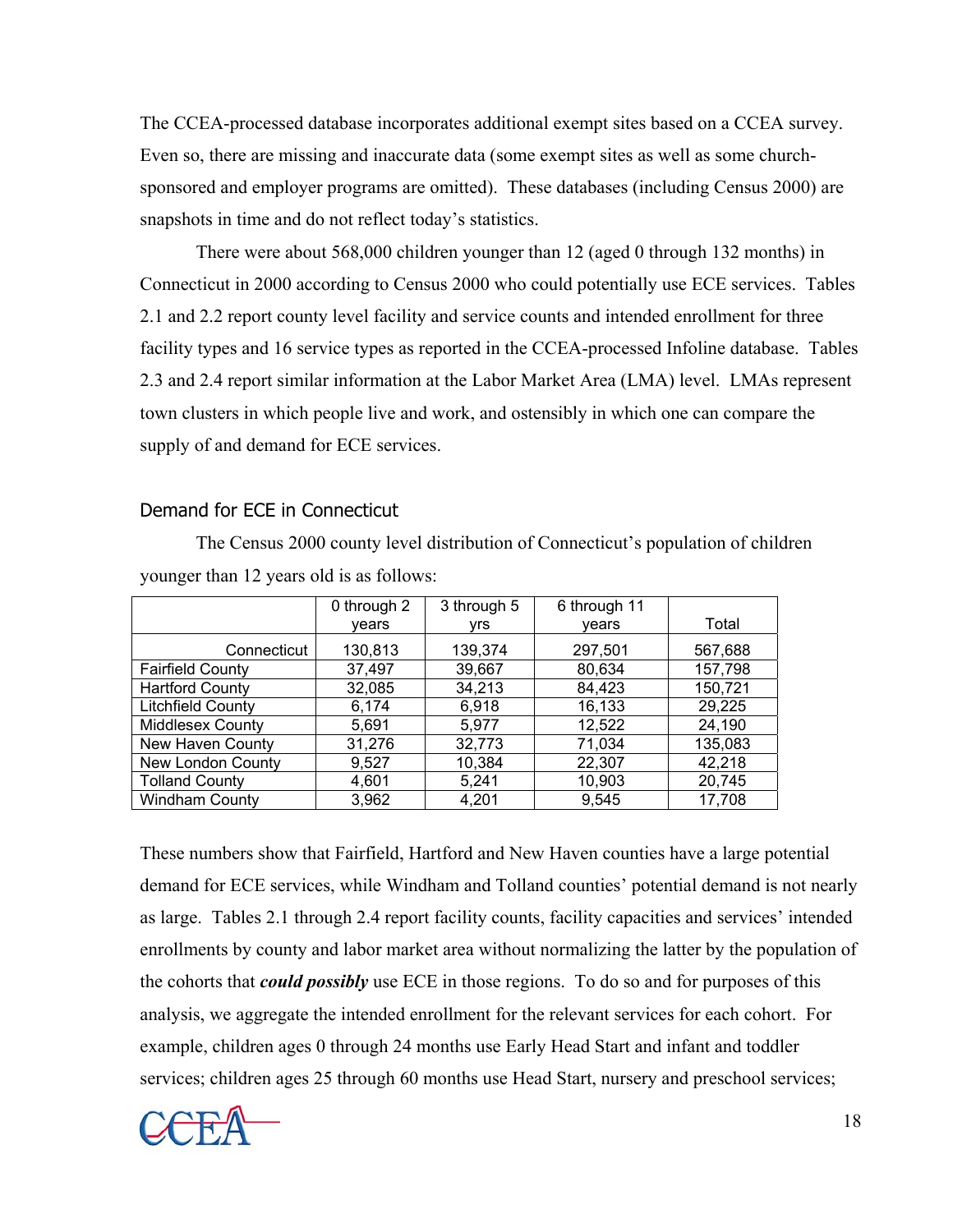The CCEA-processed database incorporates additional exempt sites based on a CCEA survey. Even so, there are missing and inaccurate data (some exempt sites as well as some churchsponsored and employer programs are omitted). These databases (including Census 2000) are snapshots in time and do not reflect today's statistics.

 There were about 568,000 children younger than 12 (aged 0 through 132 months) in Connecticut in 2000 according to Census 2000 who could potentially use ECE services. Tables 2.1 and 2.2 report county level facility and service counts and intended enrollment for three facility types and 16 service types as reported in the CCEA-processed Infoline database. Tables 2.3 and 2.4 report similar information at the Labor Market Area (LMA) level. LMAs represent town clusters in which people live and work, and ostensibly in which one can compare the supply of and demand for ECE services.

#### Demand for ECE in Connecticut

| younger than $12$ years old is as follows. |                      |                     |                       |         |  |  |  |  |  |  |  |  |
|--------------------------------------------|----------------------|---------------------|-----------------------|---------|--|--|--|--|--|--|--|--|
|                                            | 0 through 2<br>vears | 3 through 5<br>vrs. | 6 through 11<br>vears | Total   |  |  |  |  |  |  |  |  |
| Connecticut                                | 130,813              | 139,374             | 297,501               | 567,688 |  |  |  |  |  |  |  |  |
| <b>Fairfield County</b>                    | 37,497               | 39,667              | 80,634                | 157,798 |  |  |  |  |  |  |  |  |
| <b>Hartford County</b>                     | 32,085               | 34,213              | 84,423                | 150,721 |  |  |  |  |  |  |  |  |
| <b>Litchfield County</b>                   | 6,174                | 6,918               | 16,133                | 29,225  |  |  |  |  |  |  |  |  |
| <b>Middlesex County</b>                    | 5,691                | 5,977               | 12,522                | 24,190  |  |  |  |  |  |  |  |  |
| New Haven County                           | 31,276               | 32,773              | 71,034                | 135,083 |  |  |  |  |  |  |  |  |
| New London County                          | 9,527                | 10,384              | 22,307                | 42,218  |  |  |  |  |  |  |  |  |
| <b>Tolland County</b>                      | 4,601                | 5,241               | 10,903                | 20,745  |  |  |  |  |  |  |  |  |
| <b>Windham County</b>                      | 3,962                | 4,201               | 9,545                 | 17,708  |  |  |  |  |  |  |  |  |

 The Census 2000 county level distribution of Connecticut's population of children younger than 12 years old is as follows:

These numbers show that Fairfield, Hartford and New Haven counties have a large potential demand for ECE services, while Windham and Tolland counties' potential demand is not nearly as large. Tables 2.1 through 2.4 report facility counts, facility capacities and services' intended enrollments by county and labor market area without normalizing the latter by the population of the cohorts that *could possibly* use ECE in those regions. To do so and for purposes of this analysis, we aggregate the intended enrollment for the relevant services for each cohort. For example, children ages 0 through 24 months use Early Head Start and infant and toddler services; children ages 25 through 60 months use Head Start, nursery and preschool services;

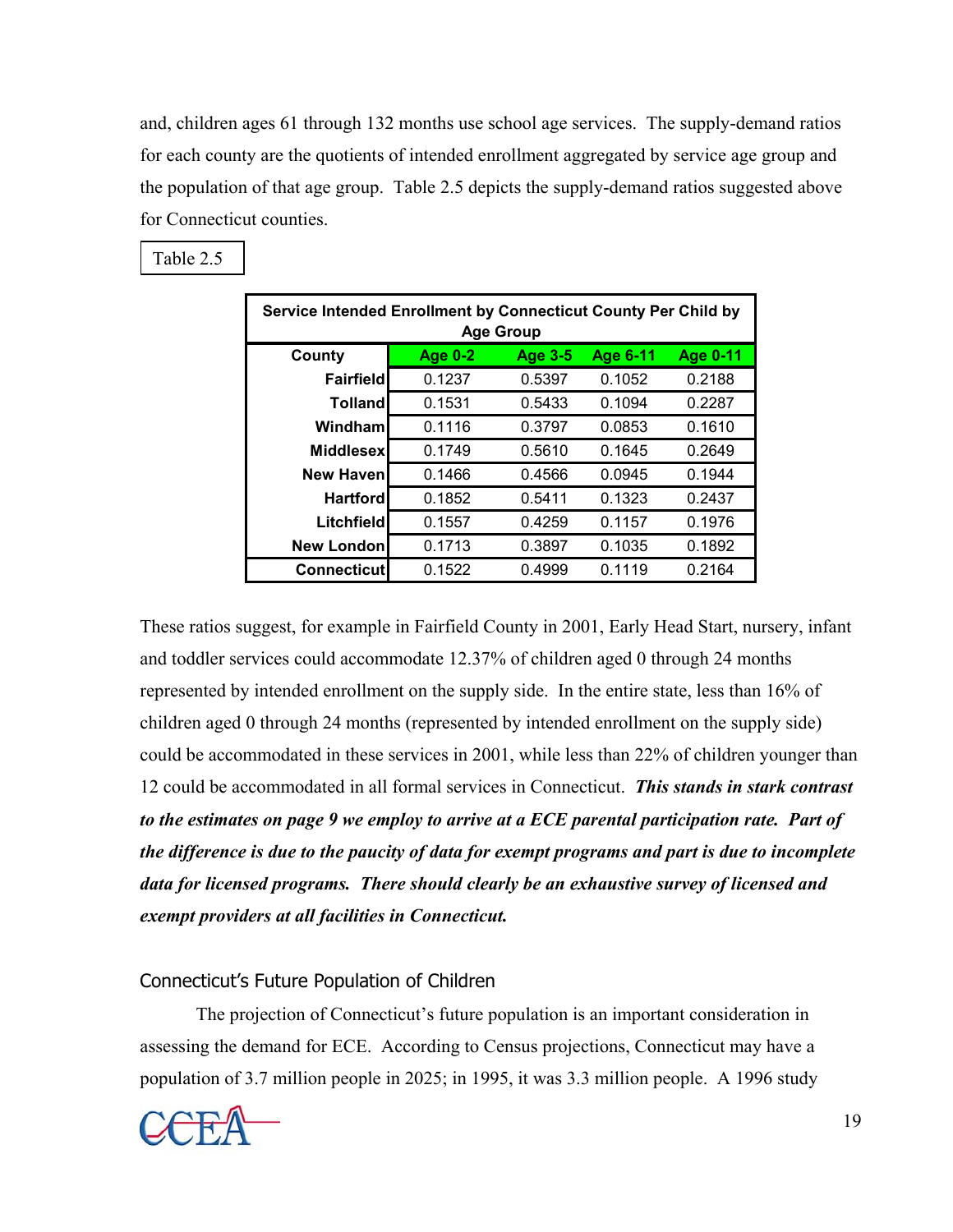and, children ages 61 through 132 months use school age services. The supply-demand ratios for each county are the quotients of intended enrollment aggregated by service age group and the population of that age group. Table 2.5 depicts the supply-demand ratios suggested above for Connecticut counties.

| Service Intended Enrollment by Connecticut County Per Child by<br><b>Age Group</b> |         |                |                 |          |  |  |  |  |  |  |  |
|------------------------------------------------------------------------------------|---------|----------------|-----------------|----------|--|--|--|--|--|--|--|
| County                                                                             | Age 0-2 | <b>Age 3-5</b> | <b>Age 6-11</b> | Age 0-11 |  |  |  |  |  |  |  |
| Fairfieldl                                                                         | 0.1237  | 0.5397         | 0.1052          | 0.2188   |  |  |  |  |  |  |  |
| <b>Tolland</b>                                                                     | 0.1531  | 0.5433         | 0.1094          | 0.2287   |  |  |  |  |  |  |  |
| Windhaml                                                                           | 0.1116  | 0.3797         | 0.0853          | 0.1610   |  |  |  |  |  |  |  |
| <b>Middlesex</b>                                                                   | 0.1749  | 0.5610         | 0.1645          | 0.2649   |  |  |  |  |  |  |  |
| <b>New Haven</b>                                                                   | 0.1466  | 0.4566         | 0.0945          | 0.1944   |  |  |  |  |  |  |  |
| <b>Hartford</b>                                                                    | 0.1852  | 0.5411         | 0.1323          | 0.2437   |  |  |  |  |  |  |  |
| Litchfield                                                                         | 0.1557  | 0.4259         | 0.1157          | 0.1976   |  |  |  |  |  |  |  |
| <b>New London</b>                                                                  | 0.1713  | 0.3897         | 0.1035          | 0.1892   |  |  |  |  |  |  |  |
| <b>Connecticut</b>                                                                 | 0.1522  | 0.4999         | 0.1119          | 0.2164   |  |  |  |  |  |  |  |

Table 2.5

These ratios suggest, for example in Fairfield County in 2001, Early Head Start, nursery, infant and toddler services could accommodate 12.37% of children aged 0 through 24 months represented by intended enrollment on the supply side. In the entire state, less than 16% of children aged 0 through 24 months (represented by intended enrollment on the supply side) could be accommodated in these services in 2001, while less than 22% of children younger than 12 could be accommodated in all formal services in Connecticut. *This stands in stark contrast to the estimates on page 9 we employ to arrive at a ECE parental participation rate. Part of the difference is due to the paucity of data for exempt programs and part is due to incomplete data for licensed programs. There should clearly be an exhaustive survey of licensed and exempt providers at all facilities in Connecticut.* 

## Connecticut's Future Population of Children

 The projection of Connecticut's future population is an important consideration in assessing the demand for ECE. According to Census projections, Connecticut may have a population of 3.7 million people in 2025; in 1995, it was 3.3 million people. A 1996 study

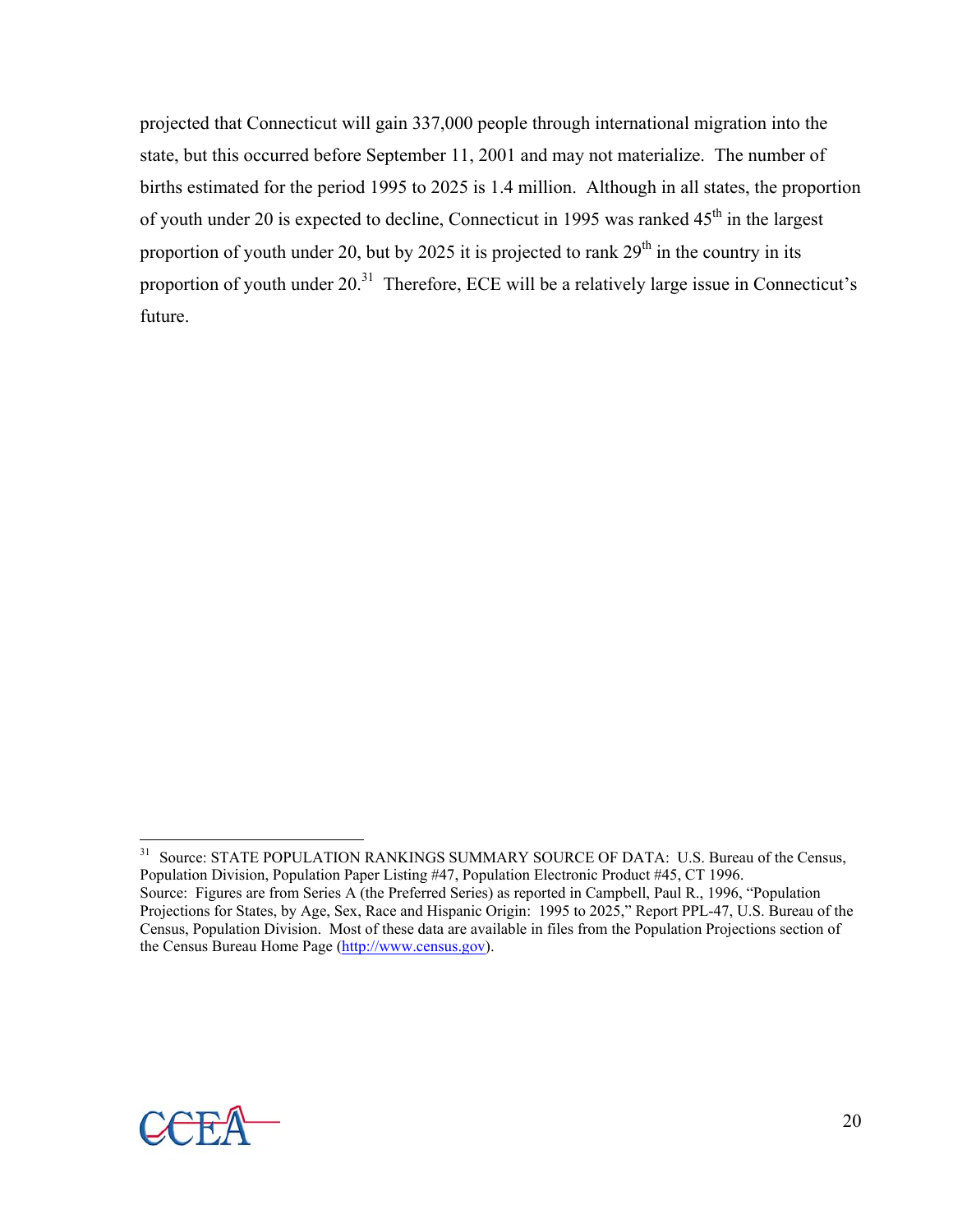projected that Connecticut will gain 337,000 people through international migration into the state, but this occurred before September 11, 2001 and may not materialize. The number of births estimated for the period 1995 to 2025 is 1.4 million. Although in all states, the proportion of youth under 20 is expected to decline, Connecticut in 1995 was ranked  $45<sup>th</sup>$  in the largest proportion of youth under 20, but by 2025 it is projected to rank  $29<sup>th</sup>$  in the country in its proportion of youth under 20.<sup>31</sup> Therefore, ECE will be a relatively large issue in Connecticut's future.



 $\overline{a}$ 

<sup>&</sup>lt;sup>31</sup> Source: STATE POPULATION RANKINGS SUMMARY SOURCE OF DATA: U.S. Bureau of the Census, Population Division, Population Paper Listing #47, Population Electronic Product #45, CT 1996. Source: Figures are from Series A (the Preferred Series) as reported in Campbell, Paul R., 1996, "Population Projections for States, by Age, Sex, Race and Hispanic Origin: 1995 to 2025," Report PPL-47, U.S. Bureau of the Census, Population Division. Most of these data are available in files from the Population Projections section of the Census Bureau Home Page (http://www.census.gov).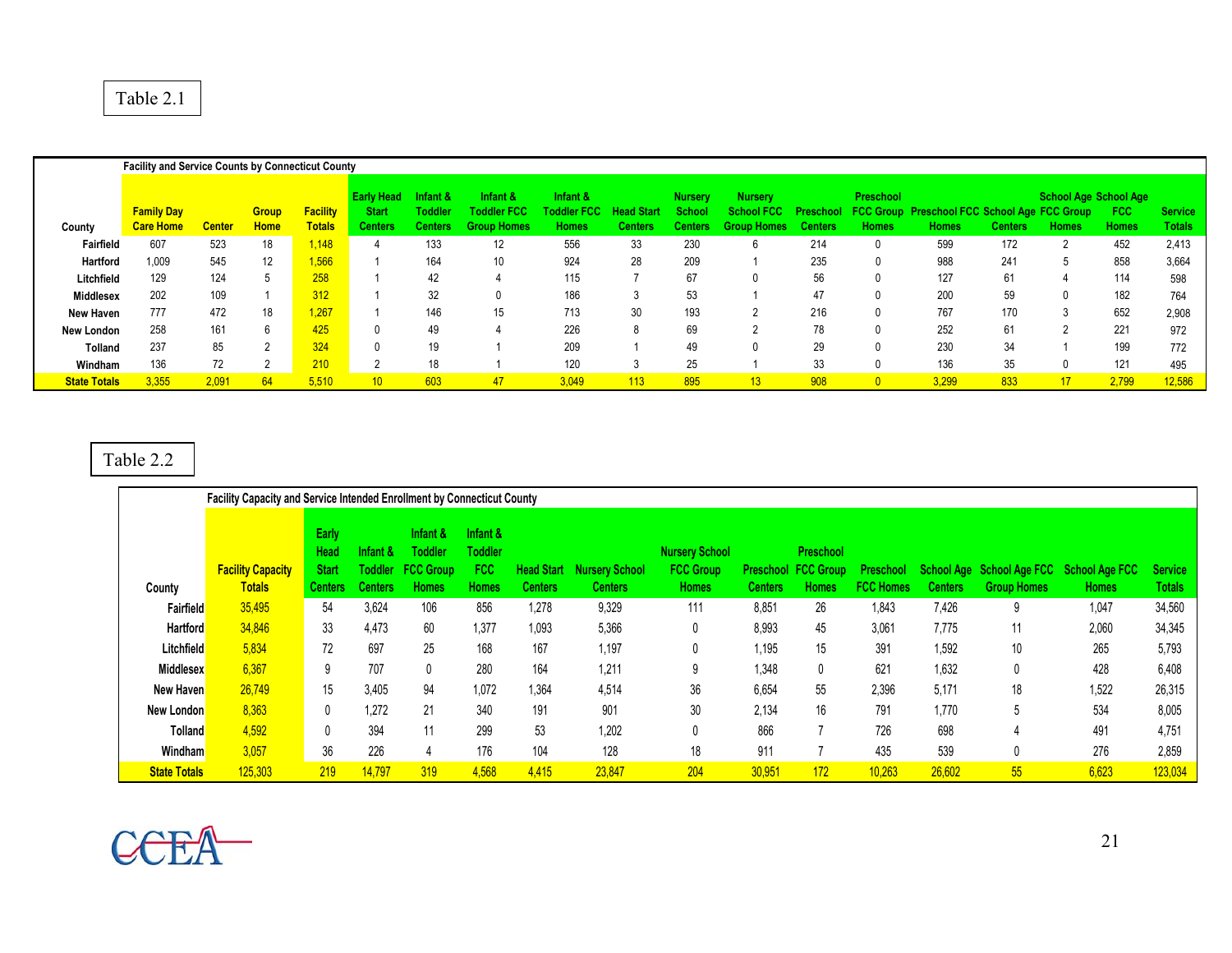#### Table 2.1

|                     | <b>Facility and Service Counts by Connecticut County</b> |               |                             |                                  |                                                     |                               |                                                         |                                                |                              |                                    |                                                           |                             |                           |                                                                     |                |                                              |                     |                                 |
|---------------------|----------------------------------------------------------|---------------|-----------------------------|----------------------------------|-----------------------------------------------------|-------------------------------|---------------------------------------------------------|------------------------------------------------|------------------------------|------------------------------------|-----------------------------------------------------------|-----------------------------|---------------------------|---------------------------------------------------------------------|----------------|----------------------------------------------|---------------------|---------------------------------|
| County              | <b>Family Day</b><br><b>Care Home</b>                    | <b>Center</b> | <b>Group</b><br><b>Home</b> | <b>Facility</b><br><b>Totals</b> | <b>Early Head</b><br><b>Start</b><br><b>Centers</b> | nfant &<br>Toddler<br>Centers | Infant &<br><b>Toddler FCC</b><br><b>Homes</b><br>Group | Infant &<br><b>Toddler FCC</b><br><b>Homes</b> | <b>Head Start</b><br>Centers | <b>Nursery</b><br>School<br>Center | <b>Nursery</b><br><b>School FCC</b><br><b>Group Homes</b> | Preschool<br><b>Centers</b> | Preschool<br><b>Homes</b> | <b>FCC Group Preschool FCC School Age FCC Group</b><br><b>Homes</b> | <b>Centers</b> | <b>School Age School Age</b><br><b>Homes</b> | <b>FCC</b><br>Homes | <b>Service</b><br><b>Totals</b> |
| Fairfield           | 607                                                      | 523           | 18                          | 1.148                            |                                                     | 133                           | 12                                                      | 556                                            | 33                           | 230                                |                                                           | 214                         |                           | 599                                                                 | 172            |                                              | 452                 | 2,413                           |
| Hartford            | 1,009                                                    | 545           | 12                          | 1,566                            |                                                     | 164                           | 10                                                      | 924                                            | 28                           | 209                                |                                                           | 235                         |                           | 988                                                                 | 241            |                                              | 858                 | 3,664                           |
| Litchfield          | 129                                                      | 124           |                             | 258                              |                                                     | 42                            |                                                         | 115                                            |                              | 67                                 |                                                           | 56                          |                           | 127                                                                 | 61             |                                              | 114                 | 598                             |
| Middlesex           | 202                                                      | 109           |                             | 312                              |                                                     | 32                            |                                                         | 186                                            |                              | 53                                 |                                                           | 47                          |                           | 200                                                                 | 59             |                                              | 182                 | 764                             |
| New Haven           | 777                                                      | 472           | 18                          | 1,267                            |                                                     | 146                           | 15                                                      | 713                                            | 30                           | 193                                |                                                           | 216                         |                           | 767                                                                 | 170            |                                              | 652                 | 2,908                           |
| New London          | 258                                                      | 161           |                             | 425                              |                                                     | 49                            |                                                         | 226                                            |                              | 69                                 |                                                           | 78                          |                           | 252                                                                 | 61             |                                              | 221                 | 972                             |
| <b>Tolland</b>      | 237                                                      | 85            | $\sim$                      | 324                              |                                                     | 19                            |                                                         | 209                                            |                              | 49                                 | $\Omega$                                                  | 29                          |                           | 230                                                                 | 34             |                                              | 199                 | 772                             |
| Windham             | 136                                                      | 72            |                             | 210                              |                                                     | 18                            |                                                         | 120                                            | చ                            | 25                                 |                                                           | 33                          |                           | 136                                                                 | 35             |                                              | 121                 | 495                             |
| <b>State Totals</b> | 3,355                                                    | 2.091         | 64                          | 5,510                            | 10 <sup>°</sup>                                     | 603                           | 47                                                      | 3,049                                          | 113                          | 895                                | 13                                                        | 908                         |                           | 3,299                                                               | 833            | 17                                           | 2,799               | 12,586                          |

#### Table 2.2

|                     | <b>Facility Capacity and Service Intended Enrollment by Connecticut County</b> |                                                 |                     |                                                                        |                                            |                                     |                                         |                                                           |                |                                                         |                                      |                |                    |                                                          |                                 |
|---------------------|--------------------------------------------------------------------------------|-------------------------------------------------|---------------------|------------------------------------------------------------------------|--------------------------------------------|-------------------------------------|-----------------------------------------|-----------------------------------------------------------|----------------|---------------------------------------------------------|--------------------------------------|----------------|--------------------|----------------------------------------------------------|---------------------------------|
| County              | <b>Facility Capacity</b><br><b>Totals</b>                                      | Early<br>Head<br><b>Start</b><br><b>Centers</b> | 'nfant &<br>Centers | Infant &<br><b>Toddler</b><br><b>Toddler FCC Group</b><br><b>Homes</b> | Infant &<br>Toddler<br>FCC<br><b>Homes</b> | <b>Head Start</b><br><b>Centers</b> | <b>Nursery School</b><br><b>Centers</b> | <b>Nursery School</b><br><b>FCC Group</b><br><b>Homes</b> | <b>Centers</b> | Preschool<br><b>Preschool FCC Group</b><br><b>Homes</b> | <b>Preschool</b><br><b>FCC Homes</b> | <b>Centers</b> | <b>Group Homes</b> | School Age School Age FCC School Age FCC<br><b>Homes</b> | <b>Service</b><br><b>Totals</b> |
| Fairfield           | 35,495                                                                         | 54                                              | 3,624               | 106                                                                    | 856                                        | 1,278                               | 9,329                                   | 111                                                       | 8,851          | 26                                                      | 1,843                                | 7,426          | 9                  | 1,047                                                    | 34,560                          |
| <b>Hartford</b>     | 34.846                                                                         | 33                                              | 4,473               | 60                                                                     | 1.377                                      | 1.093                               | 5,366                                   | 0                                                         | 8,993          | 45                                                      | 3,061                                | 7,775          | 11                 | 2,060                                                    | 34,345                          |
| Litchfield          | 5,834                                                                          | 72                                              | 697                 | 25                                                                     | 168                                        | 167                                 | 1,197                                   | 0                                                         | 1,195          | 15                                                      | 391                                  | 1,592          | 10                 | 265                                                      | 5,793                           |
| <b>Middlesex</b>    | 6,367                                                                          | 9                                               | 707                 | 0                                                                      | 280                                        | 164                                 | 1,211                                   | 9                                                         | 1,348          |                                                         | 621                                  | 1,632          | 0                  | 428                                                      | 6,408                           |
| New Haven           | 26,749                                                                         | 15                                              | 3,405               | 94                                                                     | 1,072                                      | 1,364                               | 4,514                                   | 36                                                        | 6,654          | 55                                                      | 2,396                                | 5,171          | 18                 | 1,522                                                    | 26,315                          |
| New London          | 8,363                                                                          |                                                 | 1.272               | 21                                                                     | 340                                        | 191                                 | 901                                     | 30                                                        | 2,134          | 16                                                      | 791                                  | 1,770          | 5                  | 534                                                      | 8,005                           |
| <b>Tolland</b>      | 4,592                                                                          |                                                 | 394                 | 11                                                                     | 299                                        | 53                                  | 1,202                                   | 0                                                         | 866            |                                                         | 726                                  | 698            | 4                  | 491                                                      | 4,751                           |
| Windham             | 3,057                                                                          | 36                                              | 226                 |                                                                        | 176                                        | 104                                 | 128                                     | 18                                                        | 911            |                                                         | 435                                  | 539            | 0                  | 276                                                      | 2,859                           |
| <b>State Totals</b> | 125,303                                                                        | 219                                             | 14,797              | 319                                                                    | 4,568                                      | 4,415                               | 23,847                                  | 204                                                       | 30,951         | 172                                                     | 10,263                               | 26,602         | 55                 | 6,623                                                    | 123,034                         |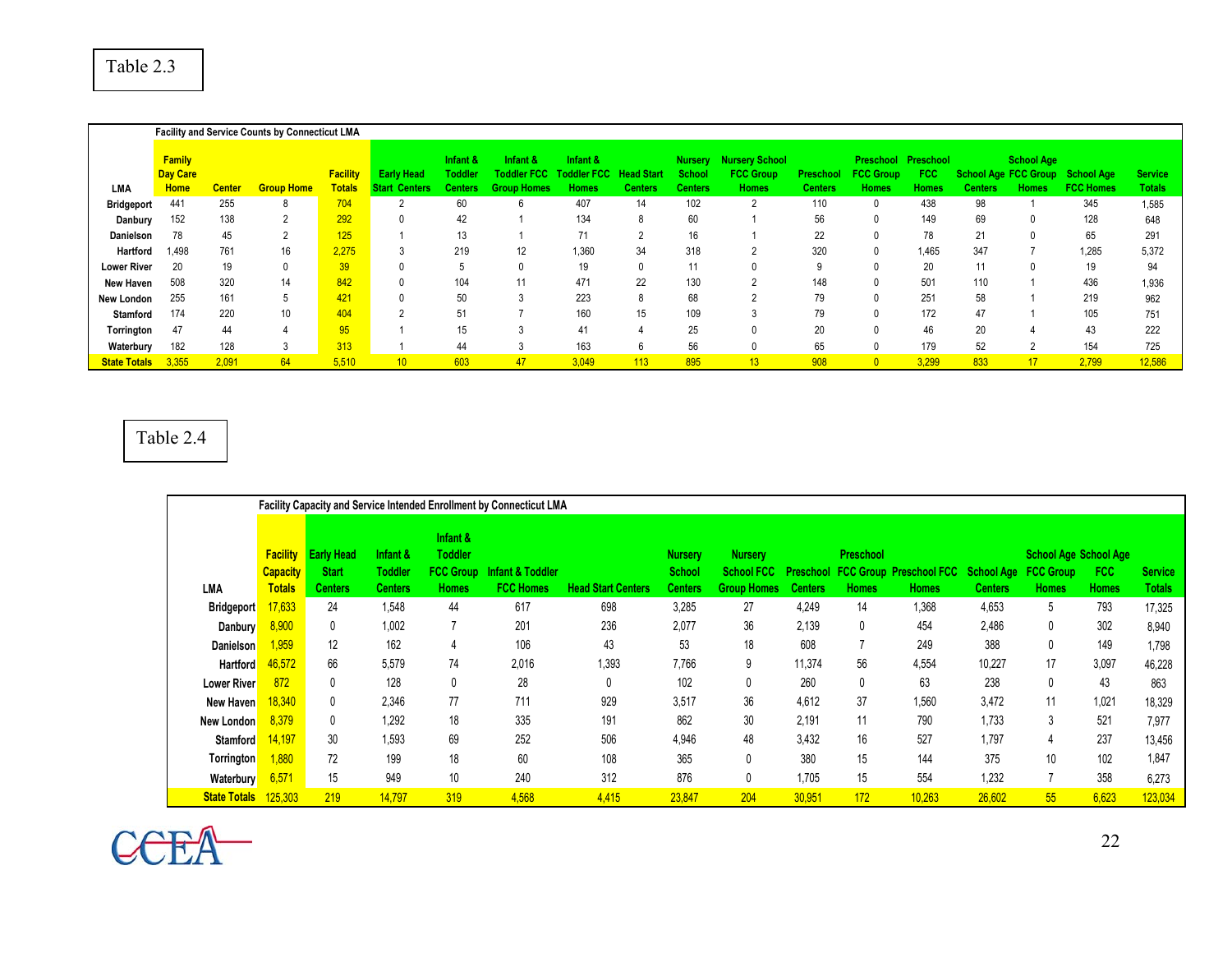|                     |                                          |               | <b>Facility and Service Counts by Connecticut LMA</b> |                                  |                                                 |                                              |                                                      |                                                |                                     |                                     |                                                           |                                    |                                               |                                   |                                               |                                   |                                |                                 |
|---------------------|------------------------------------------|---------------|-------------------------------------------------------|----------------------------------|-------------------------------------------------|----------------------------------------------|------------------------------------------------------|------------------------------------------------|-------------------------------------|-------------------------------------|-----------------------------------------------------------|------------------------------------|-----------------------------------------------|-----------------------------------|-----------------------------------------------|-----------------------------------|--------------------------------|---------------------------------|
| <b>LMA</b>          | <b>Family</b><br>Day Care<br><b>Home</b> | <b>Center</b> | <b>Group Home</b>                                     | <b>Facility</b><br><b>Totals</b> | Early<br>Head<br><b>Start</b><br><b>Centers</b> | Infant &<br><b>Toddler</b><br><b>Centers</b> | Infant &<br><b>Toddler FCC</b><br><b>Group Homes</b> | Infant &<br><b>Toddler FCC</b><br><b>Homes</b> | <b>Head Start</b><br><b>Centers</b> | <b>Nursery</b><br>School<br>Centers | <b>Nursery School</b><br><b>FCC Group</b><br><b>Homes</b> | <b>Preschool</b><br><b>Centers</b> | <b>Preschool</b><br><b>FCC Group</b><br>Homes | Preschool<br>FCC.<br><b>Homes</b> | <b>School Age FCC Group</b><br><b>Centers</b> | <b>School Age</b><br><b>Homes</b> | School Age<br><b>FCC Homes</b> | <b>Service</b><br><b>Totals</b> |
| <b>Bridgeport</b>   | 441                                      | 255           | 8                                                     | 704                              |                                                 | 60                                           |                                                      | 407                                            | 14                                  | 102                                 |                                                           | 110                                |                                               | 438                               | 98                                            |                                   | 345                            | 1,585                           |
| Danbury             | 152                                      | 138           | L                                                     | 292                              |                                                 | 42                                           |                                                      | 134                                            |                                     | 60                                  |                                                           | 56                                 |                                               | 149                               | 69                                            |                                   | 128                            | 648                             |
| <b>Danielson</b>    | 78                                       | 45            |                                                       | 125                              |                                                 | 13                                           |                                                      |                                                |                                     | 16                                  |                                                           | 22                                 |                                               | 78                                | 21                                            | $\Omega$                          | 65                             | 291                             |
| <b>Hartford</b>     | 1,498                                    | 761           | 16                                                    | 2,275                            |                                                 | 219                                          | 12                                                   | 1,360                                          | 34                                  | 318                                 |                                                           | 320                                |                                               | 1,465                             | 347                                           |                                   | 1,285                          | 5,372                           |
| <b>Lower River</b>  | 20                                       | 19            | 0                                                     | 39                               |                                                 |                                              |                                                      | 19                                             |                                     | 11                                  |                                                           | 9                                  |                                               | 20                                | 11                                            |                                   | 19                             | 94                              |
| New Haven           | 508                                      | 320           | 14                                                    | 842                              |                                                 | 104                                          | 11                                                   | 471                                            | 22                                  | 130                                 | $\sim$                                                    | 148                                | $\Omega$                                      | 501                               | 110                                           |                                   | 436                            | 1,936                           |
| New London          | 255                                      | 161           | 5                                                     | 421                              |                                                 | 50                                           |                                                      | 223                                            | 8                                   | 68                                  |                                                           | 79                                 |                                               | 251                               | 58                                            |                                   | 219                            | 962                             |
| Stamford            | 174                                      | 220           | 10 <sup>°</sup>                                       | 404                              |                                                 | 51                                           |                                                      | 160                                            | 15                                  | 109                                 |                                                           | 79                                 | $\Omega$                                      | 172                               | 47                                            |                                   | 105                            | 751                             |
| Torrington          | 47                                       | 44            |                                                       | 95                               |                                                 | 15                                           |                                                      | 41                                             |                                     | 25                                  |                                                           | 20                                 |                                               | 46                                | 20                                            |                                   | 43                             | 222                             |
| Waterbury           | 182                                      | 128           | 3                                                     | 313                              |                                                 | 44                                           |                                                      | 163                                            | 6                                   | 56                                  |                                                           | 65                                 | $\Omega$                                      | 179                               | 52                                            | 2                                 | 154                            | 725                             |
| <b>State Totals</b> | 3,355                                    | 2,091         | 64                                                    | 5,510                            | 10                                              | 603                                          | 47                                                   | 3,049                                          | 113                                 | 895                                 | 13                                                        | 908                                | $\overline{0}$                                | 3,299                             | 833                                           | 17 <sup>2</sup>                   | 2,799                          | 12,586                          |

#### Table 2.4

|                     |                                    |                                   |                            |                                                | Facility Capacity and Service Intended Enrollment by Connecticut LMA |                           |                                 |                                     |         |                  |                                                     |         |                                                  |              |                |
|---------------------|------------------------------------|-----------------------------------|----------------------------|------------------------------------------------|----------------------------------------------------------------------|---------------------------|---------------------------------|-------------------------------------|---------|------------------|-----------------------------------------------------|---------|--------------------------------------------------|--------------|----------------|
|                     | <b>Facility</b><br><b>Capacity</b> | <b>Early Head</b><br><b>Start</b> | Infant &<br><b>Toddler</b> | Infant &<br><b>Toddler</b><br><b>FCC Group</b> | Infant & Toddler                                                     |                           | <b>Nursery</b><br><b>School</b> | <b>Nursery</b><br><b>School FCC</b> |         | <b>Preschool</b> | <b>Preschool FCC Group Preschool FCC School Age</b> |         | <b>School Age School Age</b><br><b>FCC Group</b> | <b>FCC</b>   | <b>Service</b> |
| LMA                 | <b>Totals</b>                      | Centers                           | Centers                    | <b>Homes</b>                                   | <b>FCC Homes</b>                                                     | <b>Head Start Centers</b> | <b>Centers</b>                  | <b>Group Homes</b>                  | Centers | <b>Homes</b>     | <b>Homes</b>                                        | Centers | <b>Homes</b>                                     | <b>Homes</b> | Totals         |
| <b>Bridgeport</b>   | 17,633                             | 24                                | 1,548                      | 44                                             | 617                                                                  | 698                       | 3,285                           | 27                                  | 4,249   | 14               | 1,368                                               | 4,653   | 5                                                | 793          | 17,325         |
| Danbury             | 8,900                              | 0                                 | 1,002                      |                                                | 201                                                                  | 236                       | 2,077                           | 36                                  | 2,139   | $\mathbf{0}$     | 454                                                 | 2,486   |                                                  | 302          | 8,940          |
| Danielson           | 1.959                              | 12                                | 162                        | 4                                              | 106                                                                  | 43                        | 53                              | 18                                  | 608     |                  | 249                                                 | 388     | 0                                                | 149          | 1,798          |
| <b>Hartford</b>     | 46,572                             | 66                                | 5,579                      | 74                                             | 2,016                                                                | 1,393                     | 7,766                           | 9                                   | 11,374  | 56               | 4,554                                               | 10,227  | 17                                               | 3,097        | 46,228         |
| <b>Lower River</b>  | 872                                | 0                                 | 128                        |                                                | 28                                                                   | 0                         | 102                             |                                     | 260     | 0                | 63                                                  | 238     | 0                                                | 43           | 863            |
| New Haven           | 18,340                             | 0                                 | 2,346                      | 77                                             | 711                                                                  | 929                       | 3,517                           | 36                                  | 4,612   | 37               | 1,560                                               | 3,472   | 11                                               | 1,021        | 18,329         |
| <b>New London</b>   | 8,379                              | 0                                 | 1,292                      | 18                                             | 335                                                                  | 191                       | 862                             | 30                                  | 2,191   | 11               | 790                                                 | 1,733   | 3                                                | 521          | 7,977          |
| <b>Stamford</b>     | 14,197                             | 30                                | 1,593                      | 69                                             | 252                                                                  | 506                       | 4,946                           | 48                                  | 3.432   | 16               | 527                                                 | 1.797   |                                                  | 237          | 13,456         |
| Torrington          | 1,880                              | 72                                | 199                        | 18                                             | 60                                                                   | 108                       | 365                             |                                     | 380     | 15               | 144                                                 | 375     | 10                                               | 102          | 1,847          |
| Waterbury           | 6,571                              | 15                                | 949                        | 10                                             | 240                                                                  | 312                       | 876                             |                                     | 1,705   | 15               | 554                                                 | 1,232   |                                                  | 358          | 6,273          |
| <b>State Totals</b> | 125,303                            | 219                               | 14,797                     | 319                                            | 4,568                                                                | 4,415                     | 23,847                          | 204                                 | 30,951  | 172              | 10,263                                              | 26,602  | 55                                               | 6,623        | 123,034        |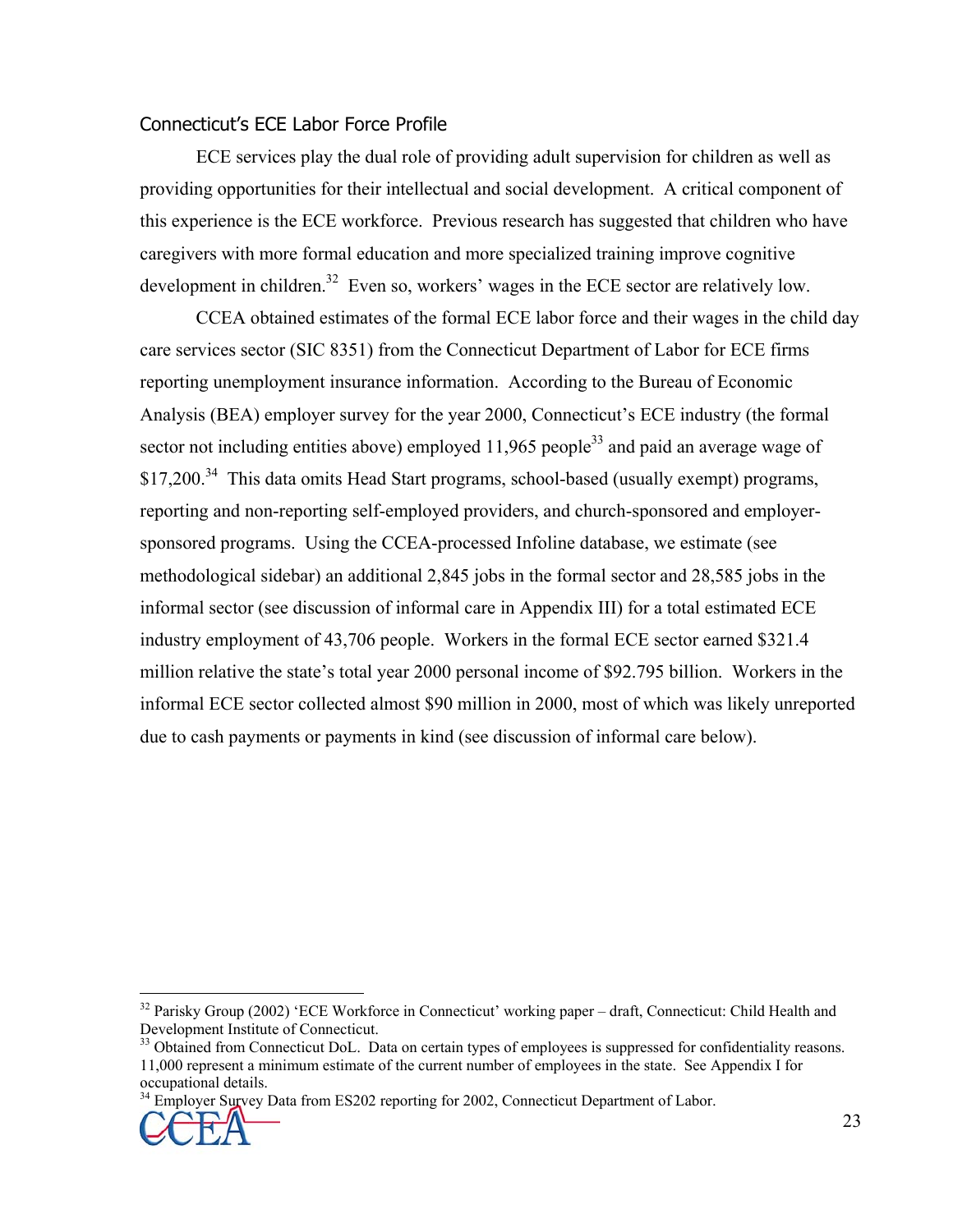#### Connecticut's ECE Labor Force Profile

ECE services play the dual role of providing adult supervision for children as well as providing opportunities for their intellectual and social development. A critical component of this experience is the ECE workforce. Previous research has suggested that children who have caregivers with more formal education and more specialized training improve cognitive development in children.<sup>32</sup> Even so, workers' wages in the ECE sector are relatively low.

CCEA obtained estimates of the formal ECE labor force and their wages in the child day care services sector (SIC 8351) from the Connecticut Department of Labor for ECE firms reporting unemployment insurance information. According to the Bureau of Economic Analysis (BEA) employer survey for the year 2000, Connecticut's ECE industry (the formal sector not including entities above) employed  $11,965$  people<sup>33</sup> and paid an average wage of  $$17,200.<sup>34</sup>$  This data omits Head Start programs, school-based (usually exempt) programs, reporting and non-reporting self-employed providers, and church-sponsored and employersponsored programs. Using the CCEA-processed Infoline database, we estimate (see methodological sidebar) an additional 2,845 jobs in the formal sector and 28,585 jobs in the informal sector (see discussion of informal care in Appendix III) for a total estimated ECE industry employment of 43,706 people. Workers in the formal ECE sector earned \$321.4 million relative the state's total year 2000 personal income of \$92.795 billion. Workers in the informal ECE sector collected almost \$90 million in 2000, most of which was likely unreported due to cash payments or payments in kind (see discussion of informal care below).

<sup>34</sup> Employer Survey Data from ES202 reporting for 2002, Connecticut Department of Labor.



1

<sup>&</sup>lt;sup>32</sup> Parisky Group (2002) 'ECE Workforce in Connecticut' working paper – draft, Connecticut: Child Health and Development Institute of Connecticut.

<sup>&</sup>lt;sup>33</sup> Obtained from Connecticut DoL. Data on certain types of employees is suppressed for confidentiality reasons. 11,000 represent a minimum estimate of the current number of employees in the state. See Appendix I for occupational details.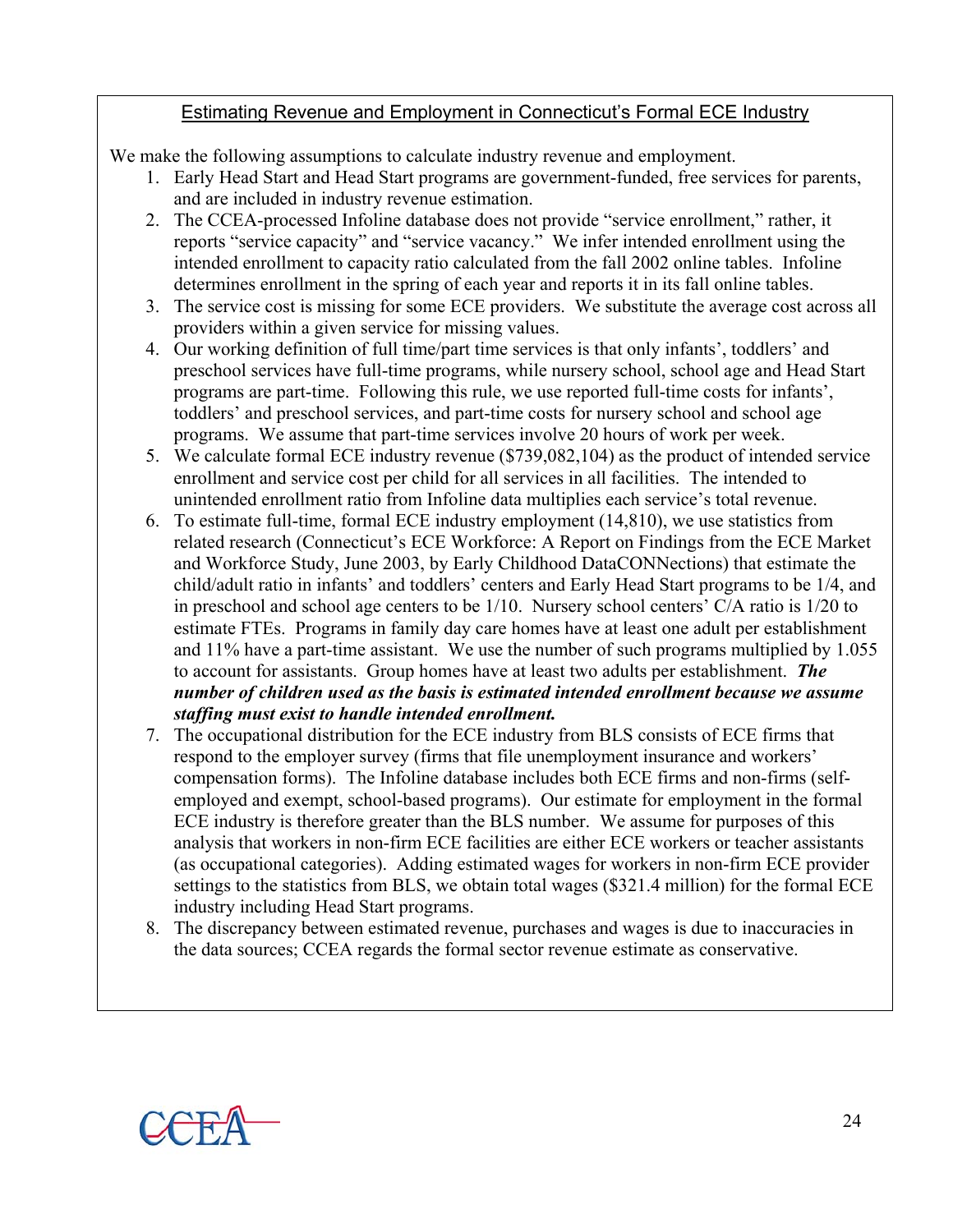## Estimating Revenue and Employment in Connecticut's Formal ECE Industry

We make the following assumptions to calculate industry revenue and employment.

- 1. Early Head Start and Head Start programs are government-funded, free services for parents, and are included in industry revenue estimation.
- 2. The CCEA-processed Infoline database does not provide "service enrollment," rather, it reports "service capacity" and "service vacancy." We infer intended enrollment using the intended enrollment to capacity ratio calculated from the fall 2002 online tables. Infoline determines enrollment in the spring of each year and reports it in its fall online tables.
- 3. The service cost is missing for some ECE providers. We substitute the average cost across all providers within a given service for missing values.
- 4. Our working definition of full time/part time services is that only infants', toddlers' and preschool services have full-time programs, while nursery school, school age and Head Start programs are part-time. Following this rule, we use reported full-time costs for infants', toddlers' and preschool services, and part-time costs for nursery school and school age programs. We assume that part-time services involve 20 hours of work per week.
- 5. We calculate formal ECE industry revenue (\$739,082,104) as the product of intended service enrollment and service cost per child for all services in all facilities. The intended to unintended enrollment ratio from Infoline data multiplies each service's total revenue.
- 6. To estimate full-time, formal ECE industry employment (14,810), we use statistics from related research (Connecticut's ECE Workforce: A Report on Findings from the ECE Market and Workforce Study, June 2003, by Early Childhood DataCONNections) that estimate the child/adult ratio in infants' and toddlers' centers and Early Head Start programs to be 1/4, and in preschool and school age centers to be 1/10. Nursery school centers' C/A ratio is 1/20 to estimate FTEs. Programs in family day care homes have at least one adult per establishment and 11% have a part-time assistant. We use the number of such programs multiplied by 1.055 to account for assistants. Group homes have at least two adults per establishment. *The number of children used as the basis is estimated intended enrollment because we assume staffing must exist to handle intended enrollment.*
- 7. The occupational distribution for the ECE industry from BLS consists of ECE firms that respond to the employer survey (firms that file unemployment insurance and workers' compensation forms). The Infoline database includes both ECE firms and non-firms (selfemployed and exempt, school-based programs). Our estimate for employment in the formal ECE industry is therefore greater than the BLS number. We assume for purposes of this analysis that workers in non-firm ECE facilities are either ECE workers or teacher assistants (as occupational categories). Adding estimated wages for workers in non-firm ECE provider settings to the statistics from BLS, we obtain total wages (\$321.4 million) for the formal ECE industry including Head Start programs.
- 8. The discrepancy between estimated revenue, purchases and wages is due to inaccuracies in the data sources; CCEA regards the formal sector revenue estimate as conservative.

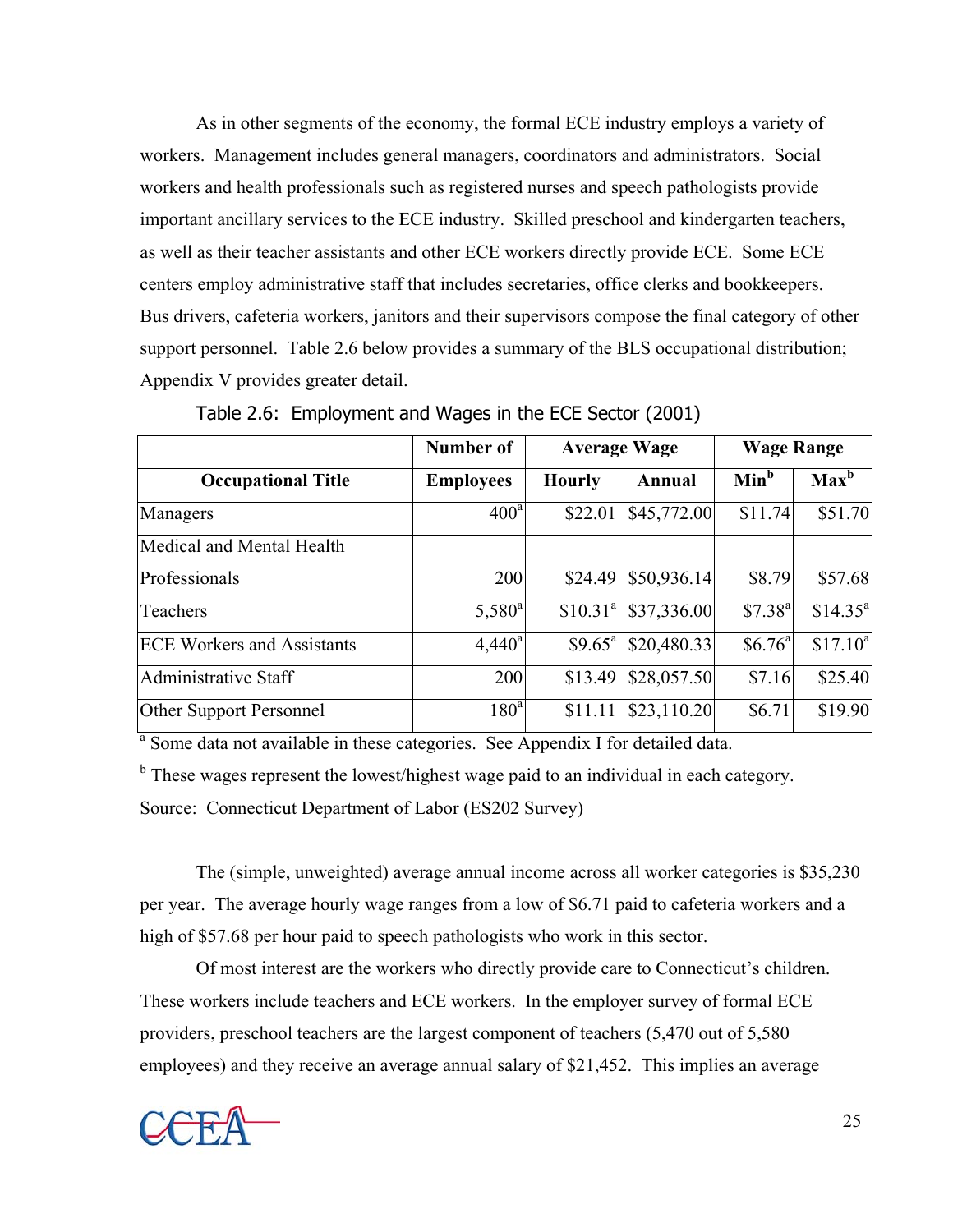As in other segments of the economy, the formal ECE industry employs a variety of workers. Management includes general managers, coordinators and administrators. Social workers and health professionals such as registered nurses and speech pathologists provide important ancillary services to the ECE industry. Skilled preschool and kindergarten teachers, as well as their teacher assistants and other ECE workers directly provide ECE. Some ECE centers employ administrative staff that includes secretaries, office clerks and bookkeepers. Bus drivers, cafeteria workers, janitors and their supervisors compose the final category of other support personnel. Table 2.6 below provides a summary of the BLS occupational distribution; Appendix V provides greater detail.

|                                   | Number of        |                      | <b>Average Wage</b> | <b>Wage Range</b>   |                      |  |  |
|-----------------------------------|------------------|----------------------|---------------------|---------------------|----------------------|--|--|
| <b>Occupational Title</b>         | <b>Employees</b> | <b>Hourly</b>        | Annual              | Min <sup>b</sup>    | $Max^b$              |  |  |
| Managers                          | 400 <sup>a</sup> | \$22.01              | \$45,772.00         | \$11.74             | \$51.70              |  |  |
| Medical and Mental Health         |                  |                      |                     |                     |                      |  |  |
| Professionals                     | 200              | \$24.49              | \$50,936.14         | \$8.79              | \$57.68              |  |  |
| Teachers                          | $5,580^{\circ}$  | \$10.31 <sup>a</sup> | \$37,336.00         | \$7.38 <sup>a</sup> | \$14.35 <sup>a</sup> |  |  |
| <b>ECE Workers and Assistants</b> | $4,440^a$        | \$9.65 <sup>a</sup>  | \$20,480.33         | \$6.76 <sup>a</sup> | \$17.10 <sup>a</sup> |  |  |
| <b>Administrative Staff</b>       | 200              | \$13.49              | \$28,057.50         | \$7.16              | \$25.40              |  |  |
| <b>Other Support Personnel</b>    | 180 <sup>a</sup> | \$11.11              | \$23,110.20         | \$6.71              | \$19.90              |  |  |

Table 2.6: Employment and Wages in the ECE Sector (2001)

<sup>a</sup> Some data not available in these categories. See Appendix I for detailed data.

<sup>b</sup> These wages represent the lowest/highest wage paid to an individual in each category.

Source: Connecticut Department of Labor (ES202 Survey)

The (simple, unweighted) average annual income across all worker categories is \$35,230 per year. The average hourly wage ranges from a low of \$6.71 paid to cafeteria workers and a high of \$57.68 per hour paid to speech pathologists who work in this sector.

Of most interest are the workers who directly provide care to Connecticut's children. These workers include teachers and ECE workers. In the employer survey of formal ECE providers, preschool teachers are the largest component of teachers (5,470 out of 5,580 employees) and they receive an average annual salary of \$21,452. This implies an average

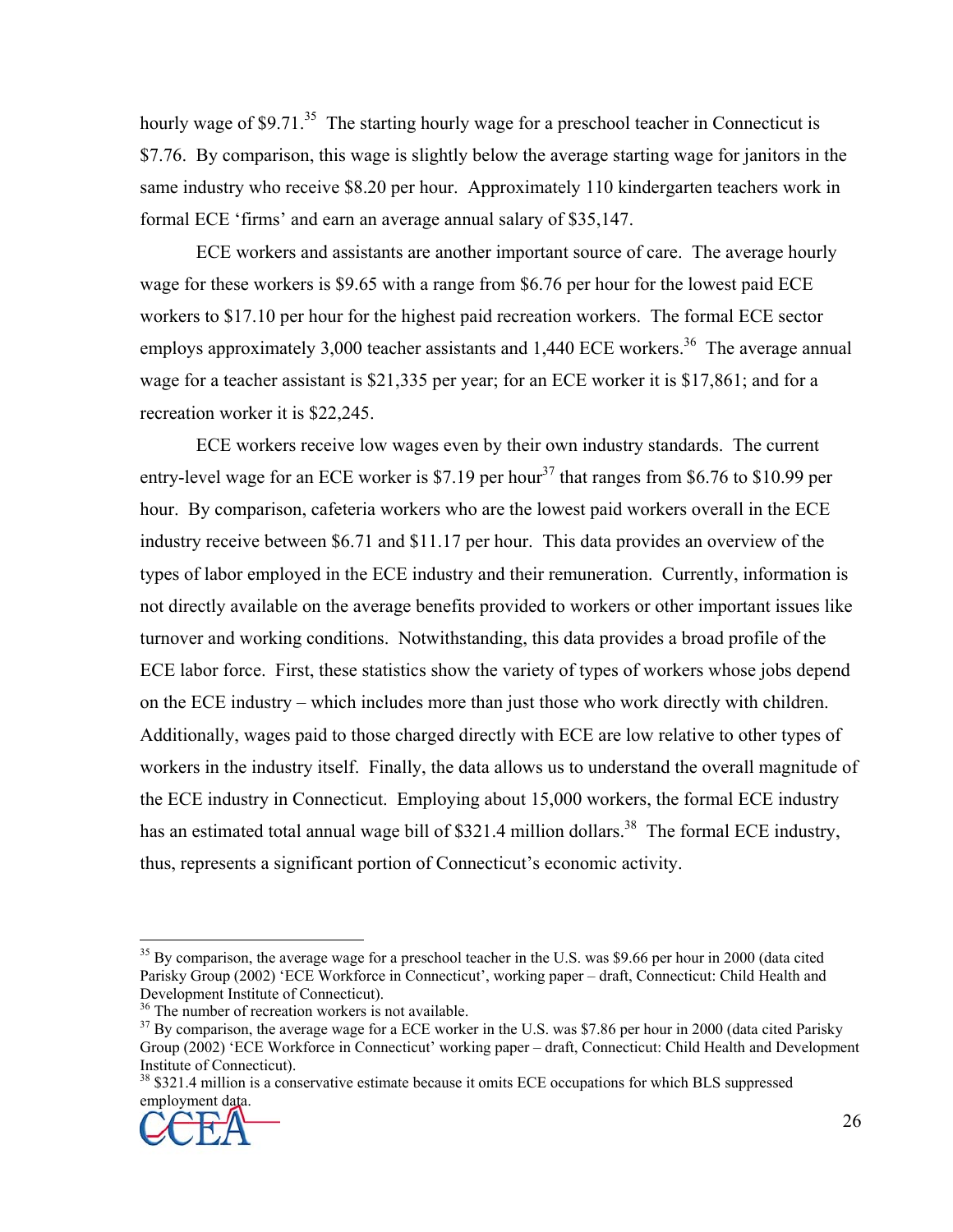hourly wage of  $$9.71<sup>35</sup>$  The starting hourly wage for a preschool teacher in Connecticut is \$7.76. By comparison, this wage is slightly below the average starting wage for janitors in the same industry who receive \$8.20 per hour. Approximately 110 kindergarten teachers work in formal ECE 'firms' and earn an average annual salary of \$35,147.

ECE workers and assistants are another important source of care. The average hourly wage for these workers is \$9.65 with a range from \$6.76 per hour for the lowest paid ECE workers to \$17.10 per hour for the highest paid recreation workers. The formal ECE sector employs approximately 3,000 teacher assistants and  $1,440$  ECE workers.<sup>36</sup> The average annual wage for a teacher assistant is \$21,335 per year; for an ECE worker it is \$17,861; and for a recreation worker it is \$22,245.

ECE workers receive low wages even by their own industry standards. The current entry-level wage for an ECE worker is \$7.19 per hour<sup>37</sup> that ranges from \$6.76 to \$10.99 per hour. By comparison, cafeteria workers who are the lowest paid workers overall in the ECE industry receive between \$6.71 and \$11.17 per hour. This data provides an overview of the types of labor employed in the ECE industry and their remuneration. Currently, information is not directly available on the average benefits provided to workers or other important issues like turnover and working conditions. Notwithstanding, this data provides a broad profile of the ECE labor force. First, these statistics show the variety of types of workers whose jobs depend on the ECE industry – which includes more than just those who work directly with children. Additionally, wages paid to those charged directly with ECE are low relative to other types of workers in the industry itself. Finally, the data allows us to understand the overall magnitude of the ECE industry in Connecticut. Employing about 15,000 workers, the formal ECE industry has an estimated total annual wage bill of \$321.4 million dollars.<sup>38</sup> The formal ECE industry, thus, represents a significant portion of Connecticut's economic activity.

<sup>&</sup>lt;sup>38</sup> \$321.4 million is a conservative estimate because it omits ECE occupations for which BLS suppressed employment data.



1

<sup>&</sup>lt;sup>35</sup> By comparison, the average wage for a preschool teacher in the U.S. was \$9.66 per hour in 2000 (data cited Parisky Group (2002) 'ECE Workforce in Connecticut', working paper – draft, Connecticut: Child Health and Development Institute of Connecticut).

 $36$  The number of recreation workers is not available.

 $37$  By comparison, the average wage for a ECE worker in the U.S. was \$7.86 per hour in 2000 (data cited Parisky Group (2002) 'ECE Workforce in Connecticut' working paper – draft, Connecticut: Child Health and Development Institute of Connecticut).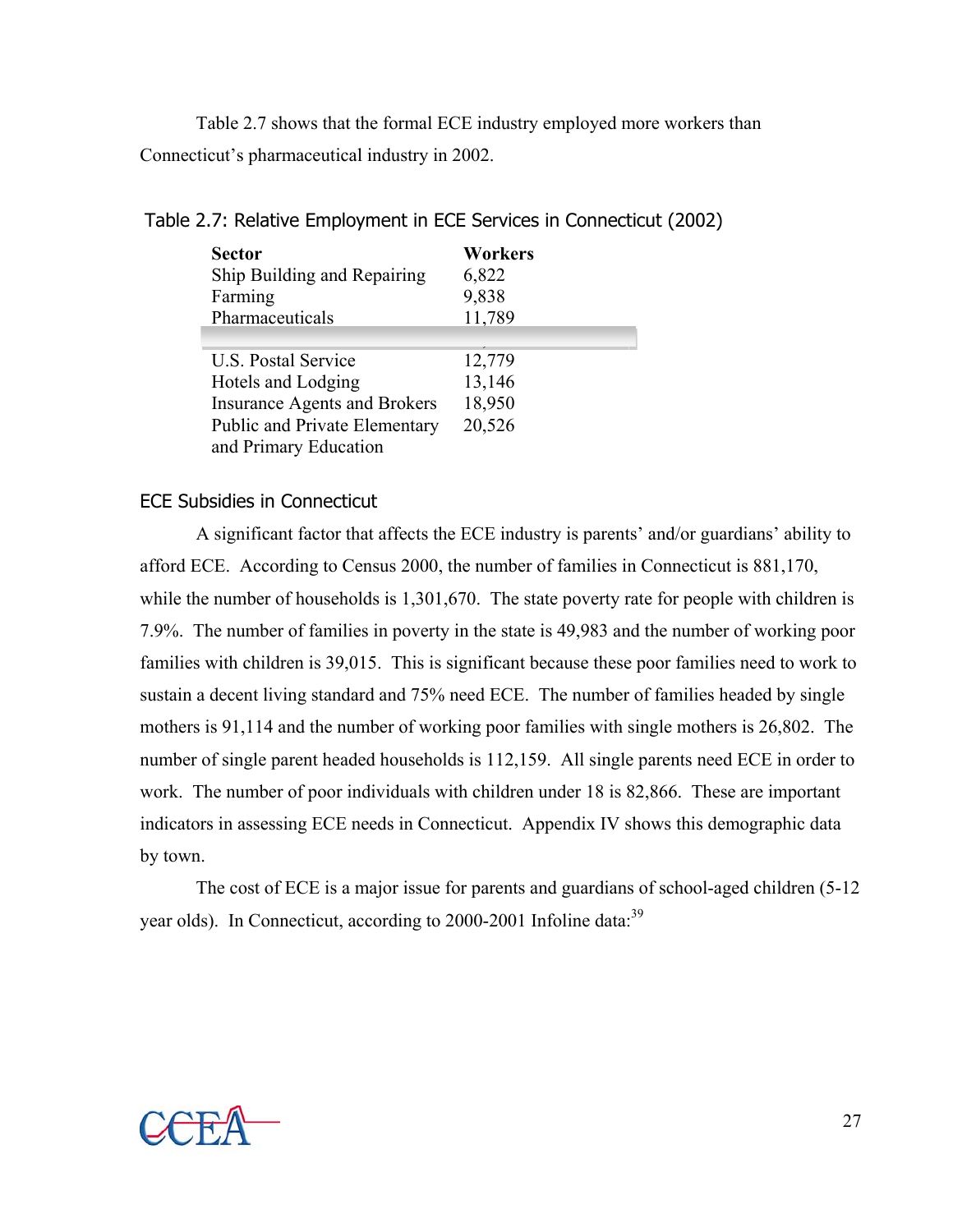Table 2.7 shows that the formal ECE industry employed more workers than Connecticut's pharmaceutical industry in 2002.

| <b>Sector</b>                        | <b>Workers</b> |
|--------------------------------------|----------------|
| Ship Building and Repairing          | 6,822          |
| Farming                              | 9,838          |
| Pharmaceuticals                      | 11,789         |
|                                      |                |
| U.S. Postal Service                  | 12,779         |
| Hotels and Lodging                   | 13,146         |
| <b>Insurance Agents and Brokers</b>  | 18,950         |
| <b>Public and Private Elementary</b> | 20,526         |
| and Primary Education                |                |

Table 2.7: Relative Employment in ECE Services in Connecticut (2002)

#### ECE Subsidies in Connecticut

A significant factor that affects the ECE industry is parents' and/or guardians' ability to afford ECE. According to Census 2000, the number of families in Connecticut is 881,170, while the number of households is 1,301,670. The state poverty rate for people with children is 7.9%. The number of families in poverty in the state is 49,983 and the number of working poor families with children is 39,015. This is significant because these poor families need to work to sustain a decent living standard and 75% need ECE. The number of families headed by single mothers is 91,114 and the number of working poor families with single mothers is 26,802. The number of single parent headed households is 112,159. All single parents need ECE in order to work. The number of poor individuals with children under 18 is 82,866. These are important indicators in assessing ECE needs in Connecticut. Appendix IV shows this demographic data by town.

The cost of ECE is a major issue for parents and guardians of school-aged children (5-12 year olds). In Connecticut, according to 2000-2001 Infoline data:<sup>39</sup>

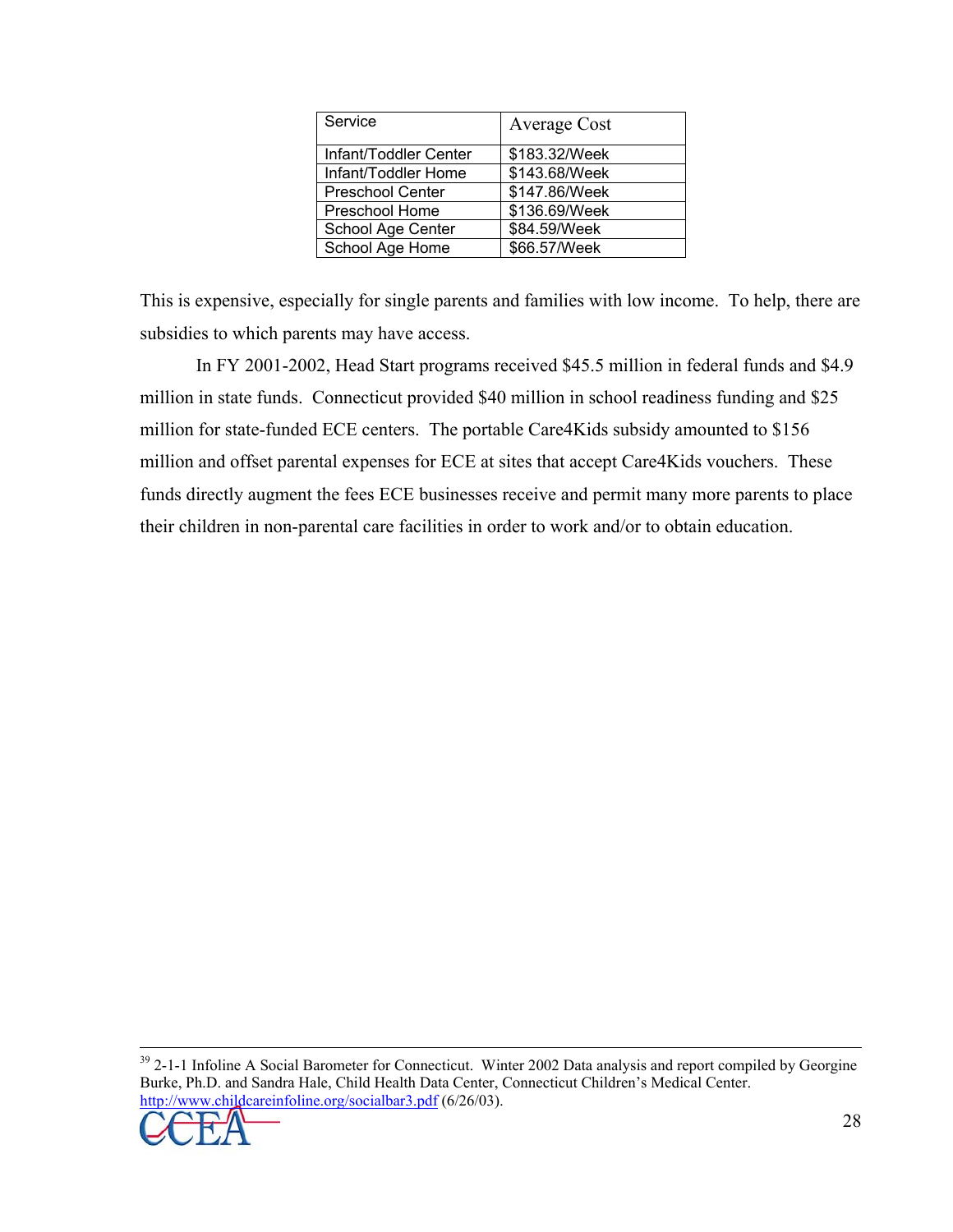| Service                 | Average Cost  |
|-------------------------|---------------|
| Infant/Toddler Center   | \$183.32/Week |
| Infant/Toddler Home     | \$143.68/Week |
| <b>Preschool Center</b> | \$147.86/Week |
| Preschool Home          | \$136.69/Week |
| School Age Center       | \$84.59/Week  |
| School Age Home         | \$66.57/Week  |

This is expensive, especially for single parents and families with low income. To help, there are subsidies to which parents may have access.

 In FY 2001-2002, Head Start programs received \$45.5 million in federal funds and \$4.9 million in state funds. Connecticut provided \$40 million in school readiness funding and \$25 million for state-funded ECE centers. The portable Care4Kids subsidy amounted to \$156 million and offset parental expenses for ECE at sites that accept Care4Kids vouchers. These funds directly augment the fees ECE businesses receive and permit many more parents to place their children in non-parental care facilities in order to work and/or to obtain education.

<sup>&</sup>lt;sup>39</sup> 2-1-1 Infoline A Social Barometer for Connecticut. Winter 2002 Data analysis and report compiled by Georgine Burke, Ph.D. and Sandra Hale, Child Health Data Center, Connecticut Children's Medical Center. http://www.childcareinfoline.org/socialbar3.pdf (6/26/03).

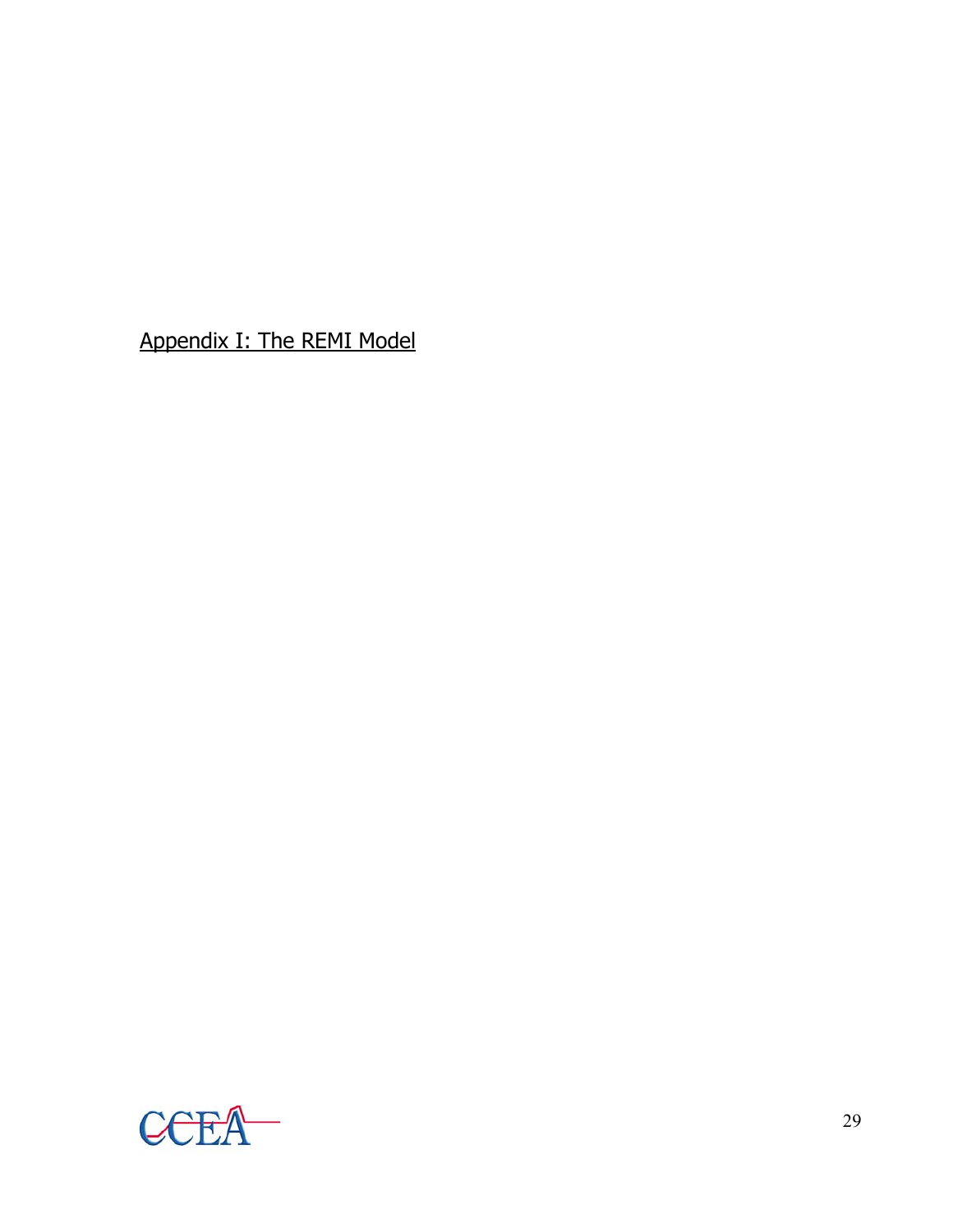Appendix I: The REMI Model

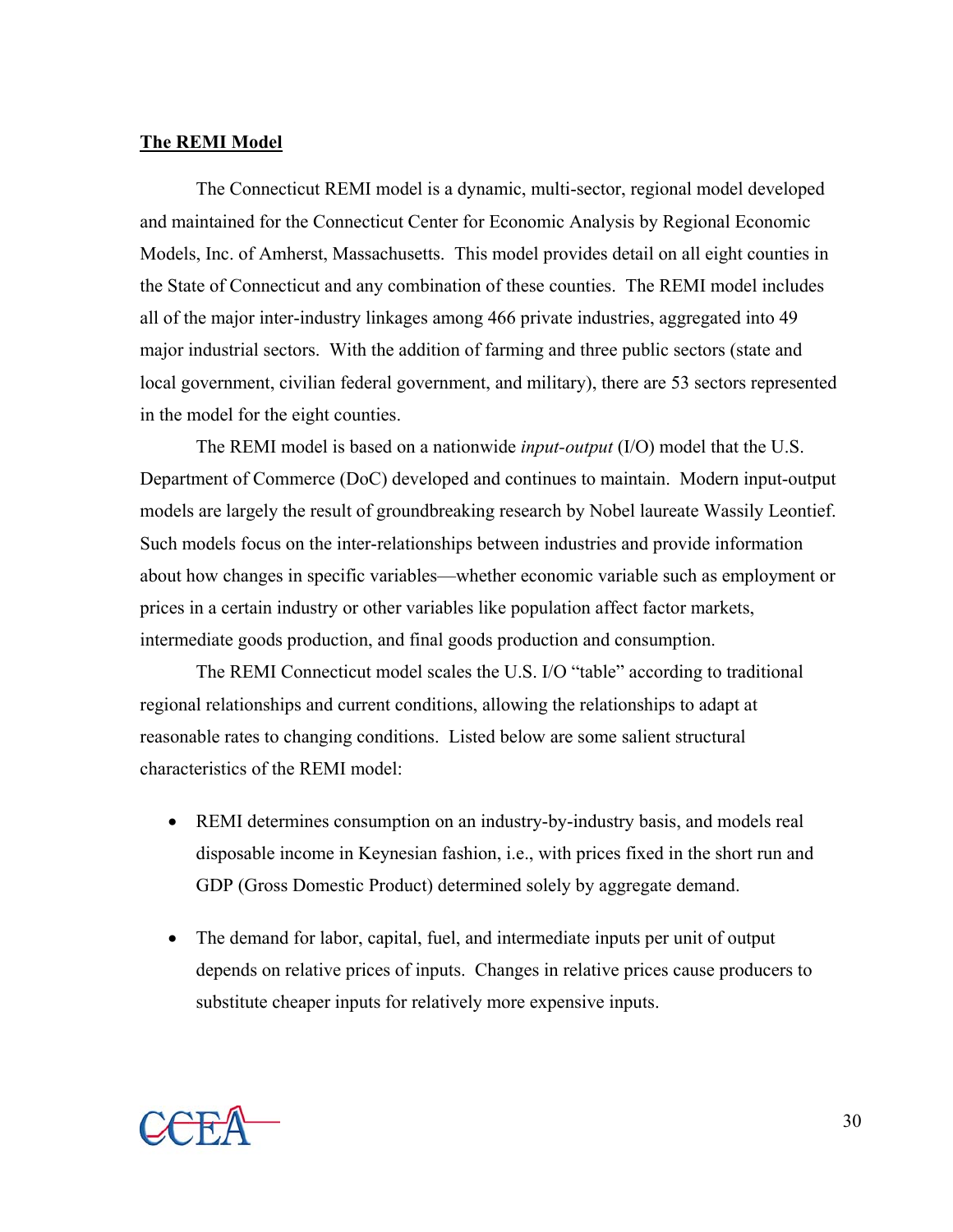#### **The REMI Model**

The Connecticut REMI model is a dynamic, multi-sector, regional model developed and maintained for the Connecticut Center for Economic Analysis by Regional Economic Models, Inc. of Amherst, Massachusetts. This model provides detail on all eight counties in the State of Connecticut and any combination of these counties. The REMI model includes all of the major inter-industry linkages among 466 private industries, aggregated into 49 major industrial sectors. With the addition of farming and three public sectors (state and local government, civilian federal government, and military), there are 53 sectors represented in the model for the eight counties.

The REMI model is based on a nationwide *input-output* (I/O) model that the U.S. Department of Commerce (DoC) developed and continues to maintain. Modern input-output models are largely the result of groundbreaking research by Nobel laureate Wassily Leontief. Such models focus on the inter-relationships between industries and provide information about how changes in specific variables—whether economic variable such as employment or prices in a certain industry or other variables like population affect factor markets, intermediate goods production, and final goods production and consumption.

The REMI Connecticut model scales the U.S. I/O "table" according to traditional regional relationships and current conditions, allowing the relationships to adapt at reasonable rates to changing conditions. Listed below are some salient structural characteristics of the REMI model:

- REMI determines consumption on an industry-by-industry basis, and models real disposable income in Keynesian fashion, i.e., with prices fixed in the short run and GDP (Gross Domestic Product) determined solely by aggregate demand.
- The demand for labor, capital, fuel, and intermediate inputs per unit of output depends on relative prices of inputs. Changes in relative prices cause producers to substitute cheaper inputs for relatively more expensive inputs.

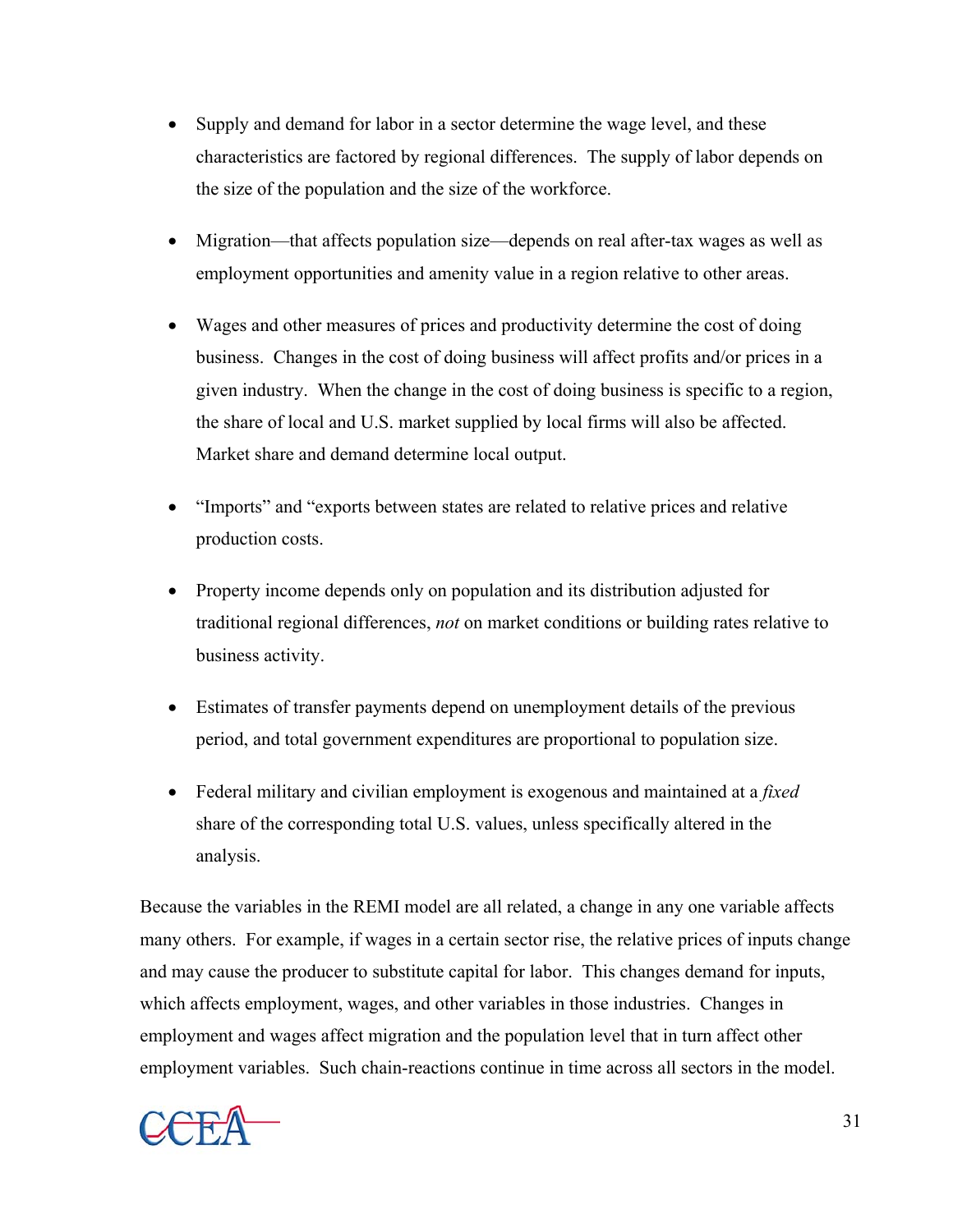- Supply and demand for labor in a sector determine the wage level, and these characteristics are factored by regional differences. The supply of labor depends on the size of the population and the size of the workforce.
- Migration—that affects population size—depends on real after-tax wages as well as employment opportunities and amenity value in a region relative to other areas.
- Wages and other measures of prices and productivity determine the cost of doing business. Changes in the cost of doing business will affect profits and/or prices in a given industry. When the change in the cost of doing business is specific to a region, the share of local and U.S. market supplied by local firms will also be affected. Market share and demand determine local output.
- "Imports" and "exports between states are related to relative prices and relative production costs.
- Property income depends only on population and its distribution adjusted for traditional regional differences, *not* on market conditions or building rates relative to business activity.
- Estimates of transfer payments depend on unemployment details of the previous period, and total government expenditures are proportional to population size.
- Federal military and civilian employment is exogenous and maintained at a *fixed* share of the corresponding total U.S. values, unless specifically altered in the analysis.

Because the variables in the REMI model are all related, a change in any one variable affects many others. For example, if wages in a certain sector rise, the relative prices of inputs change and may cause the producer to substitute capital for labor. This changes demand for inputs, which affects employment, wages, and other variables in those industries. Changes in employment and wages affect migration and the population level that in turn affect other employment variables. Such chain-reactions continue in time across all sectors in the model.



31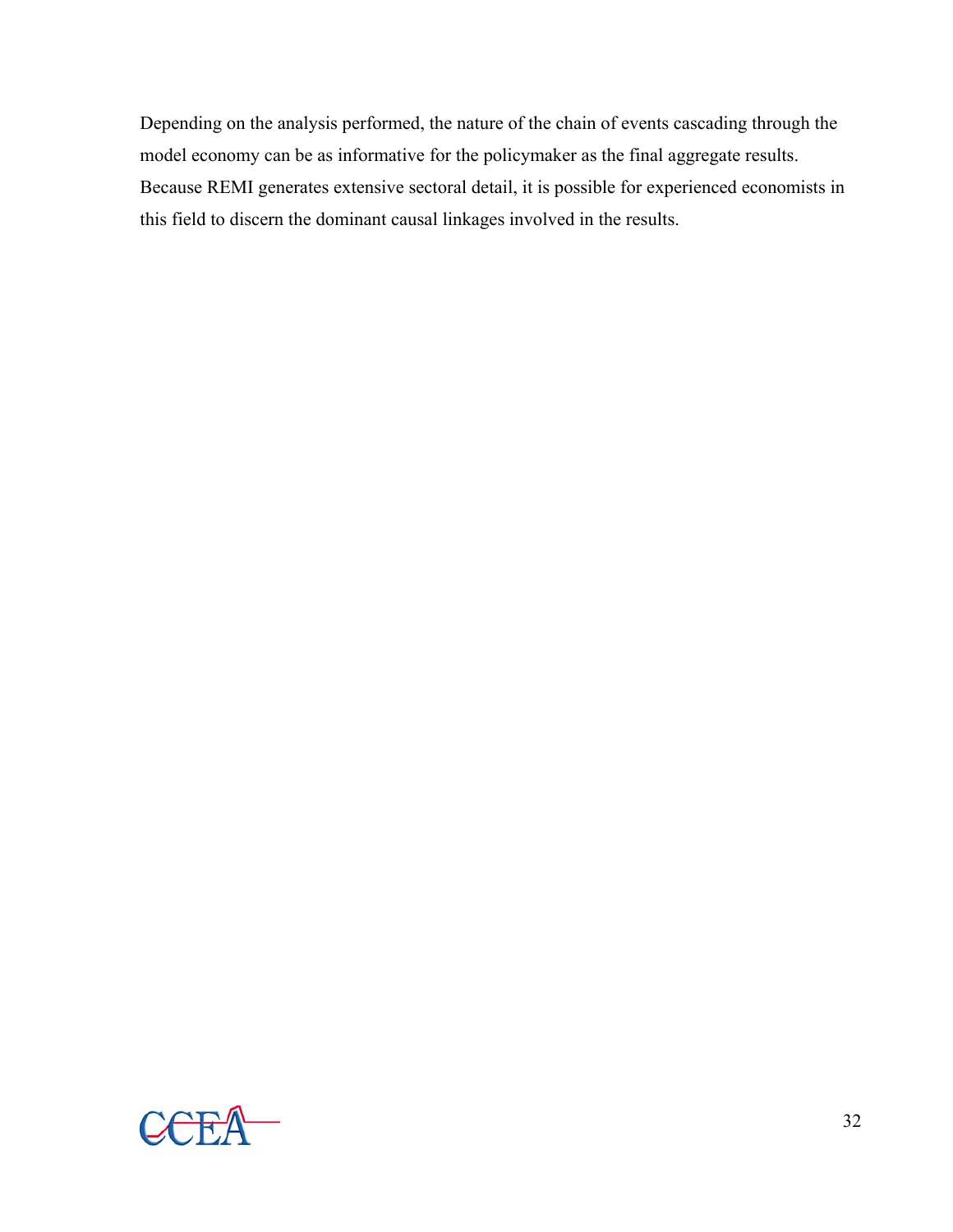Depending on the analysis performed, the nature of the chain of events cascading through the model economy can be as informative for the policymaker as the final aggregate results. Because REMI generates extensive sectoral detail, it is possible for experienced economists in this field to discern the dominant causal linkages involved in the results.

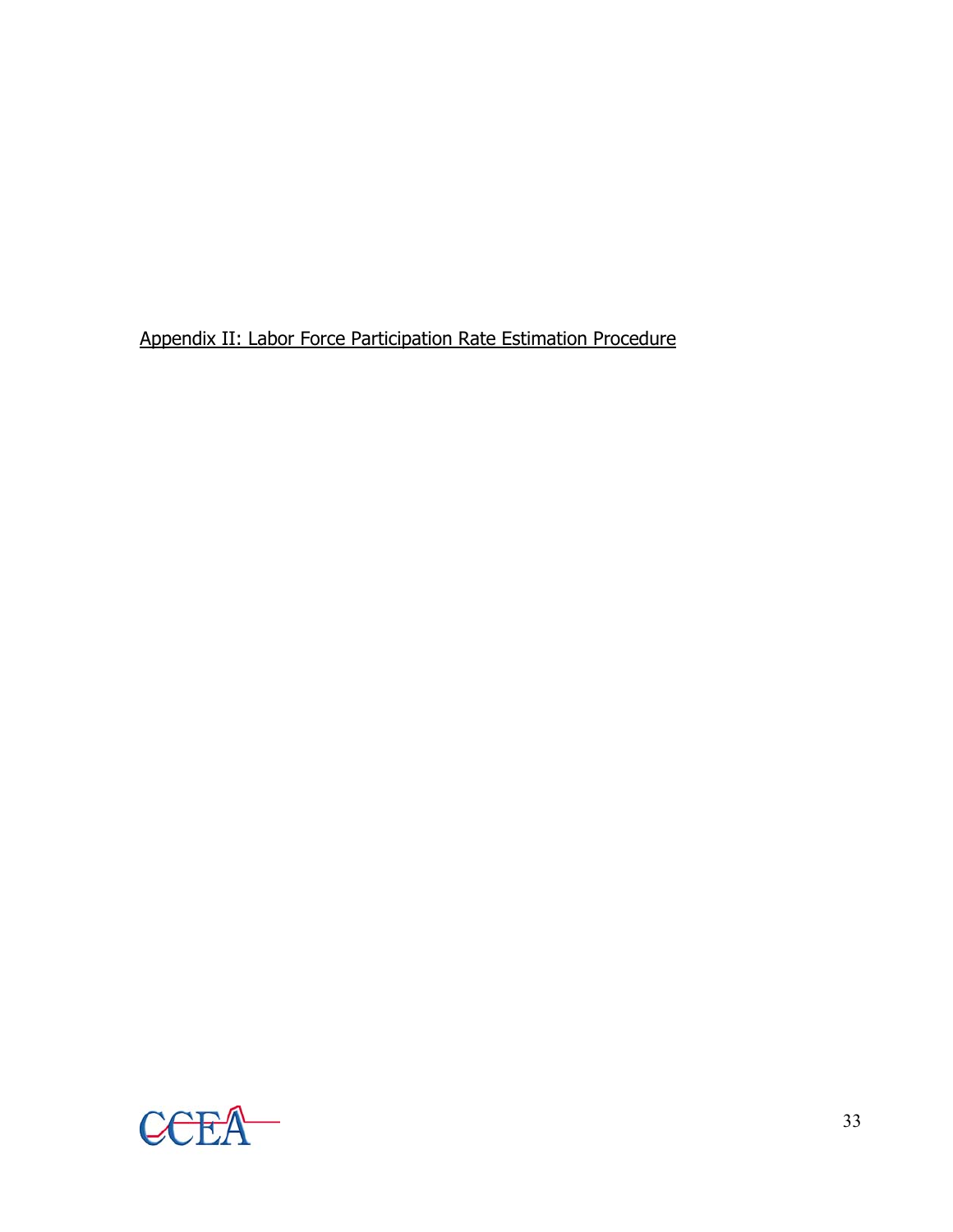Appendix II: Labor Force Participation Rate Estimation Procedure

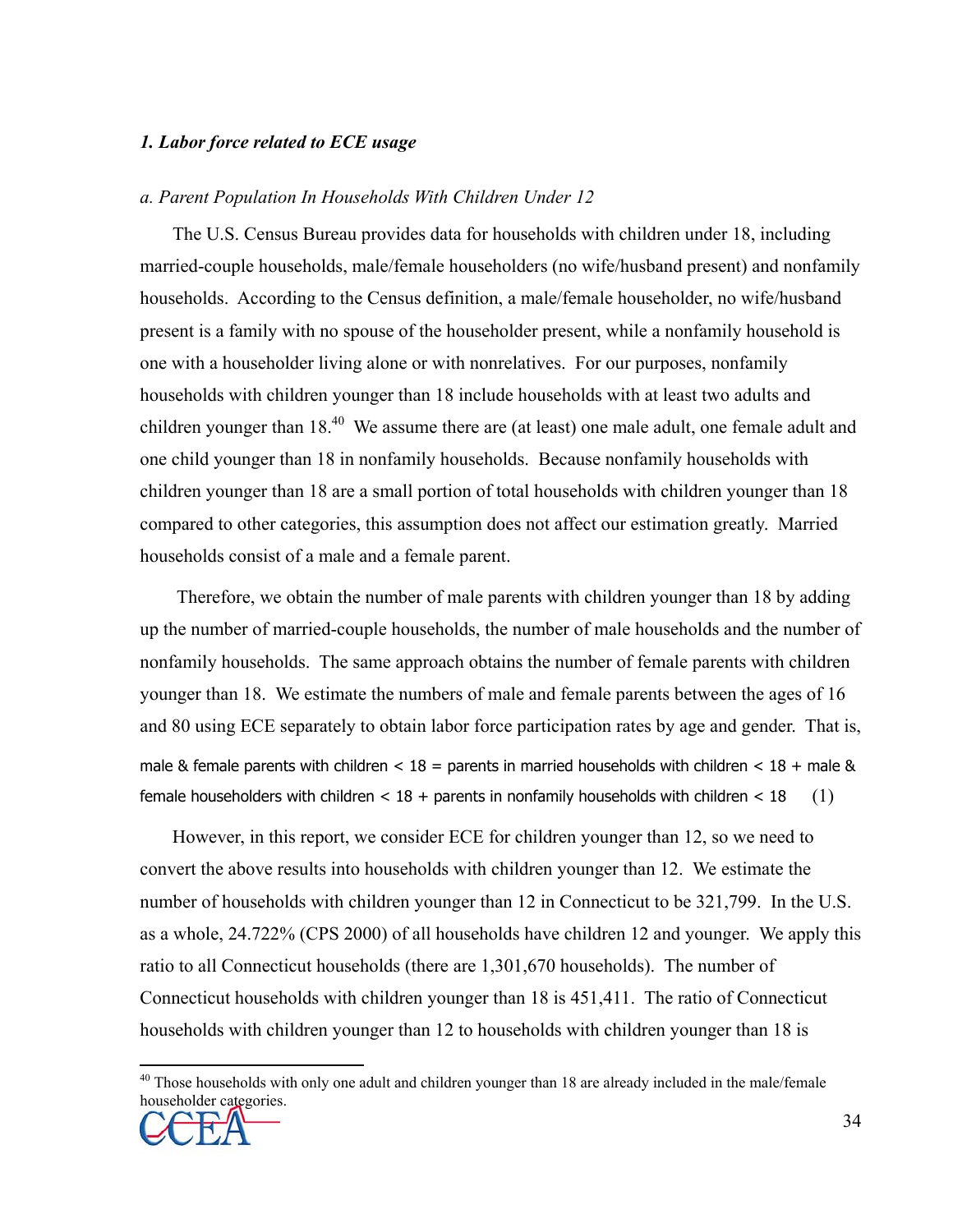#### *1. Labor force related to ECE usage*

#### *a. Parent Population In Households With Children Under 12*

The U.S. Census Bureau provides data for households with children under 18, including married-couple households, male/female householders (no wife/husband present) and nonfamily households. According to the Census definition, a male/female householder, no wife/husband present is a family with no spouse of the householder present, while a nonfamily household is one with a householder living alone or with nonrelatives. For our purposes, nonfamily households with children younger than 18 include households with at least two adults and children younger than 18.<sup>40</sup> We assume there are (at least) one male adult, one female adult and one child younger than 18 in nonfamily households. Because nonfamily households with children younger than 18 are a small portion of total households with children younger than 18 compared to other categories, this assumption does not affect our estimation greatly. Married households consist of a male and a female parent.

 Therefore, we obtain the number of male parents with children younger than 18 by adding up the number of married-couple households, the number of male households and the number of nonfamily households. The same approach obtains the number of female parents with children younger than 18. We estimate the numbers of male and female parents between the ages of 16 and 80 using ECE separately to obtain labor force participation rates by age and gender. That is, male & female parents with children  $<$  18 = parents in married households with children  $<$  18 + male & female householders with children  $< 18 +$  parents in nonfamily households with children  $< 18$  (1)

However, in this report, we consider ECE for children younger than 12, so we need to convert the above results into households with children younger than 12. We estimate the number of households with children younger than 12 in Connecticut to be 321,799. In the U.S. as a whole, 24.722% (CPS 2000) of all households have children 12 and younger. We apply this ratio to all Connecticut households (there are 1,301,670 households). The number of Connecticut households with children younger than 18 is 451,411. The ratio of Connecticut households with children younger than 12 to households with children younger than 18 is

<u>.</u>

<sup>&</sup>lt;sup>40</sup> Those households with only one adult and children younger than 18 are already included in the male/female householder categories.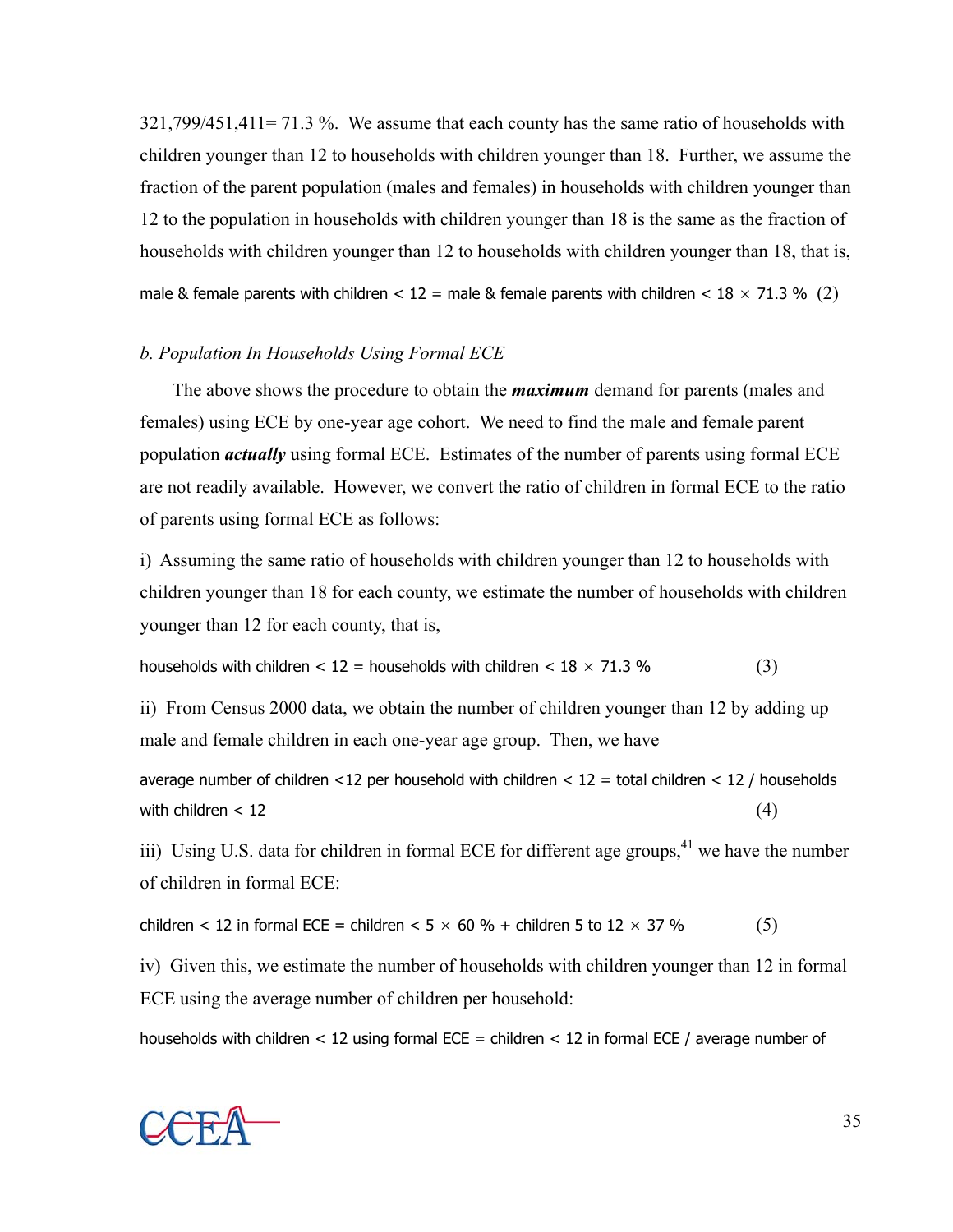321,799/451,411= 71.3 %. We assume that each county has the same ratio of households with children younger than 12 to households with children younger than 18. Further, we assume the fraction of the parent population (males and females) in households with children younger than 12 to the population in households with children younger than 18 is the same as the fraction of households with children younger than 12 to households with children younger than 18, that is, male & female parents with children  $< 12$  = male & female parents with children  $< 18 \times 71.3$  % (2)

#### *b. Population In Households Using Formal ECE*

The above shows the procedure to obtain the *maximum* demand for parents (males and females) using ECE by one-year age cohort. We need to find the male and female parent population *actually* using formal ECE. Estimates of the number of parents using formal ECE are not readily available. However, we convert the ratio of children in formal ECE to the ratio of parents using formal ECE as follows:

i) Assuming the same ratio of households with children younger than 12 to households with children younger than 18 for each county, we estimate the number of households with children younger than 12 for each county, that is,

households with children  $< 12$  = households with children  $< 18 \times 71.3$  % (3)

ii) From Census 2000 data, we obtain the number of children younger than 12 by adding up male and female children in each one-year age group. Then, we have

average number of children <12 per household with children <  $12 =$  total children <  $12 /$  households with children  $< 12$  (4)

iii) Using U.S. data for children in formal ECE for different age groups,  $4^1$  we have the number of children in formal ECE:

children < 12 in formal ECE = children <  $5 \times 60 \%$  + children 5 to  $12 \times 37 \%$  (5)

iv) Given this, we estimate the number of households with children younger than 12 in formal ECE using the average number of children per household:

households with children  $<$  12 using formal ECE = children  $<$  12 in formal ECE / average number of

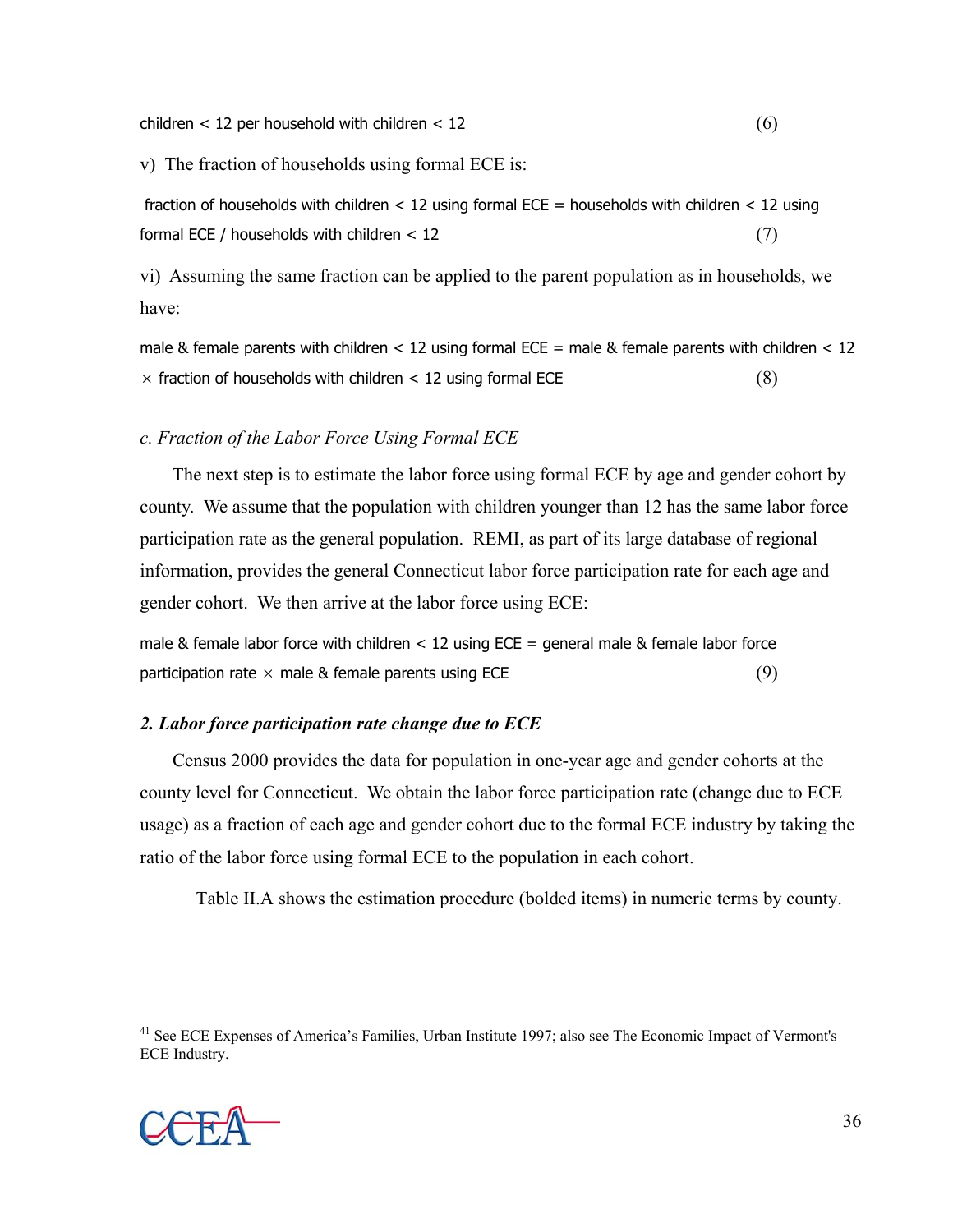$\text{children} < 12 \text{ per household with children} < 12 \tag{6}$ 

v) The fraction of households using formal ECE is:

fraction of households with children  $< 12$  using formal ECE = households with children  $< 12$  using formal ECE / households with children  $< 12$  (7)

vi) Assuming the same fraction can be applied to the parent population as in households, we have:

male & female parents with children  $< 12$  using formal ECE = male & female parents with children  $< 12$  $\times$  fraction of households with children  $<$  12 using formal ECE (8)

#### *c. Fraction of the Labor Force Using Formal ECE*

The next step is to estimate the labor force using formal ECE by age and gender cohort by county. We assume that the population with children younger than 12 has the same labor force participation rate as the general population. REMI, as part of its large database of regional information, provides the general Connecticut labor force participation rate for each age and gender cohort. We then arrive at the labor force using ECE:

male & female labor force with children  $<$  12 using ECE = general male & female labor force participation rate  $\times$  male & female parents using ECE (9)

#### *2. Labor force participation rate change due to ECE*

Census 2000 provides the data for population in one-year age and gender cohorts at the county level for Connecticut. We obtain the labor force participation rate (change due to ECE usage) as a fraction of each age and gender cohort due to the formal ECE industry by taking the ratio of the labor force using formal ECE to the population in each cohort.

Table II.A shows the estimation procedure (bolded items) in numeric terms by county.

<sup>&</sup>lt;sup>41</sup> See ECE Expenses of America's Families, Urban Institute 1997; also see The Economic Impact of Vermont's ECE Industry.

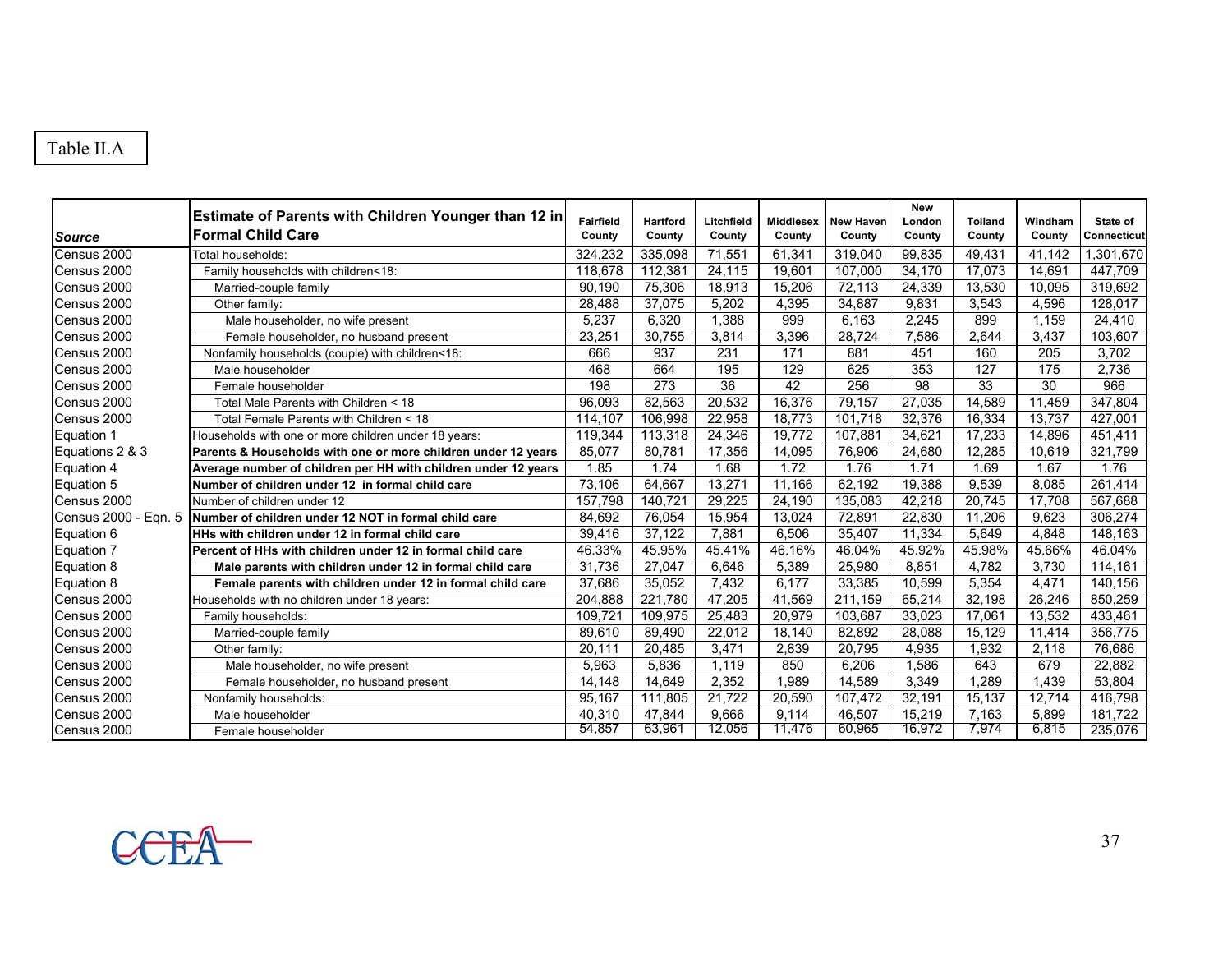# Table II.A

| <b>Source</b>   | Estimate of Parents with Children Younger than 12 in<br><b>Formal Child Care</b> | Fairfield<br>County | Hartford<br>County | Litchfield<br>County | <b>Middlesex</b><br>County | <b>New Haven</b><br>County | <b>New</b><br>London<br>County | <b>Tolland</b><br>County | Windham<br>County | State of<br>Connecticut |
|-----------------|----------------------------------------------------------------------------------|---------------------|--------------------|----------------------|----------------------------|----------------------------|--------------------------------|--------------------------|-------------------|-------------------------|
| Census 2000     | Total households:                                                                | 324.232             | 335.098            | 71.551               | 61,341                     | 319,040                    | 99,835                         | 49,431                   | 41.142            | 1,301,670               |
| Census 2000     | Family households with children<18:                                              | 118,678             | 112,381            | 24,115               | 19,601                     | 107,000                    | 34,170                         | 17,073                   | 14,691            | 447,709                 |
| Census 2000     | Married-couple family                                                            | 90.190              | 75,306             | 18,913               | 15,206                     | 72,113                     | 24,339                         | 13,530                   | 10,095            | 319,692                 |
| Census 2000     | Other family:                                                                    | 28,488              | 37,075             | 5,202                | 4,395                      | 34,887                     | 9,831                          | 3,543                    | 4,596             | 128,017                 |
| Census 2000     | Male householder, no wife present                                                | 5,237               | 6,320              | 1,388                | 999                        | 6,163                      | 2,245                          | 899                      | 1,159             | 24,410                  |
| Census 2000     | Female householder, no husband present                                           | 23,251              | 30,755             | 3,814                | 3,396                      | 28,724                     | 7,586                          | 2,644                    | 3,437             | 103,607                 |
| Census 2000     | Nonfamily households (couple) with children<18:                                  | 666                 | 937                | 231                  | 171                        | 881                        | 451                            | 160                      | 205               | 3,702                   |
| Census 2000     | Male householder                                                                 | 468                 | 664                | 195                  | 129                        | 625                        | 353                            | 127                      | 175               | 2,736                   |
| Census 2000     | Female householder                                                               | 198                 | 273                | $\overline{36}$      | 42                         | 256                        | $\overline{98}$                | 33                       | $\overline{30}$   | 966                     |
| Census 2000     | Total Male Parents with Children < 18                                            | 96,093              | 82,563             | 20,532               | 16,376                     | 79,157                     | 27,035                         | 14,589                   | 11,459            | 347,804                 |
| Census 2000     | Total Female Parents with Children < 18                                          | 114,107             | 106,998            | 22,958               | 18,773                     | 101.718                    | 32,376                         | 16,334                   | 13,737            | 427,001                 |
| Equation 1      | Households with one or more children under 18 years:                             | 119,344             | 113,318            | 24,346               | 19,772                     | 107,881                    | 34,621                         | 17,233                   | 14,896            | 451,411                 |
| Equations 2 & 3 | Parents & Households with one or more children under 12 years                    | 85.077              | 80.781             | 17,356               | 14,095                     | 76,906                     | 24,680                         | 12.285                   | 10.619            | 321.799                 |
| Equation 4      | Average number of children per HH with children under 12 years                   | 1.85                | 1.74               | 1.68                 | 1.72                       | 1.76                       | 1.71                           | 1.69                     | 1.67              | 1.76                    |
| Equation 5      | Number of children under 12 in formal child care                                 | 73.106              | 64.667             | 13,271               | 11,166                     | 62,192                     | 19,388                         | 9,539                    | 8,085             | 261,414                 |
| Census 2000     | Number of children under 12                                                      | 157.798             | 140.721            | 29,225               | 24,190                     | 135,083                    | 42,218                         | 20.745                   | 17,708            | 567,688                 |
|                 | Census 2000 - Eqn. 5 Number of children under 12 NOT in formal child care        | 84,692              | 76,054             | 15,954               | 13,024                     | 72,891                     | 22,830                         | 11,206                   | 9,623             | 306,274                 |
| Equation 6      | HHs with children under 12 in formal child care                                  | 39,416              | 37,122             | 7,881                | 6,506                      | 35,407                     | 11,334                         | 5,649                    | 4,848             | 148,163                 |
| Equation 7      | Percent of HHs with children under 12 in formal child care                       | 46.33%              | 45.95%             | 45.41%               | 46.16%                     | 46.04%                     | 45.92%                         | 45.98%                   | 45.66%            | 46.04%                  |
| Equation 8      | Male parents with children under 12 in formal child care                         | 31,736              | 27,047             | 6,646                | 5,389                      | 25,980                     | 8,851                          | 4,782                    | 3,730             | 114,161                 |
| Equation 8      | Female parents with children under 12 in formal child care                       | 37,686              | 35,052             | 7,432                | 6,177                      | 33,385                     | 10,599                         | 5,354                    | 4,471             | 140,156                 |
| Census 2000     | Households with no children under 18 years:                                      | 204,888             | 221,780            | 47,205               | 41,569                     | 211,159                    | 65,214                         | 32,198                   | 26,246            | 850,259                 |
| Census 2000     | Family households:                                                               | 109.721             | 109,975            | 25,483               | 20,979                     | 103,687                    | 33,023                         | 17,061                   | 13,532            | 433,461                 |
| Census 2000     | Married-couple family                                                            | 89,610              | 89,490             | 22,012               | 18,140                     | 82,892                     | 28,088                         | 15,129                   | 11,414            | 356,775                 |
| Census 2000     | Other family:                                                                    | 20,111              | 20,485             | 3,471                | 2,839                      | 20,795                     | 4,935                          | 1,932                    | 2,118             | 76,686                  |
| Census 2000     | Male householder, no wife present                                                | 5,963               | 5,836              | 1,119                | 850                        | 6,206                      | 1,586                          | 643                      | 679               | 22,882                  |
| Census 2000     | Female householder, no husband present                                           | 14,148              | 14,649             | 2,352                | 1,989                      | 14,589                     | 3,349                          | 1,289                    | 1,439             | 53,804                  |
| Census 2000     | Nonfamily households:                                                            | 95,167              | 111,805            | 21.722               | 20,590                     | 107,472                    | 32,191                         | 15,137                   | 12,714            | 416,798                 |
| Census 2000     | Male householder                                                                 | 40,310              | 47,844             | 9,666                | 9,114                      | 46,507                     | 15,219                         | 7,163                    | 5,899             | 181.722                 |
| Census 2000     | Female householder                                                               | 54.857              | 63,961             | 12,056               | 11,476                     | 60,965                     | 16,972                         | 7,974                    | 6,815             | 235,076                 |

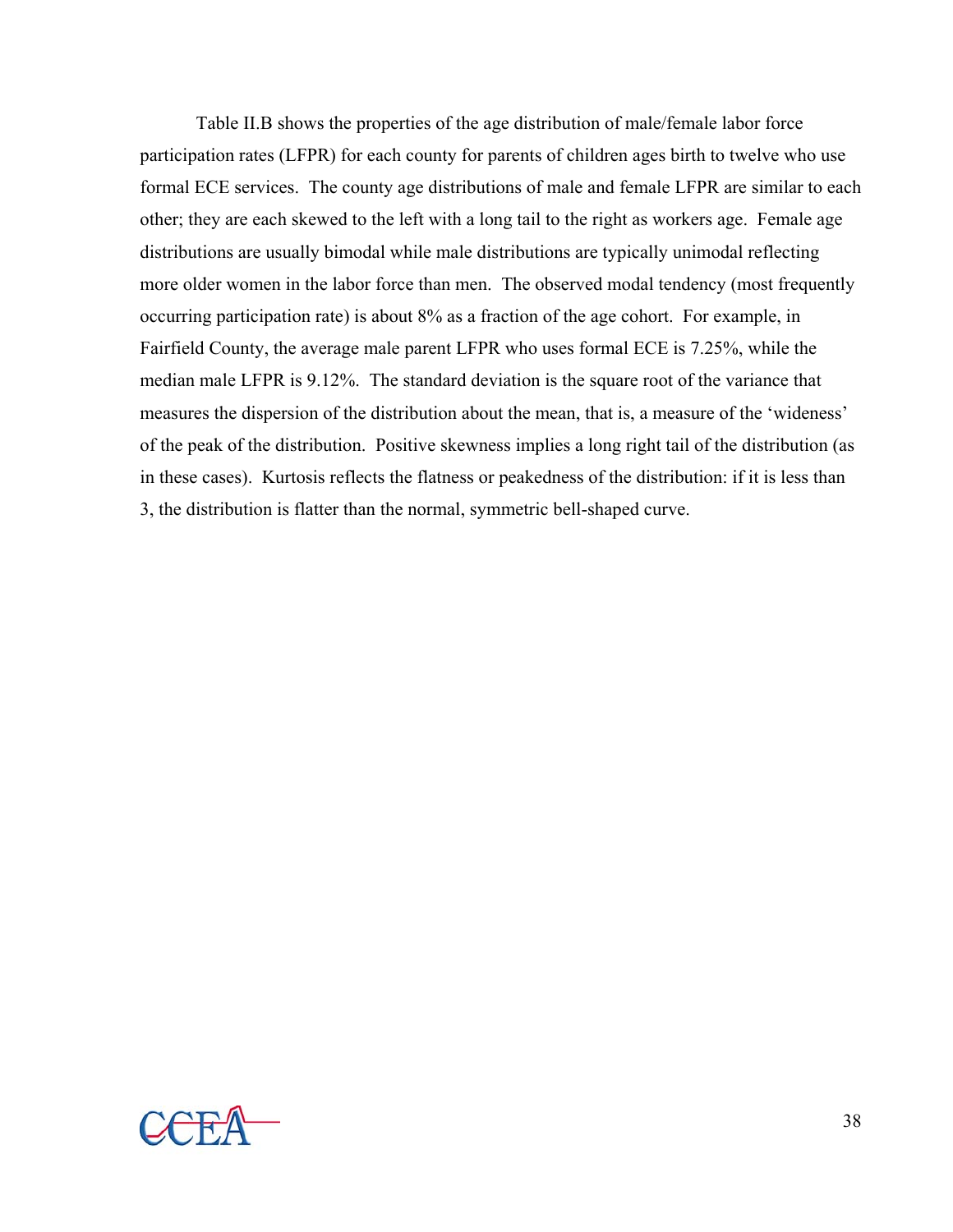Table II.B shows the properties of the age distribution of male/female labor force participation rates (LFPR) for each county for parents of children ages birth to twelve who use formal ECE services. The county age distributions of male and female LFPR are similar to each other; they are each skewed to the left with a long tail to the right as workers age. Female age distributions are usually bimodal while male distributions are typically unimodal reflecting more older women in the labor force than men. The observed modal tendency (most frequently occurring participation rate) is about 8% as a fraction of the age cohort. For example, in Fairfield County, the average male parent LFPR who uses formal ECE is 7.25%, while the median male LFPR is 9.12%. The standard deviation is the square root of the variance that measures the dispersion of the distribution about the mean, that is, a measure of the 'wideness' of the peak of the distribution. Positive skewness implies a long right tail of the distribution (as in these cases). Kurtosis reflects the flatness or peakedness of the distribution: if it is less than 3, the distribution is flatter than the normal, symmetric bell-shaped curve.

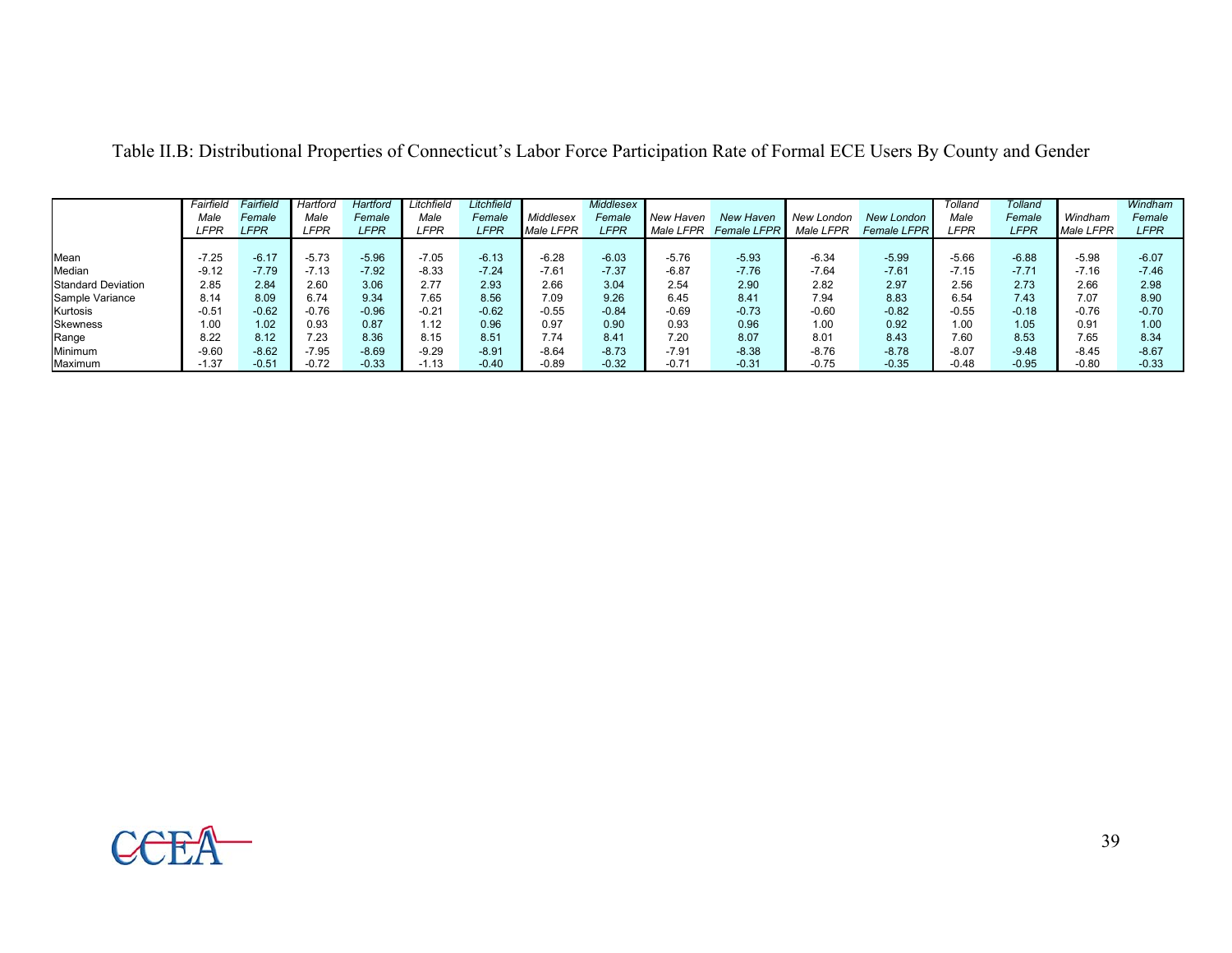|                           | Fairfield | <sup>=</sup> airfield | Hartford    | Hartford    | Litchfield | Litchfield  |                  | Middlesex   |           |                    |            |                    | Tolland     | Tolland     |           | Windham     |
|---------------------------|-----------|-----------------------|-------------|-------------|------------|-------------|------------------|-------------|-----------|--------------------|------------|--------------------|-------------|-------------|-----------|-------------|
|                           | Male      | Female                | Male        | Female      | Male       | Female      | Middlesex        | Female      | New Haven | New Haven          | New London | <b>New London</b>  | Male        | Female      | Windham   | Female      |
|                           | LFPR      | <b>LFPR</b>           | <b>LFPR</b> | <b>LFPR</b> | LFPR       | <b>LFPR</b> | <b>Male LFPR</b> | <b>LFPR</b> | Male LFPR | <b>Female LFPR</b> | Male LFPR  | <b>Female LFPR</b> | <b>LFPR</b> | <b>LFPR</b> | Male LFPR | <b>LFPR</b> |
|                           |           |                       |             |             |            |             |                  |             |           |                    |            |                    |             |             |           |             |
| Mean                      | $-7.25$   | $-6.17$               | $-5.73$     | $-5.96$     | $-7.05$    | $-6.13$     | $-6.28$          | $-6.03$     | $-5.76$   | $-5.93$            | $-6.34$    | $-5.99$            | $-5.66$     | $-6.88$     | $-5.98$   | $-6.07$     |
| Median                    | $-9.12$   | $-7.79$               | $-7.13$     | $-7.92$     | $-8.33$    | $-7.24$     | $-7.61$          | $-7.37$     | $-6.87$   | $-7.76$            | $-7.64$    | $-7.61$            | $-7.15$     | $-7.71$     | $-7.16$   | $-7.46$     |
| <b>Standard Deviation</b> | 2.85      | 2.84                  | 2.60        | 3.06        | 2.77       | 2.93        | 2.66             | 3.04        | 2.54      | 2.90               | 2.82       | 2.97               | 2.56        | 2.73        | 2.66      | 2.98        |
| Sample Variance           | 8.14      | 8.09                  | 6.74        | 9.34        | 7.65       | 8.56        | 7.09             | 9.26        | 6.45      | 8.41               | 7.94       | 8.83               | 6.54        | 7.43        | 7.07      | 8.90        |
| Kurtosis                  | $-0.51$   | $-0.62$               | $-0.76$     | $-0.96$     | $-0.21$    | $-0.62$     | $-0.55$          | $-0.84$     | $-0.69$   | $-0.73$            | $-0.60$    | $-0.82$            | $-0.55$     | $-0.18$     | $-0.76$   | $-0.70$     |
| <b>Skewness</b>           | 1.00      | 1.02                  | 0.93        | 0.87        | .12        | 0.96        | 0.97             | 0.90        | 0.93      | 0.96               | 1.00       | 0.92               | 1.00        | 1.05        | 0.91      | 1.00        |
| Range                     | 8.22      | 8.12                  | 7.23        | 8.36        | 8.15       | 8.51        | 7.74             | 8.41        | 7.20      | 8.07               | 8.01       | 8.43               | 7.60        | 8.53        | 7.65      | 8.34        |
| Minimum                   | $-9.60$   | $-8.62$               | $-7.95$     | $-8.69$     | $-9.29$    | $-8.91$     | $-8.64$          | $-8.73$     | $-7.91$   | $-8.38$            | $-8.76$    | $-8.78$            | $-8.07$     | $-9.48$     | $-8.45$   | $-8.67$     |
| Maximum                   | $-1.37$   | $-0.51$               | $-0.72$     | $-0.33$     | $-1.13$    | $-0.40$     | $-0.89$          | $-0.32$     | $-0.71$   | $-0.31$            | $-0.75$    | $-0.35$            | $-0.48$     | $-0.95$     | $-0.80$   | $-0.33$     |

Table II.B: Distributional Properties of Connecticut's Labor Force Participation Rate of Formal ECE Users By County and Gender

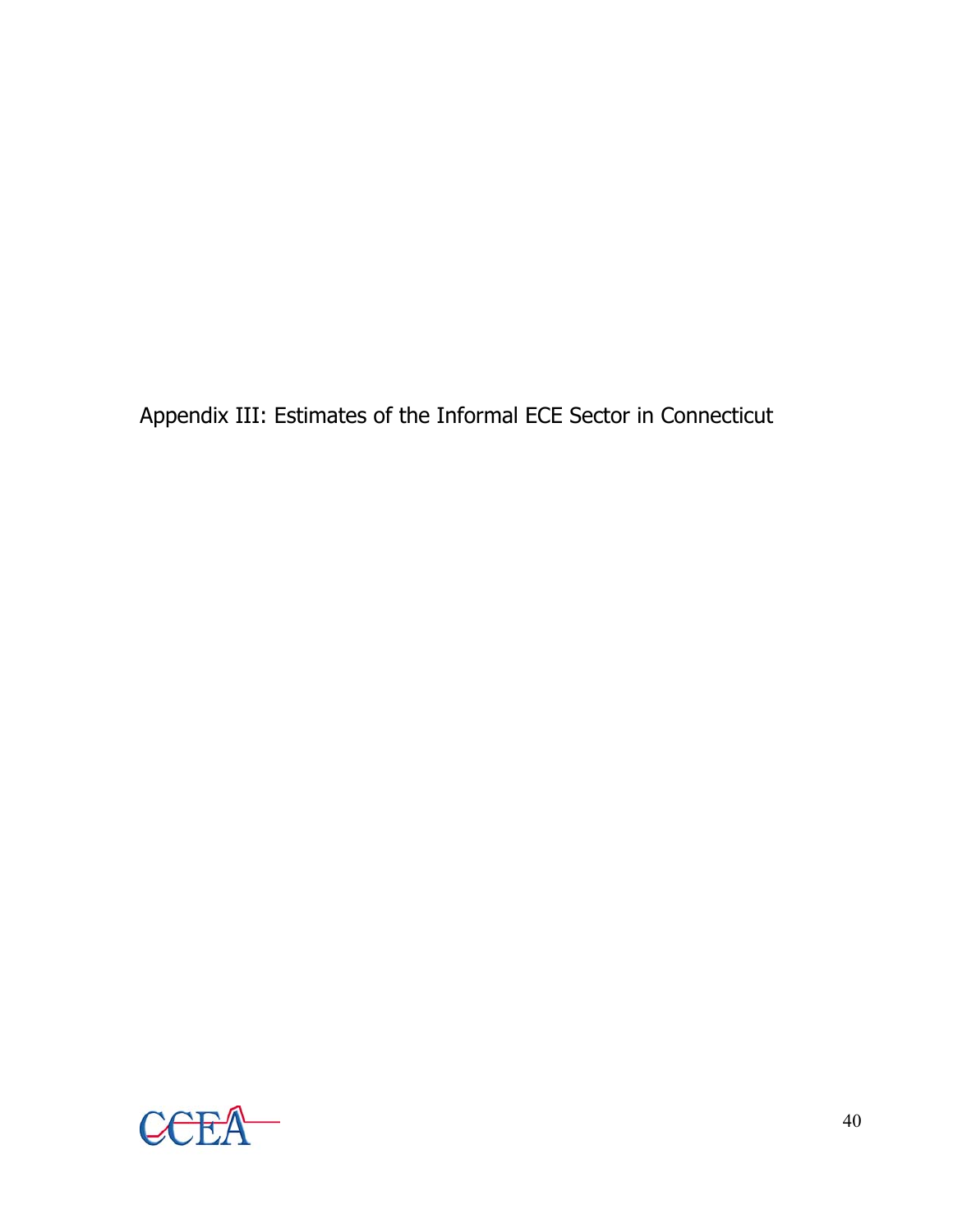Appendix III: Estimates of the Informal ECE Sector in Connecticut

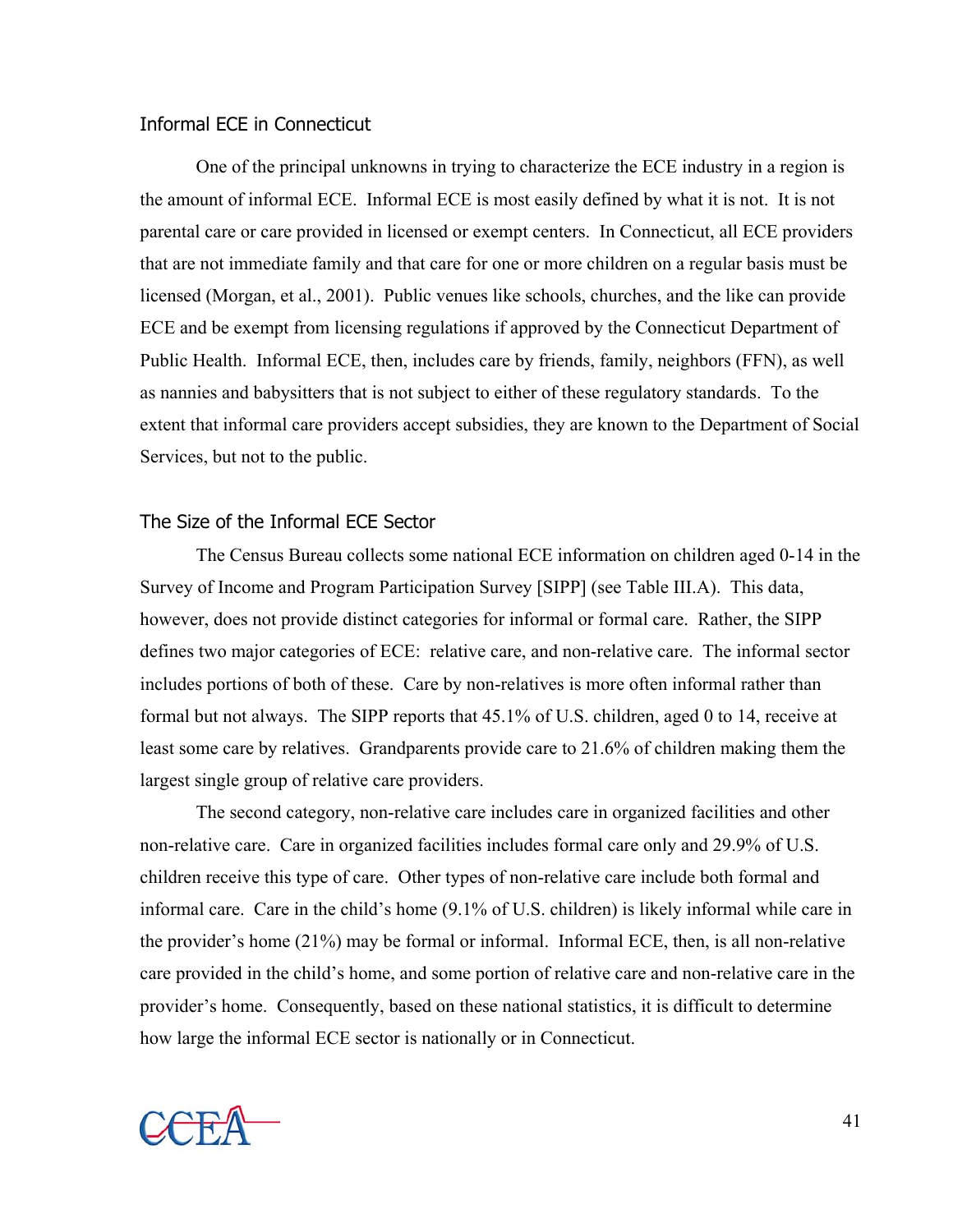#### Informal ECE in Connecticut

 One of the principal unknowns in trying to characterize the ECE industry in a region is the amount of informal ECE. Informal ECE is most easily defined by what it is not. It is not parental care or care provided in licensed or exempt centers. In Connecticut, all ECE providers that are not immediate family and that care for one or more children on a regular basis must be licensed (Morgan, et al., 2001). Public venues like schools, churches, and the like can provide ECE and be exempt from licensing regulations if approved by the Connecticut Department of Public Health. Informal ECE, then, includes care by friends, family, neighbors (FFN), as well as nannies and babysitters that is not subject to either of these regulatory standards. To the extent that informal care providers accept subsidies, they are known to the Department of Social Services, but not to the public.

#### The Size of the Informal ECE Sector

The Census Bureau collects some national ECE information on children aged 0-14 in the Survey of Income and Program Participation Survey [SIPP] (see Table III.A). This data, however, does not provide distinct categories for informal or formal care. Rather, the SIPP defines two major categories of ECE: relative care, and non-relative care. The informal sector includes portions of both of these. Care by non-relatives is more often informal rather than formal but not always. The SIPP reports that 45.1% of U.S. children, aged 0 to 14, receive at least some care by relatives. Grandparents provide care to 21.6% of children making them the largest single group of relative care providers.

The second category, non-relative care includes care in organized facilities and other non-relative care. Care in organized facilities includes formal care only and 29.9% of U.S. children receive this type of care. Other types of non-relative care include both formal and informal care. Care in the child's home (9.1% of U.S. children) is likely informal while care in the provider's home (21%) may be formal or informal. Informal ECE, then, is all non-relative care provided in the child's home, and some portion of relative care and non-relative care in the provider's home. Consequently, based on these national statistics, it is difficult to determine how large the informal ECE sector is nationally or in Connecticut.

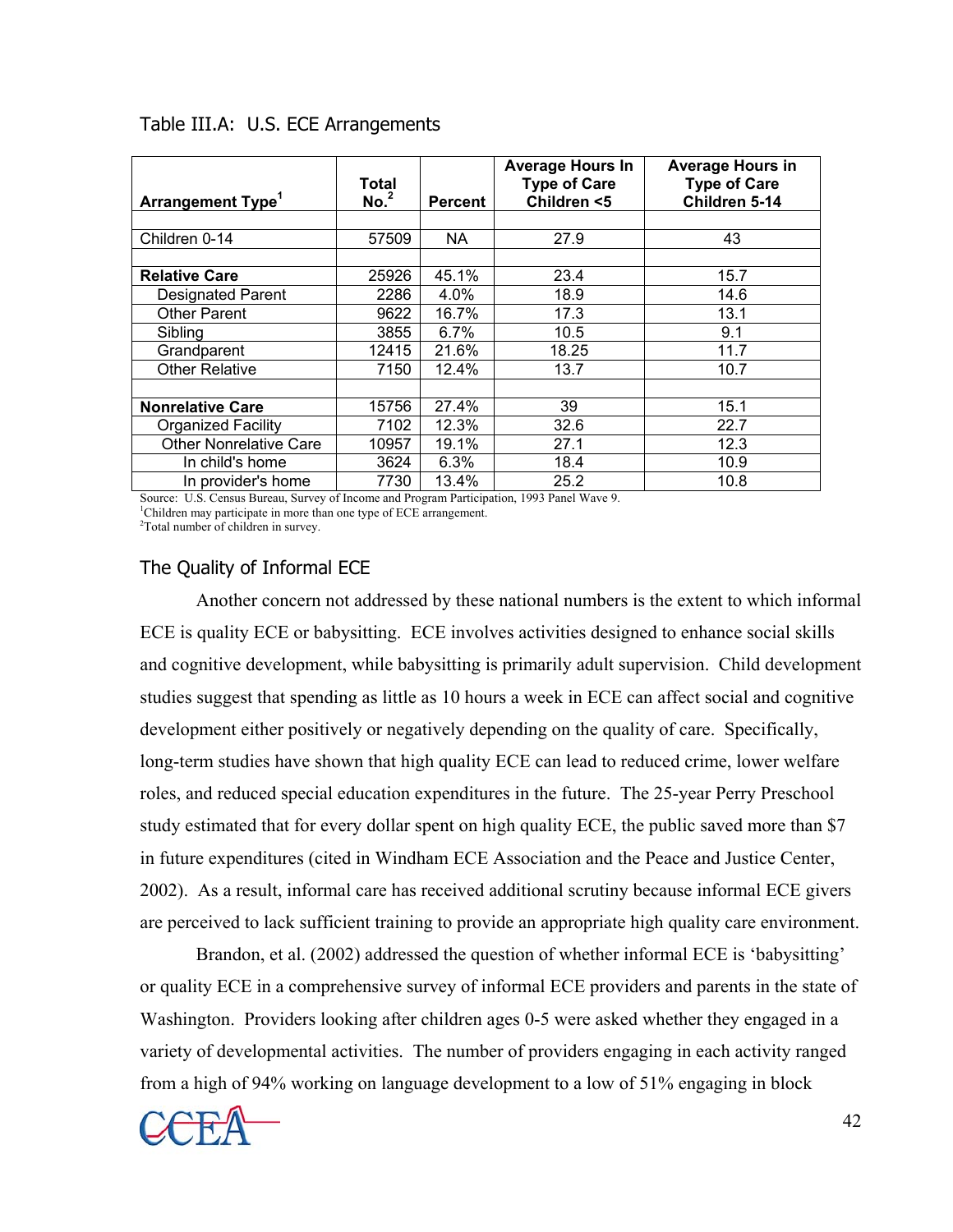| <b>Arrangement Type<sup>1</sup></b> | <b>Total</b><br>No. <sup>2</sup> | <b>Percent</b> | <b>Average Hours In</b><br><b>Type of Care</b><br>Children <5 | <b>Average Hours in</b><br><b>Type of Care</b><br>Children 5-14 |
|-------------------------------------|----------------------------------|----------------|---------------------------------------------------------------|-----------------------------------------------------------------|
|                                     |                                  |                |                                                               |                                                                 |
| Children 0-14                       | 57509                            | NA             | 27.9                                                          | 43                                                              |
|                                     |                                  |                |                                                               |                                                                 |
| <b>Relative Care</b>                | 25926                            | 45.1%          | 23.4                                                          | 15.7                                                            |
| <b>Designated Parent</b>            | 2286                             | 4.0%           | 18.9                                                          | 14.6                                                            |
| <b>Other Parent</b>                 | 9622                             | 16.7%          | 17.3                                                          | 13.1                                                            |
| Sibling                             | 3855                             | 6.7%           | 10.5                                                          | 9.1                                                             |
| Grandparent                         | 12415                            | 21.6%          | 18.25                                                         | 11.7                                                            |
| <b>Other Relative</b>               | 7150                             | 12.4%          | 13.7                                                          | 10.7                                                            |
|                                     |                                  |                |                                                               |                                                                 |
| <b>Nonrelative Care</b>             | 15756                            | 27.4%          | 39                                                            | 15.1                                                            |
| <b>Organized Facility</b>           | 7102                             | 12.3%          | 32.6                                                          | 22.7                                                            |
| <b>Other Nonrelative Care</b>       | 10957                            | 19.1%          | 27.1                                                          | 12.3                                                            |
| In child's home                     | 3624                             | 6.3%           | 18.4                                                          | 10.9                                                            |
| In provider's home                  | 7730                             | 13.4%          | 25.2                                                          | 10.8                                                            |

#### Table III.A: U.S. ECE Arrangements

Source: U.S. Census Bureau, Survey of Income and Program Participation, 1993 Panel Wave 9. <sup>1</sup>Children may participate in more than one type of ECE arrangement.

Total number of children in survey.

## The Quality of Informal ECE

Another concern not addressed by these national numbers is the extent to which informal ECE is quality ECE or babysitting. ECE involves activities designed to enhance social skills and cognitive development, while babysitting is primarily adult supervision. Child development studies suggest that spending as little as 10 hours a week in ECE can affect social and cognitive development either positively or negatively depending on the quality of care. Specifically, long-term studies have shown that high quality ECE can lead to reduced crime, lower welfare roles, and reduced special education expenditures in the future. The 25-year Perry Preschool study estimated that for every dollar spent on high quality ECE, the public saved more than \$7 in future expenditures (cited in Windham ECE Association and the Peace and Justice Center, 2002). As a result, informal care has received additional scrutiny because informal ECE givers are perceived to lack sufficient training to provide an appropriate high quality care environment.

 Brandon, et al. (2002) addressed the question of whether informal ECE is 'babysitting' or quality ECE in a comprehensive survey of informal ECE providers and parents in the state of Washington. Providers looking after children ages 0-5 were asked whether they engaged in a variety of developmental activities. The number of providers engaging in each activity ranged from a high of 94% working on language development to a low of 51% engaging in block

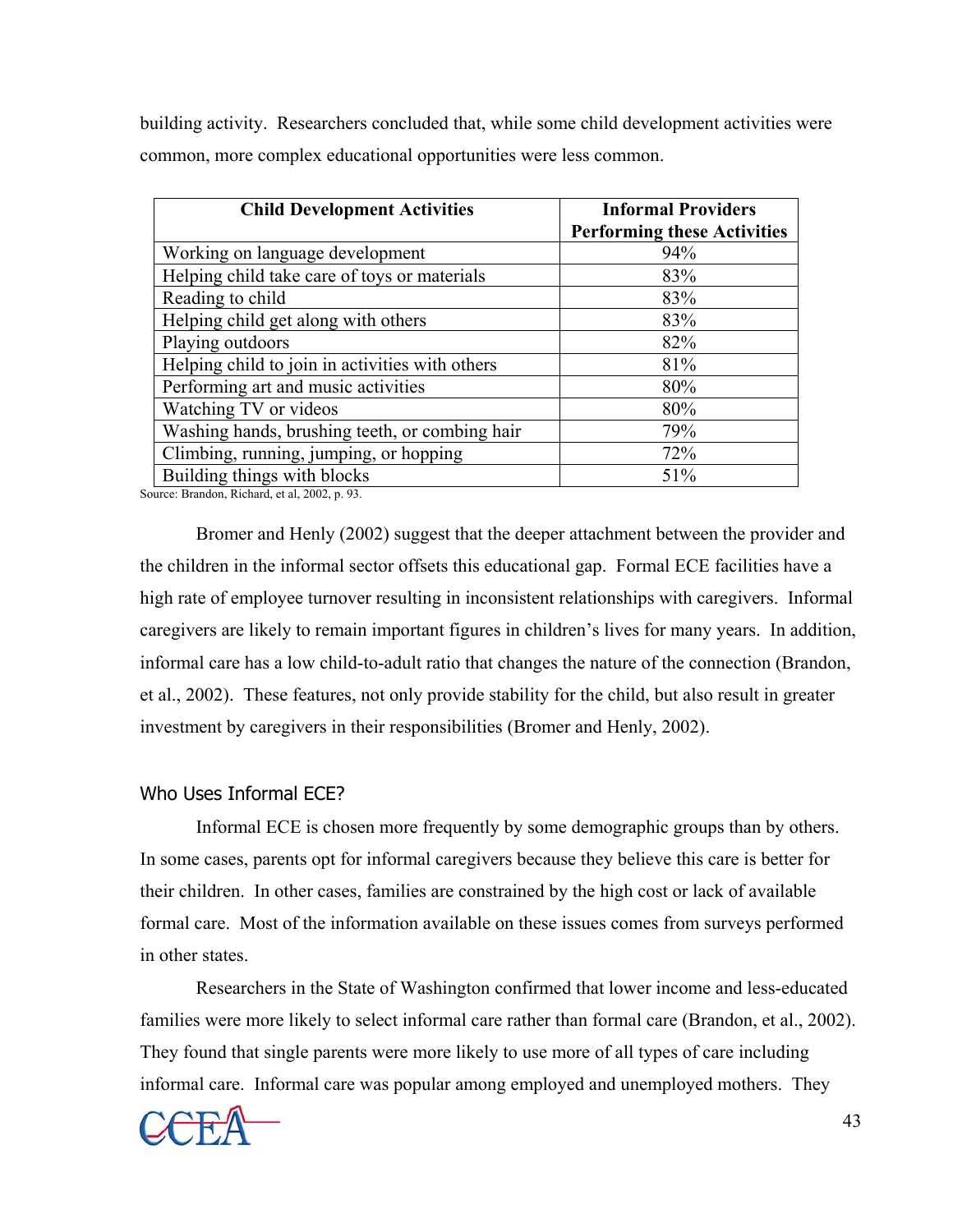building activity. Researchers concluded that, while some child development activities were common, more complex educational opportunities were less common.

| <b>Child Development Activities</b>             | <b>Informal Providers</b><br><b>Performing these Activities</b> |
|-------------------------------------------------|-----------------------------------------------------------------|
| Working on language development                 | 94%                                                             |
| Helping child take care of toys or materials    | 83%                                                             |
| Reading to child                                | 83%                                                             |
| Helping child get along with others             | 83%                                                             |
| Playing outdoors                                | 82%                                                             |
| Helping child to join in activities with others | 81%                                                             |
| Performing art and music activities             | 80%                                                             |
| Watching TV or videos                           | 80%                                                             |
| Washing hands, brushing teeth, or combing hair  | 79%                                                             |
| Climbing, running, jumping, or hopping          | 72%                                                             |
| Building things with blocks                     | 51%                                                             |

Source: Brandon, Richard, et al, 2002, p. 93.

 Bromer and Henly (2002) suggest that the deeper attachment between the provider and the children in the informal sector offsets this educational gap. Formal ECE facilities have a high rate of employee turnover resulting in inconsistent relationships with caregivers. Informal caregivers are likely to remain important figures in children's lives for many years. In addition, informal care has a low child-to-adult ratio that changes the nature of the connection (Brandon, et al., 2002). These features, not only provide stability for the child, but also result in greater investment by caregivers in their responsibilities (Bromer and Henly, 2002).

#### Who Uses Informal ECE?

 Informal ECE is chosen more frequently by some demographic groups than by others. In some cases, parents opt for informal caregivers because they believe this care is better for their children. In other cases, families are constrained by the high cost or lack of available formal care. Most of the information available on these issues comes from surveys performed in other states.

Researchers in the State of Washington confirmed that lower income and less-educated families were more likely to select informal care rather than formal care (Brandon, et al., 2002). They found that single parents were more likely to use more of all types of care including informal care. Informal care was popular among employed and unemployed mothers. They

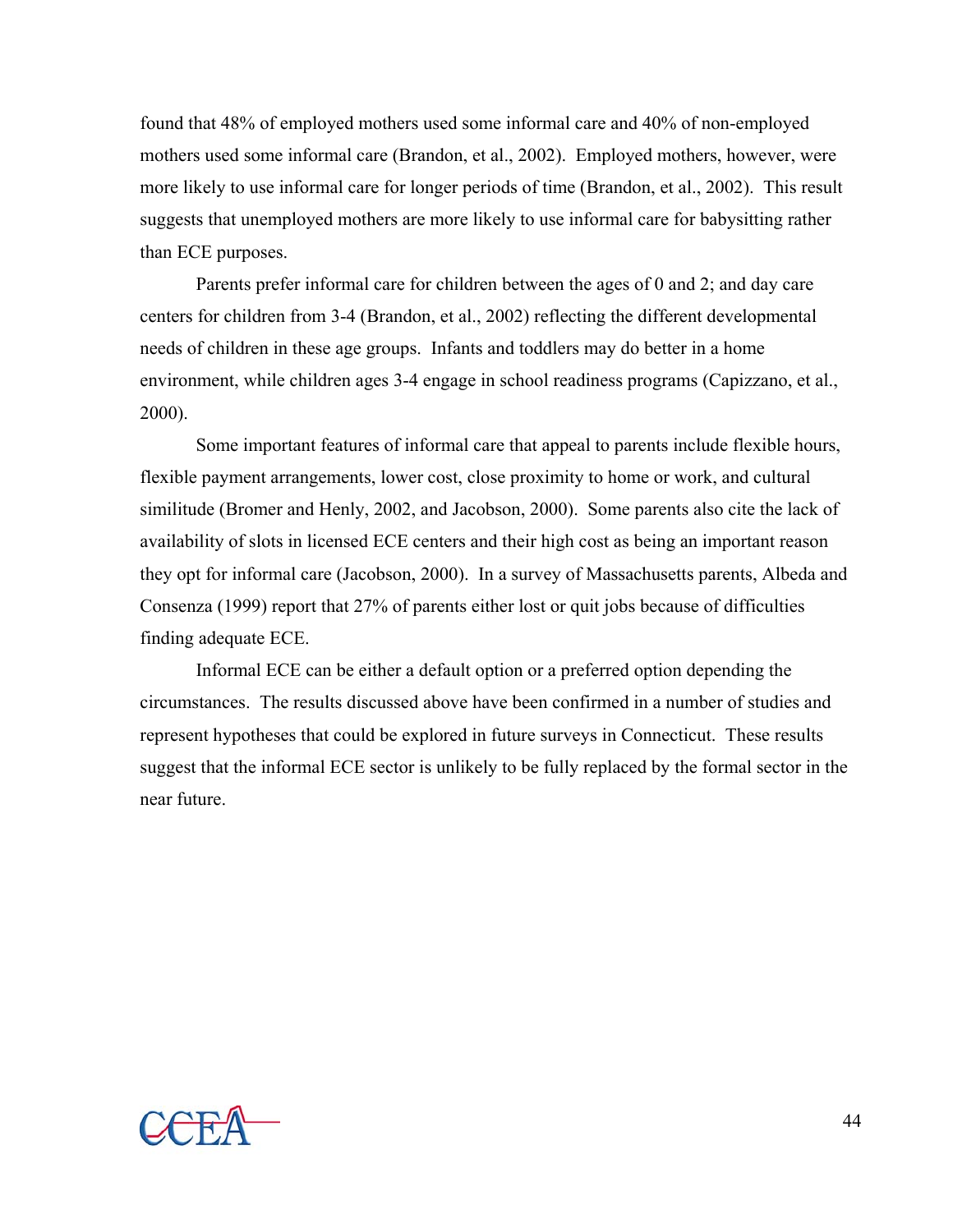found that 48% of employed mothers used some informal care and 40% of non-employed mothers used some informal care (Brandon, et al., 2002). Employed mothers, however, were more likely to use informal care for longer periods of time (Brandon, et al., 2002). This result suggests that unemployed mothers are more likely to use informal care for babysitting rather than ECE purposes.

Parents prefer informal care for children between the ages of 0 and 2; and day care centers for children from 3-4 (Brandon, et al., 2002) reflecting the different developmental needs of children in these age groups. Infants and toddlers may do better in a home environment, while children ages 3-4 engage in school readiness programs (Capizzano, et al., 2000).

 Some important features of informal care that appeal to parents include flexible hours, flexible payment arrangements, lower cost, close proximity to home or work, and cultural similitude (Bromer and Henly, 2002, and Jacobson, 2000). Some parents also cite the lack of availability of slots in licensed ECE centers and their high cost as being an important reason they opt for informal care (Jacobson, 2000). In a survey of Massachusetts parents, Albeda and Consenza (1999) report that 27% of parents either lost or quit jobs because of difficulties finding adequate ECE.

 Informal ECE can be either a default option or a preferred option depending the circumstances. The results discussed above have been confirmed in a number of studies and represent hypotheses that could be explored in future surveys in Connecticut. These results suggest that the informal ECE sector is unlikely to be fully replaced by the formal sector in the near future.

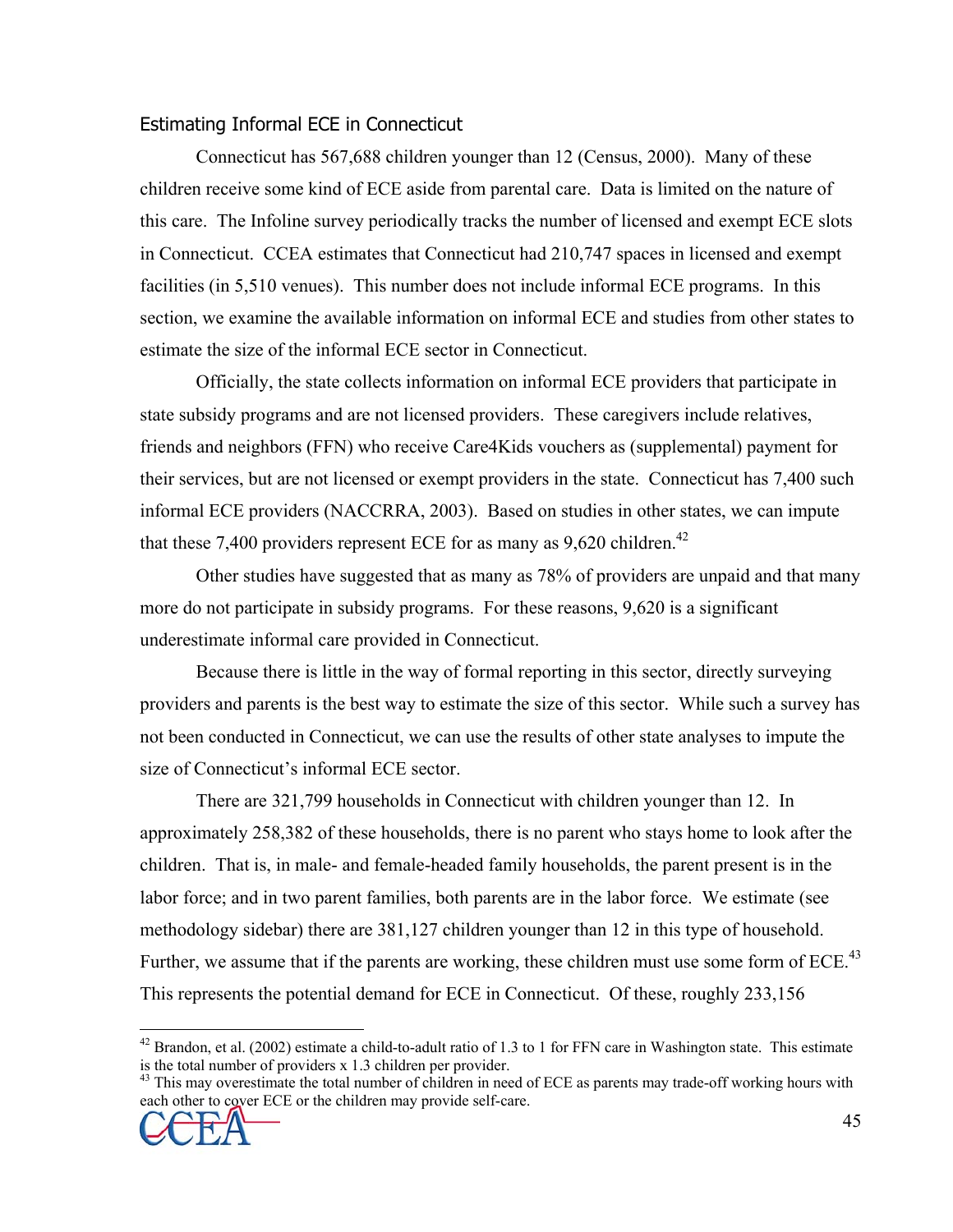#### Estimating Informal ECE in Connecticut

 Connecticut has 567,688 children younger than 12 (Census, 2000). Many of these children receive some kind of ECE aside from parental care. Data is limited on the nature of this care. The Infoline survey periodically tracks the number of licensed and exempt ECE slots in Connecticut. CCEA estimates that Connecticut had 210,747 spaces in licensed and exempt facilities (in 5,510 venues). This number does not include informal ECE programs. In this section, we examine the available information on informal ECE and studies from other states to estimate the size of the informal ECE sector in Connecticut.

Officially, the state collects information on informal ECE providers that participate in state subsidy programs and are not licensed providers. These caregivers include relatives, friends and neighbors (FFN) who receive Care4Kids vouchers as (supplemental) payment for their services, but are not licensed or exempt providers in the state. Connecticut has 7,400 such informal ECE providers (NACCRRA, 2003). Based on studies in other states, we can impute that these 7,400 providers represent ECE for as many as  $9,620$  children.<sup>42</sup>

Other studies have suggested that as many as 78% of providers are unpaid and that many more do not participate in subsidy programs. For these reasons, 9,620 is a significant underestimate informal care provided in Connecticut.

Because there is little in the way of formal reporting in this sector, directly surveying providers and parents is the best way to estimate the size of this sector. While such a survey has not been conducted in Connecticut, we can use the results of other state analyses to impute the size of Connecticut's informal ECE sector.

 There are 321,799 households in Connecticut with children younger than 12. In approximately 258,382 of these households, there is no parent who stays home to look after the children. That is, in male- and female-headed family households, the parent present is in the labor force; and in two parent families, both parents are in the labor force. We estimate (see methodology sidebar) there are 381,127 children younger than 12 in this type of household. Further, we assume that if the parents are working, these children must use some form of ECE. $^{43}$ This represents the potential demand for ECE in Connecticut. Of these, roughly 233,156

each other to cover ECE or the children may provide self-care.



1

 $42$  Brandon, et al. (2002) estimate a child-to-adult ratio of 1.3 to 1 for FFN care in Washington state. This estimate is the total number of providers x 1.3 children per provider.<br><sup>43</sup> This may overestimate the total number of children in need of ECE as parents may trade-off working hours with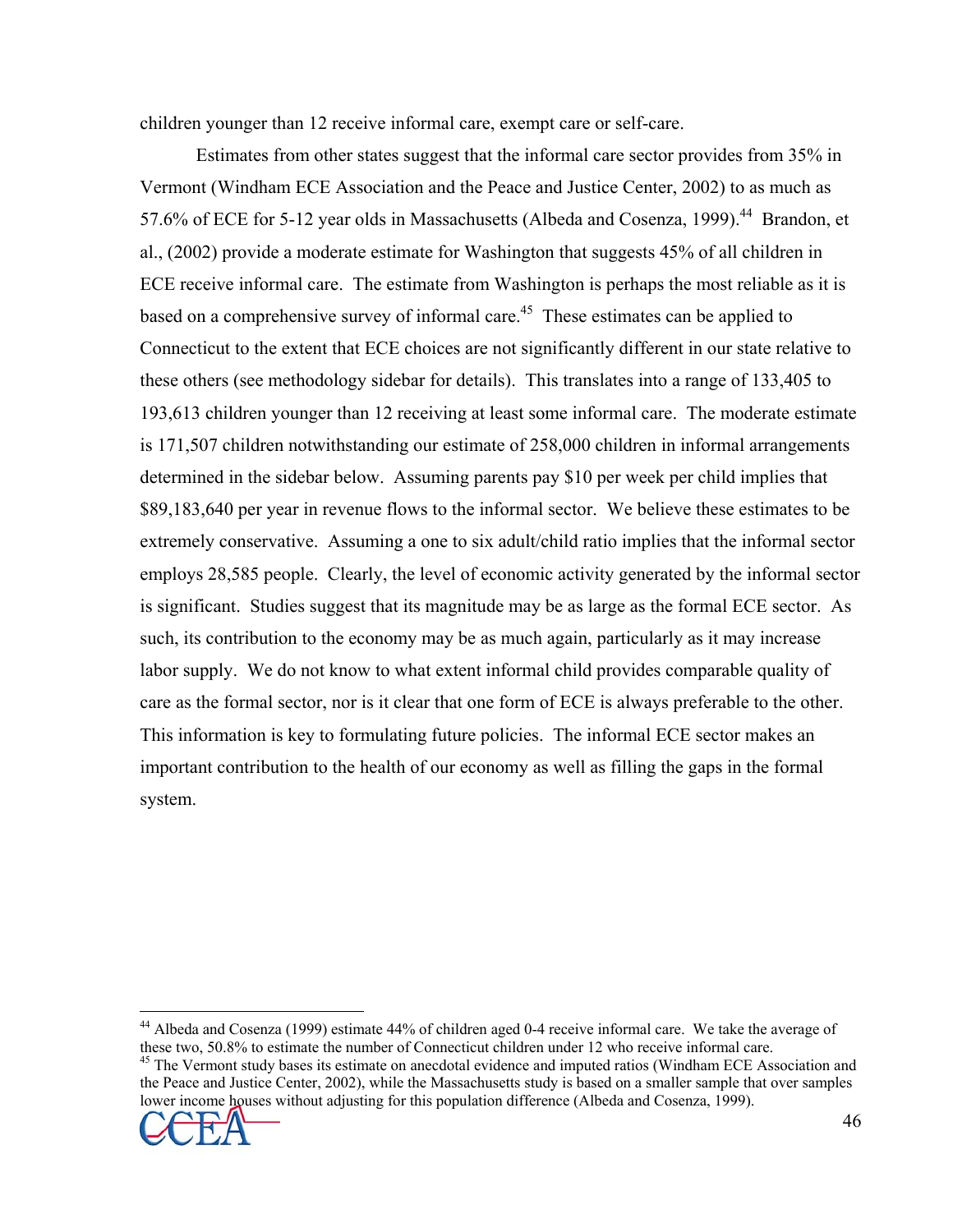children younger than 12 receive informal care, exempt care or self-care.

 Estimates from other states suggest that the informal care sector provides from 35% in Vermont (Windham ECE Association and the Peace and Justice Center, 2002) to as much as 57.6% of ECE for 5-12 year olds in Massachusetts (Albeda and Cosenza, 1999).<sup>44</sup> Brandon, et al., (2002) provide a moderate estimate for Washington that suggests 45% of all children in ECE receive informal care. The estimate from Washington is perhaps the most reliable as it is based on a comprehensive survey of informal care.<sup>45</sup> These estimates can be applied to Connecticut to the extent that ECE choices are not significantly different in our state relative to these others (see methodology sidebar for details). This translates into a range of 133,405 to 193,613 children younger than 12 receiving at least some informal care. The moderate estimate is 171,507 children notwithstanding our estimate of 258,000 children in informal arrangements determined in the sidebar below. Assuming parents pay \$10 per week per child implies that \$89,183,640 per year in revenue flows to the informal sector. We believe these estimates to be extremely conservative. Assuming a one to six adult/child ratio implies that the informal sector employs 28,585 people. Clearly, the level of economic activity generated by the informal sector is significant. Studies suggest that its magnitude may be as large as the formal ECE sector. As such, its contribution to the economy may be as much again, particularly as it may increase labor supply. We do not know to what extent informal child provides comparable quality of care as the formal sector, nor is it clear that one form of ECE is always preferable to the other. This information is key to formulating future policies. The informal ECE sector makes an important contribution to the health of our economy as well as filling the gaps in the formal system.

the Peace and Justice Center, 2002), while the Massachusetts study is based on a smaller sample that over samples lower income houses without adjusting for this population difference (Albeda and Cosenza, 1999).



 $\overline{a}$ 

<sup>&</sup>lt;sup>44</sup> Albeda and Cosenza (1999) estimate 44% of children aged 0-4 receive informal care. We take the average of these two, 50.8% to estimate the number of Connecticut children under 12 who receive informal care.<br><sup>45</sup> The Vermont study bases its estimate on anecdotal evidence and imputed ratios (Windham ECE Association and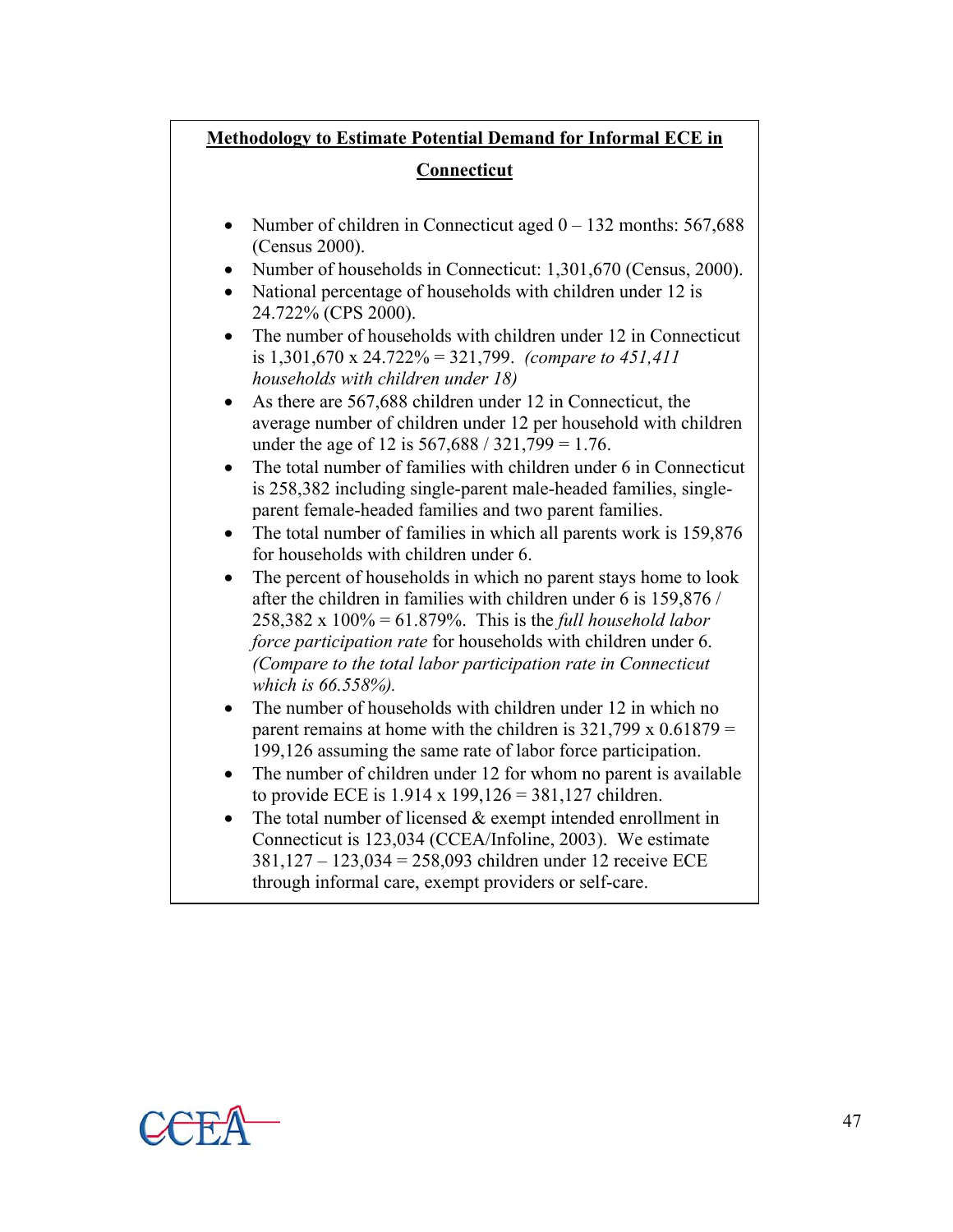| <b>Methodology to Estimate Potential Demand for Informal ECE in</b>                                                                                                                                          |  |  |  |  |  |
|--------------------------------------------------------------------------------------------------------------------------------------------------------------------------------------------------------------|--|--|--|--|--|
| <b>Connecticut</b>                                                                                                                                                                                           |  |  |  |  |  |
|                                                                                                                                                                                                              |  |  |  |  |  |
| Number of children in Connecticut aged $0 - 132$ months: 567,688<br>$\bullet$<br>(Census 2000).                                                                                                              |  |  |  |  |  |
| Number of households in Connecticut: 1,301,670 (Census, 2000).<br>$\bullet$<br>National percentage of households with children under 12 is<br>24.722% (CPS 2000).                                            |  |  |  |  |  |
| The number of households with children under 12 in Connecticut<br>is 1,301,670 x 24.722% = 321,799. (compare to 451,411)<br>households with children under 18)                                               |  |  |  |  |  |
| As there are 567,688 children under 12 in Connecticut, the<br>٠<br>average number of children under 12 per household with children<br>under the age of 12 is $567,688 / 321,799 = 1.76$ .                    |  |  |  |  |  |
| The total number of families with children under 6 in Connecticut<br>$\bullet$<br>is 258,382 including single-parent male-headed families, single-<br>parent female-headed families and two parent families. |  |  |  |  |  |
| The total number of families in which all parents work is 159,876<br>for households with children under 6.                                                                                                   |  |  |  |  |  |
| The percent of households in which no parent stays home to look<br>after the children in families with children under 6 is 159,876 /                                                                         |  |  |  |  |  |
| 258,382 x 100% = 61.879%. This is the <i>full household labor</i><br>force participation rate for households with children under 6.                                                                          |  |  |  |  |  |
| (Compare to the total labor participation rate in Connecticut<br>which is 66.558%).                                                                                                                          |  |  |  |  |  |
| The number of households with children under 12 in which no<br>parent remains at home with the children is $321,799 \times 0.61879 =$                                                                        |  |  |  |  |  |
| 199,126 assuming the same rate of labor force participation.                                                                                                                                                 |  |  |  |  |  |
| The number of children under 12 for whom no parent is available<br>$\bullet$<br>to provide ECE is $1.914 \times 199,126 = 381,127$ children.                                                                 |  |  |  |  |  |
| The total number of licensed $&$ exempt intended enrollment in<br>$\bullet$                                                                                                                                  |  |  |  |  |  |
| Connecticut is 123,034 (CCEA/Infoline, 2003). We estimate                                                                                                                                                    |  |  |  |  |  |
| 381,127 - 123,034 = 258,093 children under 12 receive ECE                                                                                                                                                    |  |  |  |  |  |
| through informal care, exempt providers or self-care.                                                                                                                                                        |  |  |  |  |  |

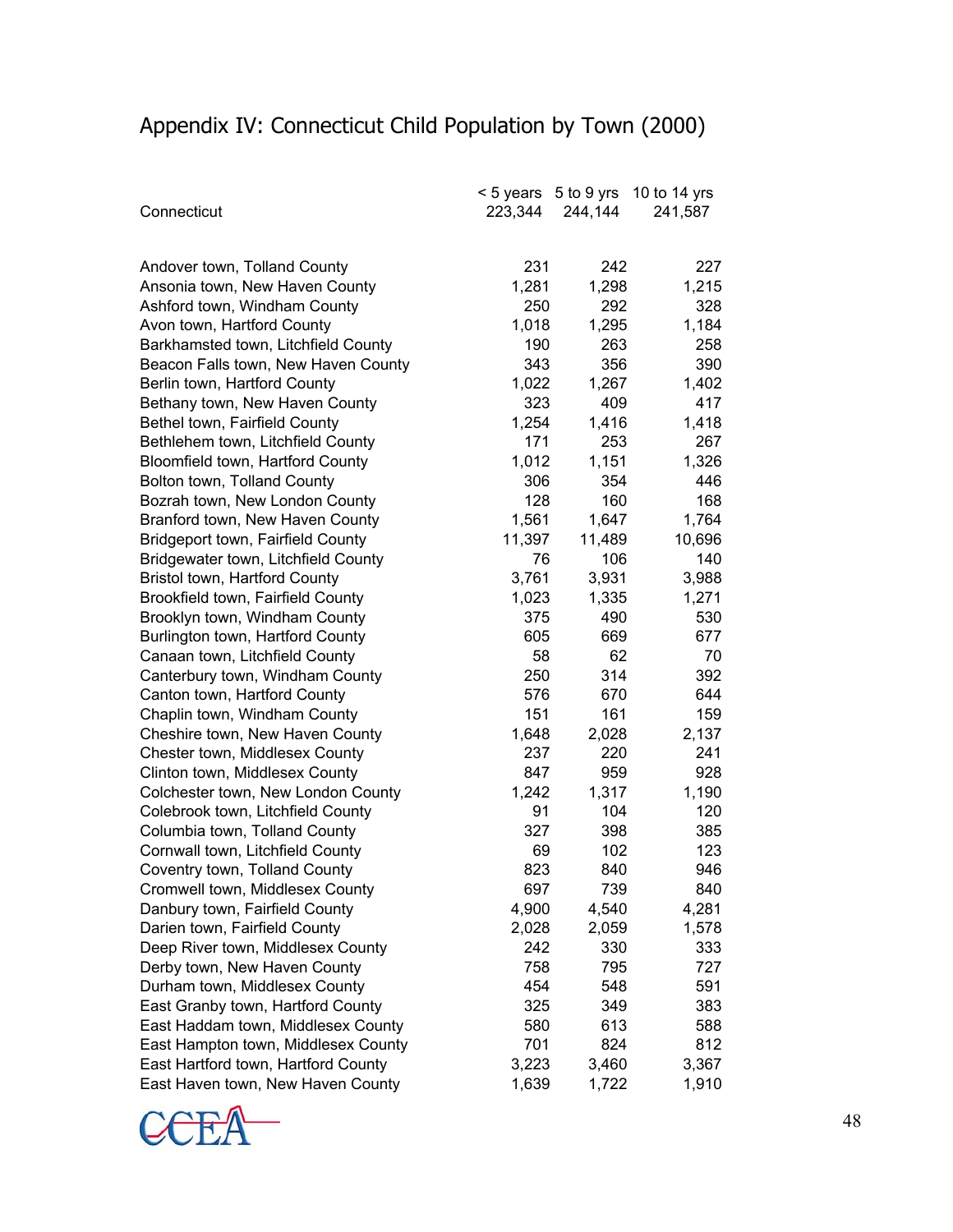# Appendix IV: Connecticut Child Population by Town (2000)

|                                     | < 5 years | 5 to 9 yrs | 10 to 14 yrs |
|-------------------------------------|-----------|------------|--------------|
| Connecticut                         | 223,344   | 244,144    | 241,587      |
|                                     |           |            |              |
|                                     |           |            |              |
| Andover town, Tolland County        | 231       | 242        | 227          |
| Ansonia town, New Haven County      | 1,281     | 1,298      | 1,215        |
| Ashford town, Windham County        | 250       | 292        | 328          |
| Avon town, Hartford County          | 1,018     | 1,295      | 1,184        |
| Barkhamsted town, Litchfield County | 190       | 263        | 258          |
| Beacon Falls town, New Haven County | 343       | 356        | 390          |
| Berlin town, Hartford County        | 1,022     | 1,267      | 1,402        |
| Bethany town, New Haven County      | 323       | 409        | 417          |
| Bethel town, Fairfield County       | 1,254     | 1,416      | 1,418        |
| Bethlehem town, Litchfield County   | 171       | 253        | 267          |
| Bloomfield town, Hartford County    | 1,012     | 1,151      | 1,326        |
| Bolton town, Tolland County         | 306       | 354        | 446          |
| Bozrah town, New London County      | 128       | 160        | 168          |
| Branford town, New Haven County     | 1,561     | 1,647      | 1,764        |
| Bridgeport town, Fairfield County   | 11,397    | 11,489     | 10,696       |
| Bridgewater town, Litchfield County | 76        | 106        | 140          |
| Bristol town, Hartford County       | 3,761     | 3,931      | 3,988        |
| Brookfield town, Fairfield County   | 1,023     | 1,335      | 1,271        |
| Brooklyn town, Windham County       | 375       | 490        | 530          |
| Burlington town, Hartford County    | 605       | 669        | 677          |
| Canaan town, Litchfield County      | 58        | 62         | 70           |
| Canterbury town, Windham County     | 250       | 314        | 392          |
| Canton town, Hartford County        | 576       | 670        | 644          |
| Chaplin town, Windham County        | 151       | 161        | 159          |
| Cheshire town, New Haven County     | 1,648     | 2,028      | 2,137        |
| Chester town, Middlesex County      | 237       | 220        | 241          |
| Clinton town, Middlesex County      | 847       | 959        | 928          |
| Colchester town, New London County  | 1,242     | 1,317      | 1,190        |
| Colebrook town, Litchfield County   | 91        | 104        | 120          |
| Columbia town, Tolland County       | 327       | 398        | 385          |
| Cornwall town, Litchfield County    | 69        | 102        | 123          |
| Coventry town, Tolland County       | 823       | 840        | 946          |
| Cromwell town, Middlesex County     | 697       | 739        | 840          |
| Danbury town, Fairfield County      | 4,900     | 4,540      | 4,281        |
| Darien town, Fairfield County       | 2,028     | 2,059      | 1,578        |
| Deep River town, Middlesex County   | 242       | 330        | 333          |
| Derby town, New Haven County        | 758       | 795        | 727          |
| Durham town, Middlesex County       | 454       | 548        | 591          |
| East Granby town, Hartford County   | 325       | 349        | 383          |
| East Haddam town, Middlesex County  | 580       | 613        | 588          |
| East Hampton town, Middlesex County | 701       | 824        | 812          |
| East Hartford town, Hartford County | 3,223     | 3,460      | 3,367        |
| East Haven town, New Haven County   | 1,639     | 1,722      | 1,910        |
|                                     |           |            |              |

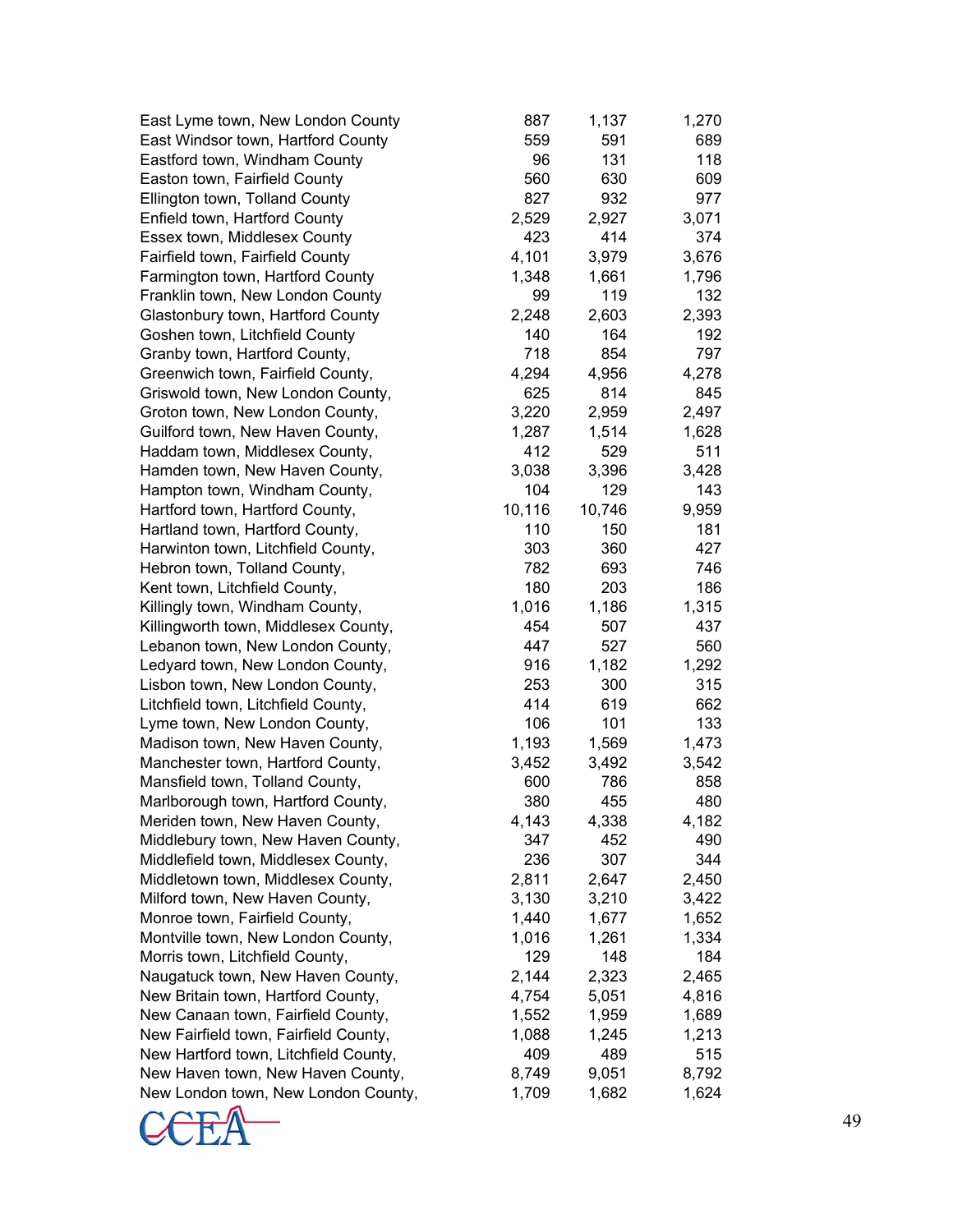East Lyme town, New London County East Windsor town, Hartford County Eastford town, Windham County Easton town, Fairfield County Ellington town, Tolland County Enfield town, Hartford County Essex town, Middlesex County Fairfield town, Fairfield County Farmington town, Hartford County Franklin town, New London County Glastonbury town, Hartford County Goshen town, Litchfield County Granby town, Hartford County, Greenwich town, Fairfield County, Griswold town, New London County, Groton town, New London County, Guilford town, New Haven County, Haddam town, Middlesex County, Hamden town, New Haven County, Hampton town, Windham County, Hartford town, Hartford County, Hartland town, Hartford County, Harwinton town, Litchfield County, Hebron town, Tolland County, Kent town, Litchfield County, Killingly town, Windham County, Killingworth town, Middlesex County, Lebanon town, New London County, Ledyard town, New London County, Lisbon town, New London County, Litchfield town, Litchfield County, Lyme town, New London County, Madison town, New Haven County, Manchester town, Hartford County, Mansfield town, Tolland County, Marlborough town, Hartford County, Meriden town, New Haven County, Middlebury town, New Haven County, Middlefield town, Middlesex County, Middletown town, Middlesex County, Milford town, New Haven County, Monroe town, Fairfield County, Montville town, New London County, Morris town, Litchfield County, Naugatuck town, New Haven County, New Britain town, Hartford County, New Canaan town, Fairfield County, New Fairfield town, Fairfield County, New Hartford town, Litchfield County, New Haven town, New Haven County, New London town, New London County,

| 887    | 1,137  | 1,270 |
|--------|--------|-------|
| 559    | 591    | 689   |
| 96     | 131    | 118   |
| 560    | 630    | 609   |
|        |        |       |
| 827    | 932    | 977   |
| 2,529  | 2,927  | 3,071 |
| 423    | 414    | 374   |
| 4,101  | 3,979  | 3,676 |
| 1,348  | 1,661  | 1,796 |
| 99     | 119    | 132   |
|        | 2,603  |       |
| 2,248  |        | 2,393 |
| 140    | 164    | 192   |
| 718    | 854    | 797   |
| 4,294  | 4,956  | 4,278 |
| 625    | 814    | 845   |
| 3,220  | 2,959  | 2,497 |
| 1,287  | 1,514  | 1,628 |
| 412    | 529    | 511   |
|        |        |       |
| 3,038  | 3,396  | 3,428 |
| 104    | 129    | 143   |
| 10,116 | 10,746 | 9,959 |
| 110    | 150    | 181   |
| 303    | 360    | 427   |
| 782    | 693    | 746   |
| 180    | 203    | 186   |
| 1,016  |        |       |
|        | 1,186  | 1,315 |
| 454    | 507    | 437   |
| 447    | 527    | 560   |
| 916    | 1,182  | 1,292 |
| 253    | 300    | 315   |
| 414    | 619    | 662   |
| 106    | 101    | 133   |
| 1,193  | 1,569  | 1,473 |
|        |        |       |
| 3,452  | 3,492  | 3,542 |
| 600    | 786    | 858   |
| 380    | 455    | 480   |
| 4,143  | 4,338  | 4,182 |
| 347    | 452    | 490   |
| 236    | 307    | 344   |
| 2,811  | 2,647  | 2,450 |
| 3,130  | 3,210  | 3,422 |
|        |        |       |
| 1,440  | 1,677  | 1,652 |
| 1,016  | 1,261  | 1,334 |
| 129    | 148    | 184   |
| 2,144  | 2,323  | 2,465 |
| 4,754  | 5,051  | 4,816 |
| 1,552  | 1,959  | 1,689 |
| 1,088  | 1,245  | 1,213 |
| 409    | 489    | 515   |
|        |        |       |
| 8,749  | 9,051  | 8,792 |
| 1,709  | 1,682  | 1,624 |

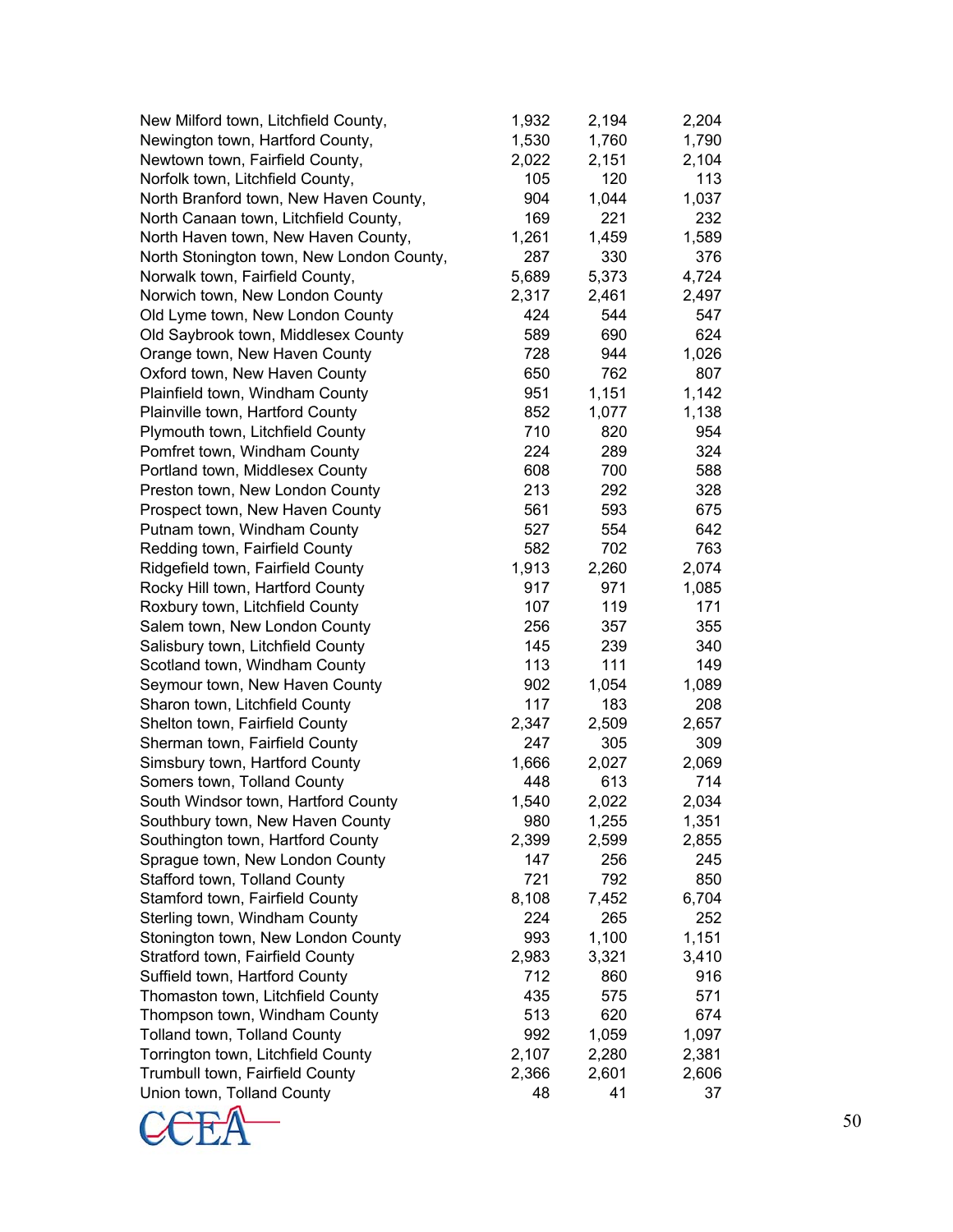| New Milford town, Litchfield County,      | 1,932 | 2,194 | 2,204 |
|-------------------------------------------|-------|-------|-------|
| Newington town, Hartford County,          | 1,530 | 1,760 | 1,790 |
| Newtown town, Fairfield County,           | 2,022 | 2,151 | 2,104 |
| Norfolk town, Litchfield County,          | 105   | 120   | 113   |
| North Branford town, New Haven County,    | 904   | 1,044 | 1,037 |
| North Canaan town, Litchfield County,     | 169   | 221   | 232   |
|                                           | 1,261 | 1,459 | 1,589 |
| North Haven town, New Haven County,       | 287   |       |       |
| North Stonington town, New London County, |       | 330   | 376   |
| Norwalk town, Fairfield County,           | 5,689 | 5,373 | 4,724 |
| Norwich town, New London County           | 2,317 | 2,461 | 2,497 |
| Old Lyme town, New London County          | 424   | 544   | 547   |
| Old Saybrook town, Middlesex County       | 589   | 690   | 624   |
| Orange town, New Haven County             | 728   | 944   | 1,026 |
| Oxford town, New Haven County             | 650   | 762   | 807   |
| Plainfield town, Windham County           | 951   | 1,151 | 1,142 |
| Plainville town, Hartford County          | 852   | 1,077 | 1,138 |
| Plymouth town, Litchfield County          | 710   | 820   | 954   |
| Pomfret town, Windham County              | 224   | 289   | 324   |
| Portland town, Middlesex County           | 608   | 700   | 588   |
| Preston town, New London County           | 213   | 292   | 328   |
| Prospect town, New Haven County           | 561   | 593   | 675   |
| Putnam town, Windham County               | 527   | 554   | 642   |
| Redding town, Fairfield County            | 582   | 702   | 763   |
| Ridgefield town, Fairfield County         | 1,913 | 2,260 | 2,074 |
| Rocky Hill town, Hartford County          | 917   | 971   | 1,085 |
| Roxbury town, Litchfield County           | 107   | 119   | 171   |
| Salem town, New London County             | 256   | 357   | 355   |
| Salisbury town, Litchfield County         | 145   | 239   | 340   |
| Scotland town, Windham County             | 113   | 111   | 149   |
| Seymour town, New Haven County            | 902   | 1,054 | 1,089 |
| Sharon town, Litchfield County            | 117   | 183   | 208   |
| Shelton town, Fairfield County            | 2,347 | 2,509 | 2,657 |
| Sherman town, Fairfield County            | 247   | 305   | 309   |
| Simsbury town, Hartford County            | 1,666 | 2,027 | 2,069 |
| Somers town, Tolland County               | 448   | 613   | 714   |
| South Windsor town, Hartford County       | 1,540 | 2,022 | 2,034 |
| Southbury town, New Haven County          | 980   | 1,255 | 1,351 |
| Southington town, Hartford County         | 2,399 | 2,599 | 2,855 |
| Sprague town, New London County           | 147   | 256   | 245   |
| Stafford town, Tolland County             | 721   | 792   | 850   |
| Stamford town, Fairfield County           | 8,108 | 7,452 | 6,704 |
| Sterling town, Windham County             | 224   | 265   | 252   |
| Stonington town, New London County        | 993   | 1,100 | 1,151 |
| Stratford town, Fairfield County          | 2,983 | 3,321 | 3,410 |
| Suffield town, Hartford County            | 712   | 860   | 916   |
| Thomaston town, Litchfield County         | 435   | 575   | 571   |
| Thompson town, Windham County             | 513   | 620   | 674   |
| Tolland town, Tolland County              | 992   | 1,059 | 1,097 |
| Torrington town, Litchfield County        | 2,107 | 2,280 | 2,381 |
| Trumbull town, Fairfield County           | 2,366 | 2,601 | 2,606 |
| Union town, Tolland County                | 48    | 41    | 37    |

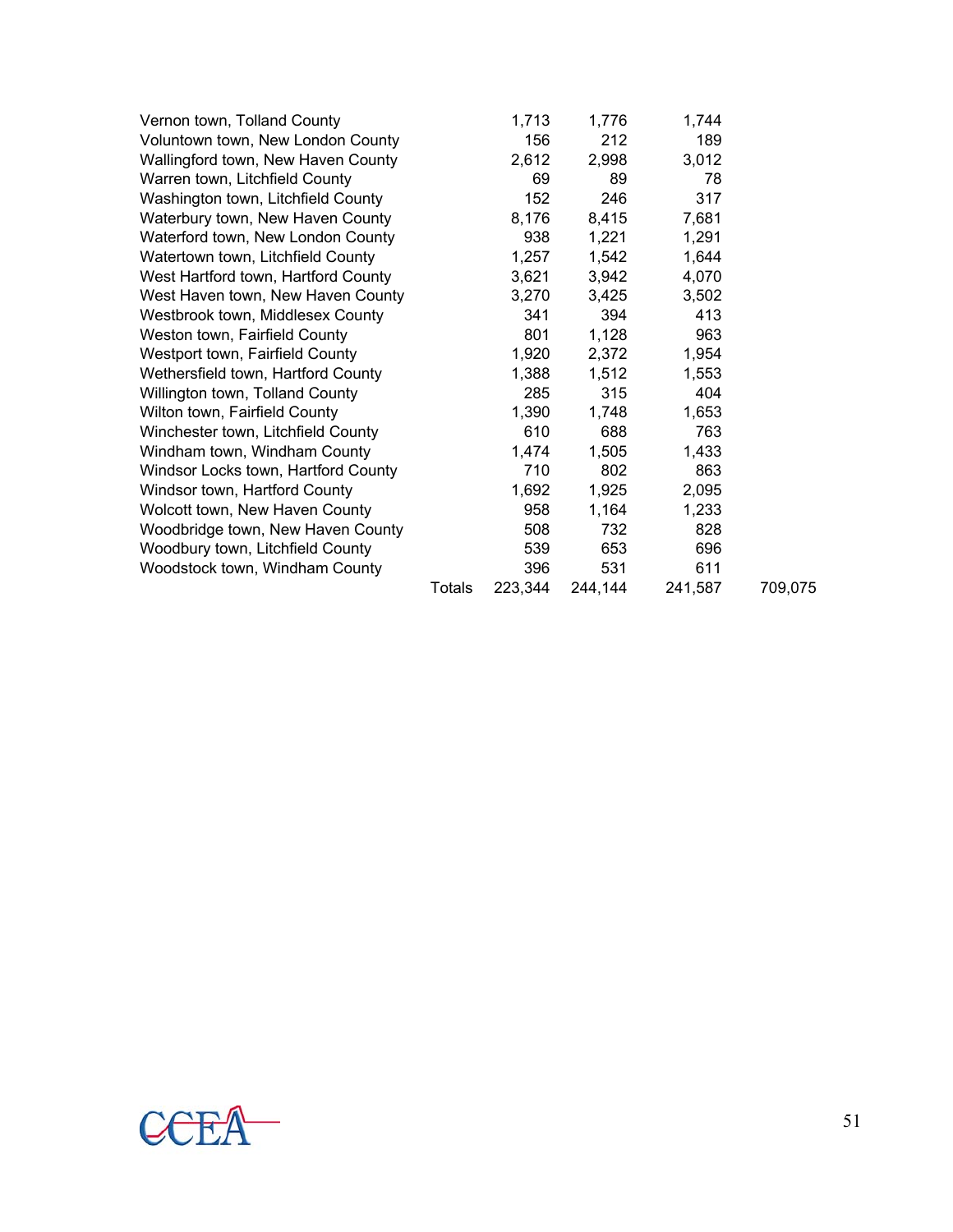| Vernon town, Tolland County         |               | 1,713   | 1,776   | 1,744   |         |
|-------------------------------------|---------------|---------|---------|---------|---------|
| Voluntown town, New London County   |               | 156     | 212     | 189     |         |
| Wallingford town, New Haven County  |               | 2,612   | 2,998   | 3,012   |         |
| Warren town, Litchfield County      |               | 69      | 89      | 78      |         |
| Washington town, Litchfield County  |               | 152     | 246     | 317     |         |
| Waterbury town, New Haven County    |               | 8,176   | 8,415   | 7,681   |         |
| Waterford town, New London County   |               | 938     | 1,221   | 1,291   |         |
| Watertown town, Litchfield County   |               | 1,257   | 1,542   | 1,644   |         |
| West Hartford town, Hartford County |               | 3,621   | 3,942   | 4,070   |         |
| West Haven town, New Haven County   |               | 3,270   | 3,425   | 3,502   |         |
| Westbrook town, Middlesex County    |               | 341     | 394     | 413     |         |
| Weston town, Fairfield County       |               | 801     | 1,128   | 963     |         |
| Westport town, Fairfield County     |               | 1,920   | 2,372   | 1,954   |         |
| Wethersfield town, Hartford County  |               | 1,388   | 1,512   | 1,553   |         |
| Willington town, Tolland County     |               | 285     | 315     | 404     |         |
| Wilton town, Fairfield County       |               | 1,390   | 1,748   | 1,653   |         |
| Winchester town, Litchfield County  |               | 610     | 688     | 763     |         |
| Windham town, Windham County        |               | 1,474   | 1,505   | 1,433   |         |
| Windsor Locks town, Hartford County |               | 710     | 802     | 863     |         |
| Windsor town, Hartford County       |               | 1,692   | 1,925   | 2,095   |         |
| Wolcott town, New Haven County      |               | 958     | 1,164   | 1,233   |         |
| Woodbridge town, New Haven County   |               | 508     | 732     | 828     |         |
| Woodbury town, Litchfield County    |               | 539     | 653     | 696     |         |
| Woodstock town, Windham County      |               | 396     | 531     | 611     |         |
|                                     | <b>Totals</b> | 223,344 | 244,144 | 241,587 | 709,075 |
|                                     |               |         |         |         |         |

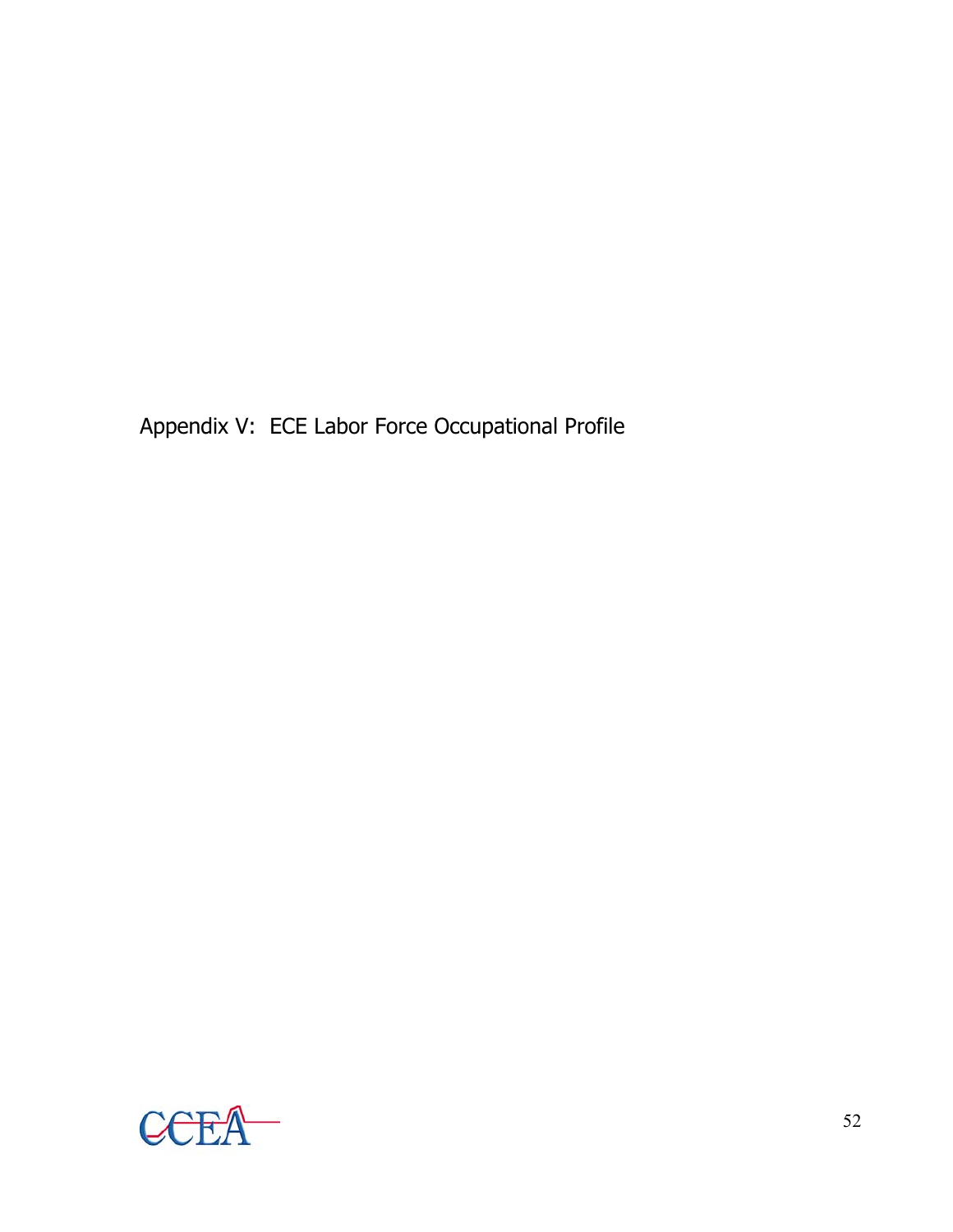Appendix V: ECE Labor Force Occupational Profile

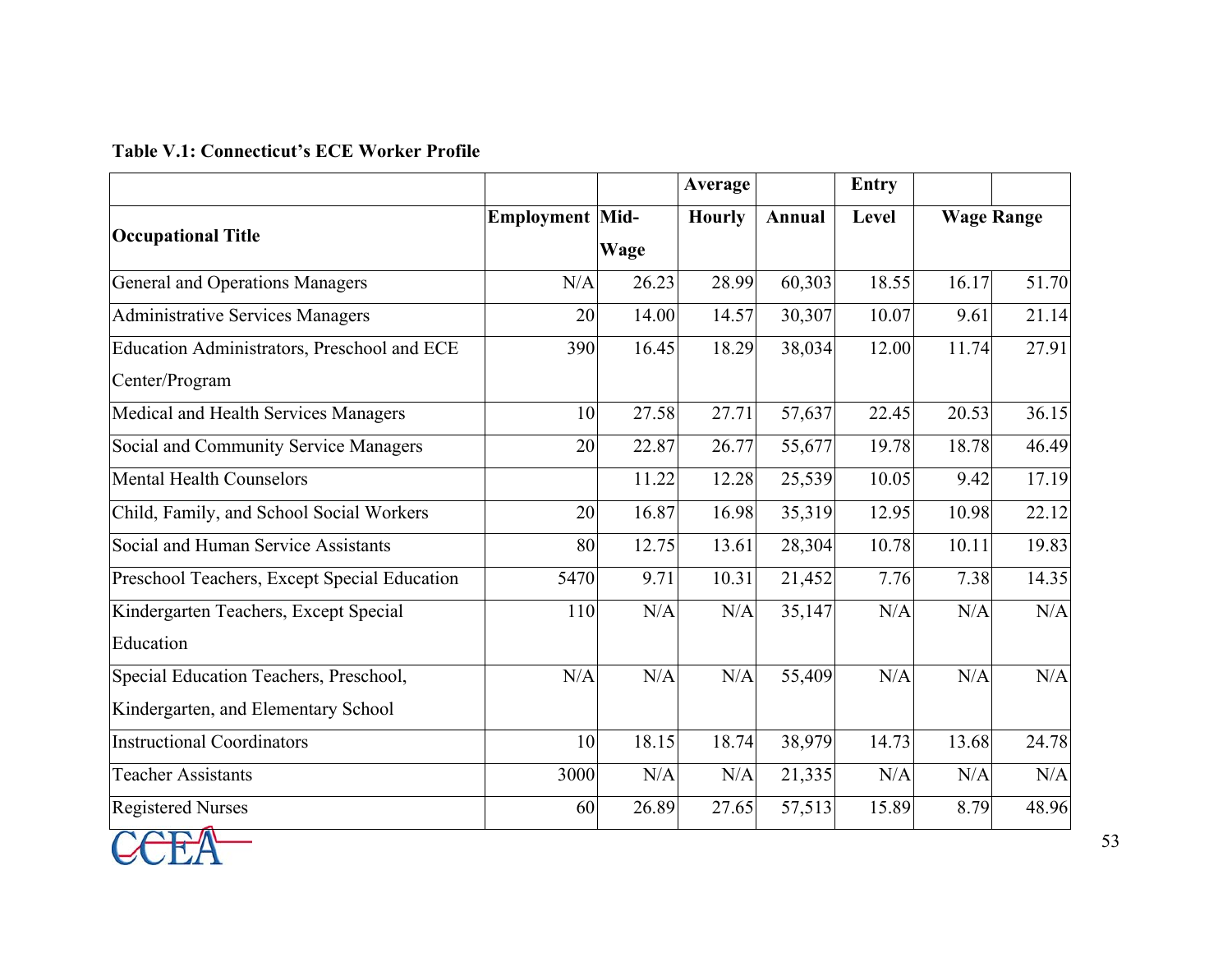#### **Table V.1: Connecticut's ECE Worker Profile**

|                                                  |                        |       | Average       |        | <b>Entry</b> |                   |       |
|--------------------------------------------------|------------------------|-------|---------------|--------|--------------|-------------------|-------|
|                                                  | <b>Employment Mid-</b> |       | <b>Hourly</b> | Annual | Level        | <b>Wage Range</b> |       |
| <b>Occupational Title</b>                        |                        | Wage  |               |        |              |                   |       |
| General and Operations Managers                  | N/A                    | 26.23 | 28.99         | 60,303 | 18.55        | 16.17             | 51.70 |
| <b>Administrative Services Managers</b>          | 20                     | 14.00 | 14.57         | 30,307 | 10.07        | 9.61              | 21.14 |
| Education Administrators, Preschool and ECE      | 390                    | 16.45 | 18.29         | 38,034 | 12.00        | 11.74             | 27.91 |
| Center/Program                                   |                        |       |               |        |              |                   |       |
| Medical and Health Services Managers             | 10                     | 27.58 | 27.71         | 57,637 | 22.45        | 20.53             | 36.15 |
| Social and Community Service Managers            | 20                     | 22.87 | 26.77         | 55,677 | 19.78        | 18.78             | 46.49 |
| <b>Mental Health Counselors</b>                  |                        | 11.22 | 12.28         | 25,539 | 10.05        | 9.42              | 17.19 |
| Child, Family, and School Social Workers         | 20                     | 16.87 | 16.98         | 35,319 | 12.95        | 10.98             | 22.12 |
| Social and Human Service Assistants              | 80                     | 12.75 | 13.61         | 28,304 | 10.78        | 10.11             | 19.83 |
| Preschool Teachers, Except Special Education     | 5470                   | 9.71  | 10.31         | 21,452 | 7.76         | 7.38              | 14.35 |
| Kindergarten Teachers, Except Special            | 110                    | N/A   | N/A           | 35,147 | N/A          | N/A               | N/A   |
| Education                                        |                        |       |               |        |              |                   |       |
| Special Education Teachers, Preschool,           | N/A                    | N/A   | N/A           | 55,409 | N/A          | N/A               | N/A   |
| Kindergarten, and Elementary School              |                        |       |               |        |              |                   |       |
| <b>Instructional Coordinators</b>                | 10                     | 18.15 | 18.74         | 38,979 | 14.73        | 13.68             | 24.78 |
| <b>Teacher Assistants</b>                        | 3000                   | N/A   | N/A           | 21,335 | N/A          | N/A               | N/A   |
| <b>Registered Nurses</b><br>$\sim$ $\sim$ $\sim$ | 60                     | 26.89 | 27.65         | 57,513 | 15.89        | 8.79              | 48.96 |

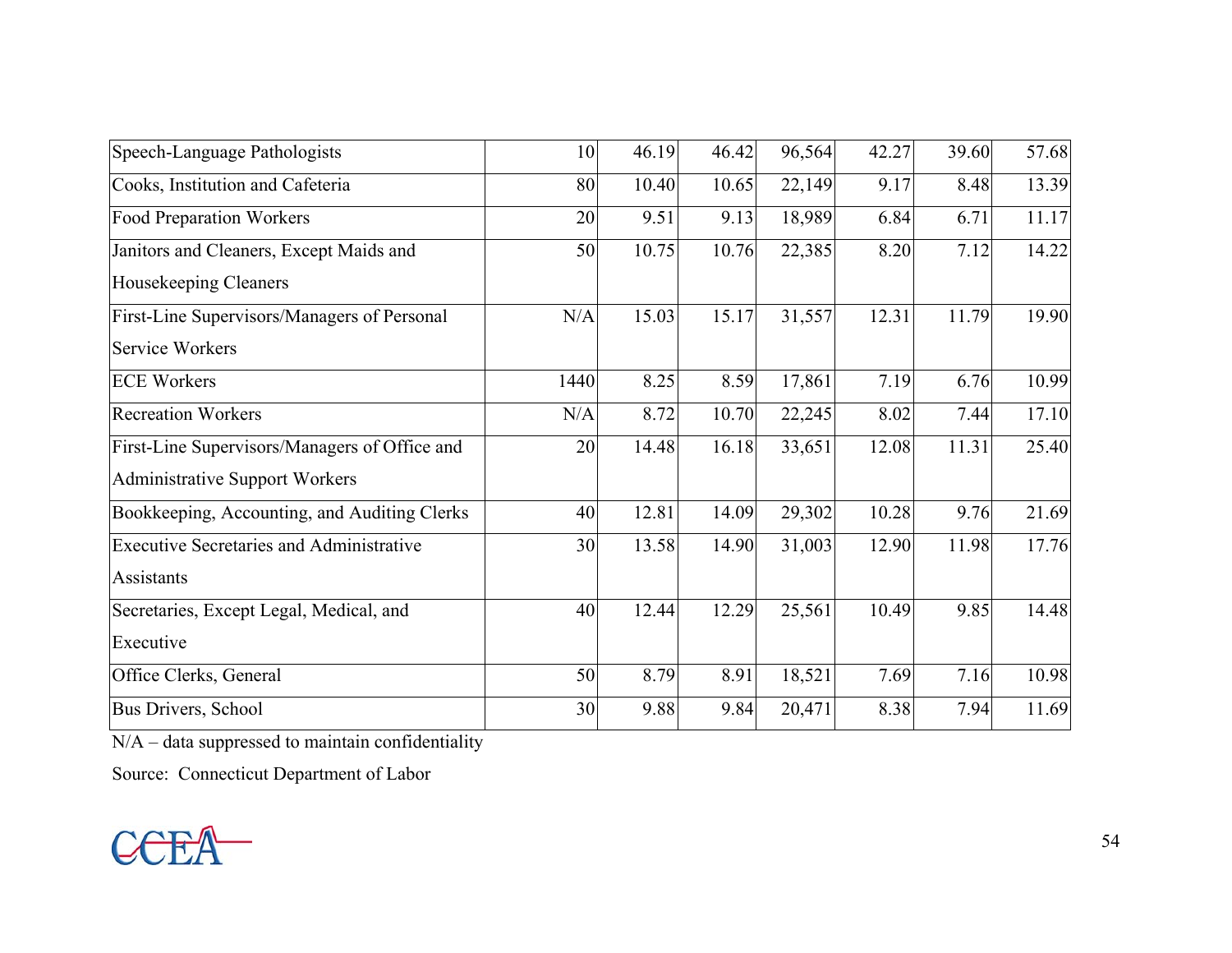| Speech-Language Pathologists                    | 10   | 46.19 | 46.42 | 96,564 | 42.27 | 39.60 | 57.68 |
|-------------------------------------------------|------|-------|-------|--------|-------|-------|-------|
| Cooks, Institution and Cafeteria                | 80   | 10.40 | 10.65 | 22,149 | 9.17  | 8.48  | 13.39 |
| <b>Food Preparation Workers</b>                 | 20   | 9.51  | 9.13  | 18,989 | 6.84  | 6.71  | 11.17 |
| Janitors and Cleaners, Except Maids and         | 50   | 10.75 | 10.76 | 22,385 | 8.20  | 7.12  | 14.22 |
| Housekeeping Cleaners                           |      |       |       |        |       |       |       |
| First-Line Supervisors/Managers of Personal     | N/A  | 15.03 | 15.17 | 31,557 | 12.31 | 11.79 | 19.90 |
| Service Workers                                 |      |       |       |        |       |       |       |
| <b>ECE Workers</b>                              | 1440 | 8.25  | 8.59  | 17,861 | 7.19  | 6.76  | 10.99 |
| <b>Recreation Workers</b>                       | N/A  | 8.72  | 10.70 | 22,245 | 8.02  | 7.44  | 17.10 |
| First-Line Supervisors/Managers of Office and   | 20   | 14.48 | 16.18 | 33,651 | 12.08 | 11.31 | 25.40 |
| <b>Administrative Support Workers</b>           |      |       |       |        |       |       |       |
| Bookkeeping, Accounting, and Auditing Clerks    | 40   | 12.81 | 14.09 | 29,302 | 10.28 | 9.76  | 21.69 |
| <b>Executive Secretaries and Administrative</b> | 30   | 13.58 | 14.90 | 31,003 | 12.90 | 11.98 | 17.76 |
| Assistants                                      |      |       |       |        |       |       |       |
| Secretaries, Except Legal, Medical, and         | 40   | 12.44 | 12.29 | 25,561 | 10.49 | 9.85  | 14.48 |
| Executive                                       |      |       |       |        |       |       |       |
| Office Clerks, General                          | 50   | 8.79  | 8.91  | 18,521 | 7.69  | 7.16  | 10.98 |
| Bus Drivers, School                             | 30   | 9.88  | 9.84  | 20,471 | 8.38  | 7.94  | 11.69 |

N/A – data suppressed to maintain confidentiality

Source: Connecticut Department of Labor